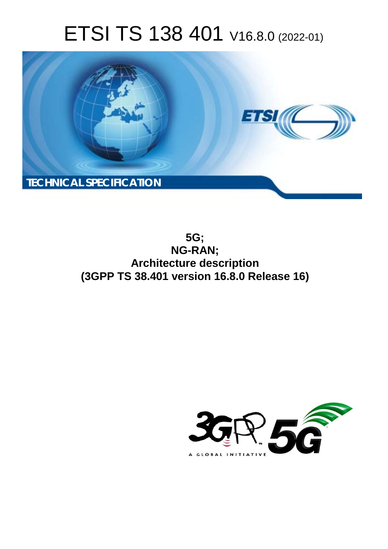# ETSI TS 138 401 V16.8.0 (2022-01)



**5G; NG-RAN; Architecture description (3GPP TS 38.401 version 16.8.0 Release 16)** 

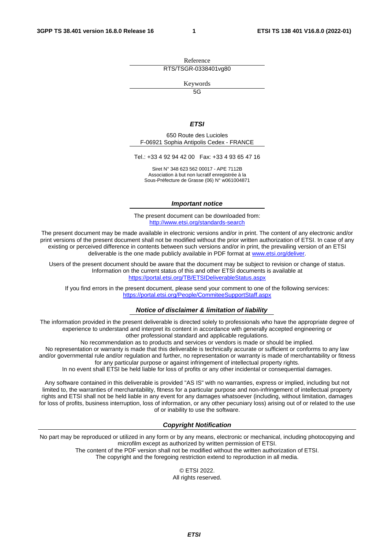Reference RTS/TSGR-0338401vg80

Keywords

 $\overline{5G}$ 

#### *ETSI*

650 Route des Lucioles F-06921 Sophia Antipolis Cedex - FRANCE

Tel.: +33 4 92 94 42 00 Fax: +33 4 93 65 47 16

Siret N° 348 623 562 00017 - APE 7112B Association à but non lucratif enregistrée à la Sous-Préfecture de Grasse (06) N° w061004871

#### *Important notice*

The present document can be downloaded from: <http://www.etsi.org/standards-search>

The present document may be made available in electronic versions and/or in print. The content of any electronic and/or print versions of the present document shall not be modified without the prior written authorization of ETSI. In case of any existing or perceived difference in contents between such versions and/or in print, the prevailing version of an ETSI deliverable is the one made publicly available in PDF format at [www.etsi.org/deliver](http://www.etsi.org/deliver).

Users of the present document should be aware that the document may be subject to revision or change of status. Information on the current status of this and other ETSI documents is available at <https://portal.etsi.org/TB/ETSIDeliverableStatus.aspx>

If you find errors in the present document, please send your comment to one of the following services: <https://portal.etsi.org/People/CommiteeSupportStaff.aspx>

#### *Notice of disclaimer & limitation of liability*

The information provided in the present deliverable is directed solely to professionals who have the appropriate degree of experience to understand and interpret its content in accordance with generally accepted engineering or other professional standard and applicable regulations.

No recommendation as to products and services or vendors is made or should be implied.

No representation or warranty is made that this deliverable is technically accurate or sufficient or conforms to any law and/or governmental rule and/or regulation and further, no representation or warranty is made of merchantability or fitness for any particular purpose or against infringement of intellectual property rights.

In no event shall ETSI be held liable for loss of profits or any other incidental or consequential damages.

Any software contained in this deliverable is provided "AS IS" with no warranties, express or implied, including but not limited to, the warranties of merchantability, fitness for a particular purpose and non-infringement of intellectual property rights and ETSI shall not be held liable in any event for any damages whatsoever (including, without limitation, damages for loss of profits, business interruption, loss of information, or any other pecuniary loss) arising out of or related to the use of or inability to use the software.

#### *Copyright Notification*

No part may be reproduced or utilized in any form or by any means, electronic or mechanical, including photocopying and microfilm except as authorized by written permission of ETSI. The content of the PDF version shall not be modified without the written authorization of ETSI.

The copyright and the foregoing restriction extend to reproduction in all media.

© ETSI 2022. All rights reserved.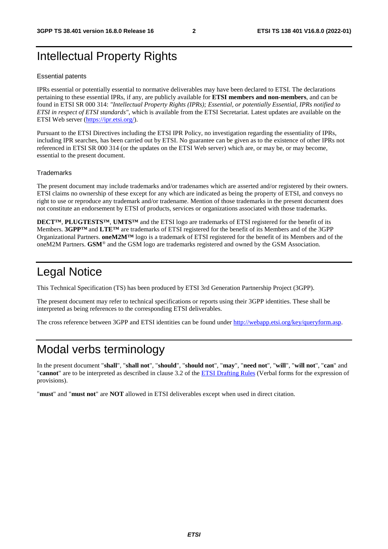# Intellectual Property Rights

#### Essential patents

IPRs essential or potentially essential to normative deliverables may have been declared to ETSI. The declarations pertaining to these essential IPRs, if any, are publicly available for **ETSI members and non-members**, and can be found in ETSI SR 000 314: *"Intellectual Property Rights (IPRs); Essential, or potentially Essential, IPRs notified to ETSI in respect of ETSI standards"*, which is available from the ETSI Secretariat. Latest updates are available on the ETSI Web server ([https://ipr.etsi.org/\)](https://ipr.etsi.org/).

Pursuant to the ETSI Directives including the ETSI IPR Policy, no investigation regarding the essentiality of IPRs, including IPR searches, has been carried out by ETSI. No guarantee can be given as to the existence of other IPRs not referenced in ETSI SR 000 314 (or the updates on the ETSI Web server) which are, or may be, or may become, essential to the present document.

#### **Trademarks**

The present document may include trademarks and/or tradenames which are asserted and/or registered by their owners. ETSI claims no ownership of these except for any which are indicated as being the property of ETSI, and conveys no right to use or reproduce any trademark and/or tradename. Mention of those trademarks in the present document does not constitute an endorsement by ETSI of products, services or organizations associated with those trademarks.

**DECT™**, **PLUGTESTS™**, **UMTS™** and the ETSI logo are trademarks of ETSI registered for the benefit of its Members. **3GPP™** and **LTE™** are trademarks of ETSI registered for the benefit of its Members and of the 3GPP Organizational Partners. **oneM2M™** logo is a trademark of ETSI registered for the benefit of its Members and of the oneM2M Partners. **GSM**® and the GSM logo are trademarks registered and owned by the GSM Association.

# Legal Notice

This Technical Specification (TS) has been produced by ETSI 3rd Generation Partnership Project (3GPP).

The present document may refer to technical specifications or reports using their 3GPP identities. These shall be interpreted as being references to the corresponding ETSI deliverables.

The cross reference between 3GPP and ETSI identities can be found under<http://webapp.etsi.org/key/queryform.asp>.

# Modal verbs terminology

In the present document "**shall**", "**shall not**", "**should**", "**should not**", "**may**", "**need not**", "**will**", "**will not**", "**can**" and "**cannot**" are to be interpreted as described in clause 3.2 of the [ETSI Drafting Rules](https://portal.etsi.org/Services/editHelp!/Howtostart/ETSIDraftingRules.aspx) (Verbal forms for the expression of provisions).

"**must**" and "**must not**" are **NOT** allowed in ETSI deliverables except when used in direct citation.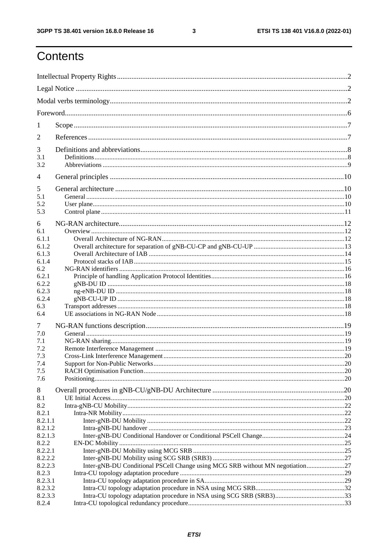$\mathbf{3}$ 

# Contents

| 1                  |                                                                               |  |
|--------------------|-------------------------------------------------------------------------------|--|
| 2                  |                                                                               |  |
| 3                  |                                                                               |  |
| 3.1                |                                                                               |  |
| 3.2                |                                                                               |  |
| $\overline{4}$     |                                                                               |  |
| 5<br>5.1           |                                                                               |  |
| 5.2                |                                                                               |  |
| 5.3                |                                                                               |  |
| 6                  |                                                                               |  |
| 6.1                |                                                                               |  |
| 6.1.1              |                                                                               |  |
| 6.1.2              |                                                                               |  |
| 6.1.3              |                                                                               |  |
| 6.1.4<br>6.2       |                                                                               |  |
| 6.2.1              |                                                                               |  |
| 6.2.2              |                                                                               |  |
| 6.2.3              |                                                                               |  |
| 6.2.4              |                                                                               |  |
| 6.3                |                                                                               |  |
| 6.4                |                                                                               |  |
| 7                  |                                                                               |  |
| 7.0                |                                                                               |  |
| 7.1                |                                                                               |  |
| 7.2                |                                                                               |  |
| 7.3                |                                                                               |  |
| 7.4                |                                                                               |  |
| 7.5<br>7.6         |                                                                               |  |
|                    |                                                                               |  |
| 8                  |                                                                               |  |
| 8.1                |                                                                               |  |
| 8.2<br>8.2.1       |                                                                               |  |
| 8.2.1.1            |                                                                               |  |
| 8.2.1.2            |                                                                               |  |
| 8.2.1.3            |                                                                               |  |
| 8.2.2              |                                                                               |  |
| 8.2.2.1            |                                                                               |  |
| 8.2.2.2            |                                                                               |  |
| 8.2.2.3            | Inter-gNB-DU Conditional PSCell Change using MCG SRB without MN negotiation27 |  |
| 8.2.3              |                                                                               |  |
| 8.2.3.1<br>8.2.3.2 |                                                                               |  |
| 8.2.3.3            |                                                                               |  |
| 8.2.4              |                                                                               |  |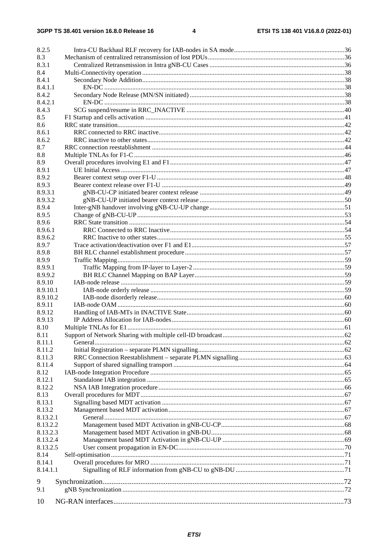| 8.2.5            |  |
|------------------|--|
| 8.3              |  |
| 8.3.1            |  |
| 8.4              |  |
| 8.4.1            |  |
| 8.4.1.1          |  |
| 8.4.2            |  |
| 8.4.2.1          |  |
| 8.4.3            |  |
| 8.5              |  |
| 8.6              |  |
| 8.6.1            |  |
| 8.6.2            |  |
| 8.7              |  |
| 8.8              |  |
| 8.9              |  |
| 8.9.1            |  |
| 8.9.2            |  |
| 8.9.3            |  |
| 8.9.3.1          |  |
| 8.9.3.2          |  |
| 8.9.4            |  |
| 8.9.5            |  |
| 8.9.6            |  |
| 8.9.6.1          |  |
|                  |  |
| 8.9.6.2<br>8.9.7 |  |
|                  |  |
| 8.9.8            |  |
| 8.9.9            |  |
| 8.9.9.1          |  |
| 8.9.9.2          |  |
| 8.9.10           |  |
| 8.9.10.1         |  |
| 8.9.10.2         |  |
| 8.9.11           |  |
| 8.9.12           |  |
| 8.9.13           |  |
| 8.10             |  |
| 8.11             |  |
| 8.11.1           |  |
| 8.11.2           |  |
| 8.11.3           |  |
| 8.11.4           |  |
| 8.12             |  |
| 8.12.1           |  |
| 8.12.2           |  |
| 8.13             |  |
| 8.13.1           |  |
| 8.13.2           |  |
| 8.13.2.1         |  |
| 8.13.2.2         |  |
| 8.13.2.3         |  |
| 8.13.2.4         |  |
| 8.13.2.5         |  |
| 8.14             |  |
| 8.14.1           |  |
| 8.14.1.1         |  |
| 9                |  |
| 9.1              |  |
|                  |  |
| 10               |  |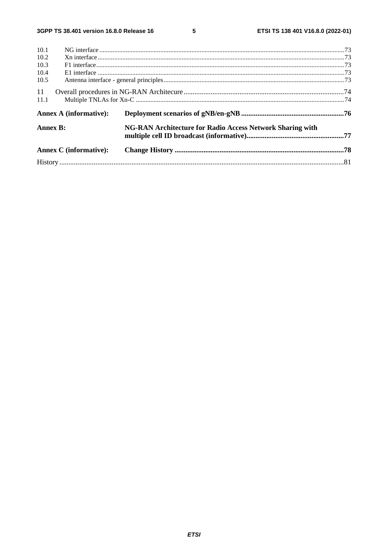$5\phantom{a}$ 

| 10.1                          |                               |                                                           |  |  |
|-------------------------------|-------------------------------|-----------------------------------------------------------|--|--|
| 10.2                          |                               |                                                           |  |  |
| 10.3                          |                               |                                                           |  |  |
| 10.4                          |                               |                                                           |  |  |
| 10.5                          |                               |                                                           |  |  |
| 11                            |                               |                                                           |  |  |
| 11.1                          |                               |                                                           |  |  |
|                               | <b>Annex A (informative):</b> |                                                           |  |  |
| <b>Annex B:</b>               |                               | NG-RAN Architecture for Radio Access Network Sharing with |  |  |
| <b>Annex C</b> (informative): |                               |                                                           |  |  |
|                               |                               |                                                           |  |  |
|                               |                               |                                                           |  |  |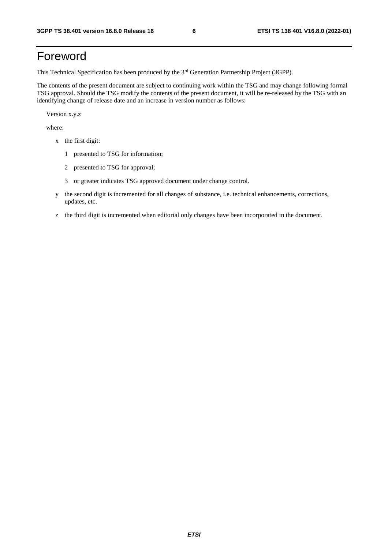# Foreword

This Technical Specification has been produced by the 3<sup>rd</sup> Generation Partnership Project (3GPP).

The contents of the present document are subject to continuing work within the TSG and may change following formal TSG approval. Should the TSG modify the contents of the present document, it will be re-released by the TSG with an identifying change of release date and an increase in version number as follows:

Version x.y.z

where:

- x the first digit:
	- 1 presented to TSG for information;
	- 2 presented to TSG for approval;
	- 3 or greater indicates TSG approved document under change control.
- y the second digit is incremented for all changes of substance, i.e. technical enhancements, corrections, updates, etc.
- z the third digit is incremented when editorial only changes have been incorporated in the document.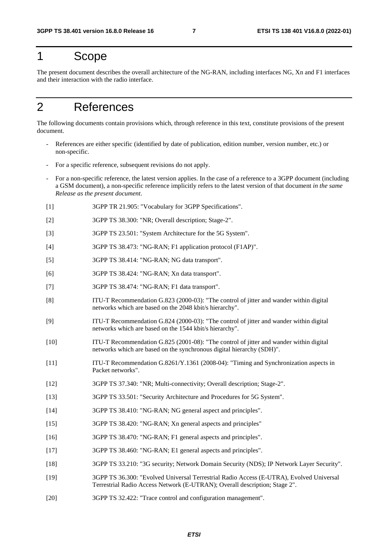# 1 Scope

The present document describes the overall architecture of the NG-RAN, including interfaces NG, Xn and F1 interfaces and their interaction with the radio interface.

# 2 References

The following documents contain provisions which, through reference in this text, constitute provisions of the present document.

- References are either specific (identified by date of publication, edition number, version number, etc.) or non-specific.
- For a specific reference, subsequent revisions do not apply.
- For a non-specific reference, the latest version applies. In the case of a reference to a 3GPP document (including a GSM document), a non-specific reference implicitly refers to the latest version of that document *in the same Release as the present document*.
- [1] 3GPP TR 21.905: "Vocabulary for 3GPP Specifications".
- [2] 3GPP TS 38.300: "NR; Overall description; Stage-2".
- [3] 3GPP TS 23.501: "System Architecture for the 5G System".
- [4] 3GPP TS 38.473: "NG-RAN; F1 application protocol (F1AP)".
- [5] 3GPP TS 38.414: "NG-RAN; NG data transport".
- [6] 3GPP TS 38.424: "NG-RAN; Xn data transport".
- [7] 3GPP TS 38.474: "NG-RAN; F1 data transport".
- [8] ITU-T Recommendation G.823 (2000-03): "The control of jitter and wander within digital networks which are based on the 2048 kbit/s hierarchy".
- [9] ITU-T Recommendation G.824 (2000-03): "The control of jitter and wander within digital networks which are based on the 1544 kbit/s hierarchy".
- [10] ITU-T Recommendation G.825 (2001-08): "The control of jitter and wander within digital networks which are based on the synchronous digital hierarchy (SDH)".
- [11] ITU-T Recommendation G.8261/Y.1361 (2008-04): "Timing and Synchronization aspects in Packet networks".
- [12] 3GPP TS 37.340: "NR; Multi-connectivity; Overall description; Stage-2".
- [13] 3GPP TS 33.501: "Security Architecture and Procedures for 5G System".
- [14] 3GPP TS 38.410: "NG-RAN; NG general aspect and principles".
- [15] 3GPP TS 38.420: "NG-RAN; Xn general aspects and principles"
- [16] 3GPP TS 38.470: "NG-RAN; F1 general aspects and principles".
- [17] 3GPP TS 38.460: "NG-RAN; E1 general aspects and principles".
- [18] 3GPP TS 33.210: "3G security; Network Domain Security (NDS); IP Network Layer Security".
- [19] 3GPP TS 36.300: "Evolved Universal Terrestrial Radio Access (E-UTRA), Evolved Universal Terrestrial Radio Access Network (E-UTRAN); Overall description; Stage 2".
- [20] 3GPP TS 32.422: "Trace control and configuration management".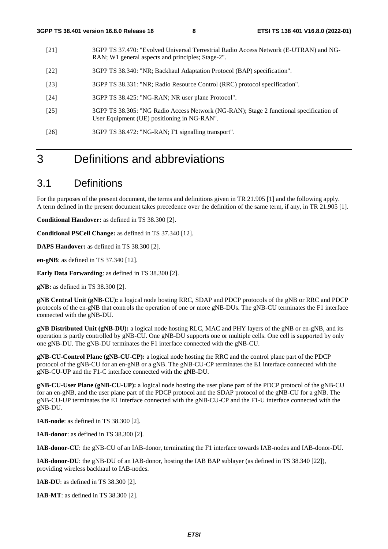- [21] 3GPP TS 37.470: "Evolved Universal Terrestrial Radio Access Network (E-UTRAN) and NG-RAN; W1 general aspects and principles; Stage-2".
- [22] 3GPP TS 38.340: "NR; Backhaul Adaptation Protocol (BAP) specification".
- [23] 3GPP TS 38.331: "NR; Radio Resource Control (RRC) protocol specification".
- [24] 3GPP TS 38.425: "NG-RAN; NR user plane Protocol".
- [25] 3GPP TS 38.305: "NG Radio Access Network (NG-RAN); Stage 2 functional specification of User Equipment (UE) positioning in NG-RAN".
- [26] 3GPP TS 38.472: "NG-RAN; F1 signalling transport".

## 3 Definitions and abbreviations

### 3.1 Definitions

For the purposes of the present document, the terms and definitions given in TR 21.905 [1] and the following apply. A term defined in the present document takes precedence over the definition of the same term, if any, in TR 21.905 [1].

**Conditional Handover:** as defined in TS 38.300 [2].

**Conditional PSCell Change:** as defined in TS 37.340 [12].

**DAPS Handover:** as defined in TS 38.300 [2].

**en-gNB**: as defined in TS 37.340 [12].

**Early Data Forwarding**: as defined in TS 38.300 [2].

**gNB:** as defined in TS 38.300 [2].

**gNB Central Unit (gNB-CU):** a logical node hosting RRC, SDAP and PDCP protocols of the gNB or RRC and PDCP protocols of the en-gNB that controls the operation of one or more gNB-DUs. The gNB-CU terminates the F1 interface connected with the gNB-DU.

**gNB Distributed Unit (gNB-DU):** a logical node hosting RLC, MAC and PHY layers of the gNB or en-gNB, and its operation is partly controlled by gNB-CU. One gNB-DU supports one or multiple cells. One cell is supported by only one gNB-DU. The gNB-DU terminates the F1 interface connected with the gNB-CU.

**gNB-CU-Control Plane (gNB-CU-CP):** a logical node hosting the RRC and the control plane part of the PDCP protocol of the gNB-CU for an en-gNB or a gNB. The gNB-CU-CP terminates the E1 interface connected with the gNB-CU-UP and the F1-C interface connected with the gNB-DU.

**gNB-CU-User Plane (gNB-CU-UP):** a logical node hosting the user plane part of the PDCP protocol of the gNB-CU for an en-gNB, and the user plane part of the PDCP protocol and the SDAP protocol of the gNB-CU for a gNB. The gNB-CU-UP terminates the E1 interface connected with the gNB-CU-CP and the F1-U interface connected with the gNB-DU.

**IAB-node**: as defined in TS 38.300 [2].

**IAB-donor**: as defined in TS 38.300 [2].

**IAB-donor-CU**: the gNB-CU of an IAB-donor, terminating the F1 interface towards IAB-nodes and IAB-donor-DU.

**IAB-donor-DU**: the gNB-DU of an IAB-donor, hosting the IAB BAP sublayer (as defined in TS 38.340 [22]), providing wireless backhaul to IAB-nodes.

**IAB-DU**: as defined in TS 38.300 [2].

**IAB-MT**: as defined in TS 38.300 [2].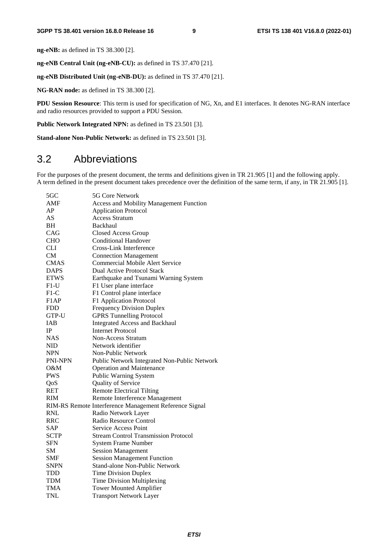**ng-eNB:** as defined in TS 38.300 [2].

**ng-eNB Central Unit (ng-eNB-CU):** as defined in TS 37.470 [21].

**ng-eNB Distributed Unit (ng-eNB-DU):** as defined in TS 37.470 [21].

**NG-RAN node:** as defined in TS 38.300 [2].

**PDU Session Resource**: This term is used for specification of NG, Xn, and E1 interfaces. It denotes NG-RAN interface and radio resources provided to support a PDU Session.

**Public Network Integrated NPN:** as defined in TS 23.501 [3].

**Stand-alone Non-Public Network:** as defined in TS 23.501 [3].

### 3.2 Abbreviations

For the purposes of the present document, the terms and definitions given in TR 21.905 [1] and the following apply. A term defined in the present document takes precedence over the definition of the same term, if any, in TR 21.905 [1].

| 5 <sub>GC</sub> | 5G Core Network                                        |  |  |  |  |
|-----------------|--------------------------------------------------------|--|--|--|--|
| AMF             | <b>Access and Mobility Management Function</b>         |  |  |  |  |
| AP              | <b>Application Protocol</b>                            |  |  |  |  |
| AS              | <b>Access Stratum</b>                                  |  |  |  |  |
| <b>BH</b>       | Backhaul                                               |  |  |  |  |
| CAG             | Closed Access Group                                    |  |  |  |  |
| <b>CHO</b>      | <b>Conditional Handover</b>                            |  |  |  |  |
| <b>CLI</b>      | Cross-Link Interference                                |  |  |  |  |
| <b>CM</b>       | <b>Connection Management</b>                           |  |  |  |  |
| <b>CMAS</b>     | <b>Commercial Mobile Alert Service</b>                 |  |  |  |  |
| <b>DAPS</b>     | Dual Active Protocol Stack                             |  |  |  |  |
| <b>ETWS</b>     | Earthquake and Tsunami Warning System                  |  |  |  |  |
| $F1-U$          | F1 User plane interface                                |  |  |  |  |
| F1-C            | F1 Control plane interface                             |  |  |  |  |
| F1AP            | F1 Application Protocol                                |  |  |  |  |
| <b>FDD</b>      | <b>Frequency Division Duplex</b>                       |  |  |  |  |
| GTP-U           | <b>GPRS Tunnelling Protocol</b>                        |  |  |  |  |
| IAB             | <b>Integrated Access and Backhaul</b>                  |  |  |  |  |
| IP              | <b>Internet Protocol</b>                               |  |  |  |  |
| <b>NAS</b>      | <b>Non-Access Stratum</b>                              |  |  |  |  |
| <b>NID</b>      | Network identifier                                     |  |  |  |  |
| NPN             | Non-Public Network                                     |  |  |  |  |
| <b>PNI-NPN</b>  | Public Network Integrated Non-Public Network           |  |  |  |  |
| O&M             | <b>Operation and Maintenance</b>                       |  |  |  |  |
| <b>PWS</b>      | Public Warning System                                  |  |  |  |  |
| QoS             | Quality of Service                                     |  |  |  |  |
| <b>RET</b>      | <b>Remote Electrical Tilting</b>                       |  |  |  |  |
| <b>RIM</b>      | Remote Interference Management                         |  |  |  |  |
|                 | RIM-RS Remote Interference Management Reference Signal |  |  |  |  |
| RNL             | Radio Network Layer                                    |  |  |  |  |
| RRC             | Radio Resource Control                                 |  |  |  |  |
| SAP             | Service Access Point                                   |  |  |  |  |
| <b>SCTP</b>     | <b>Stream Control Transmission Protocol</b>            |  |  |  |  |
| <b>SFN</b>      | <b>System Frame Number</b>                             |  |  |  |  |
| SМ              | <b>Session Management</b>                              |  |  |  |  |
| SMF             | <b>Session Management Function</b>                     |  |  |  |  |
| <b>SNPN</b>     | Stand-alone Non-Public Network                         |  |  |  |  |
| <b>TDD</b>      | <b>Time Division Duplex</b>                            |  |  |  |  |
| <b>TDM</b>      | Time Division Multiplexing                             |  |  |  |  |
| <b>TMA</b>      | <b>Tower Mounted Amplifier</b>                         |  |  |  |  |
| <b>TNL</b>      | <b>Transport Network Layer</b>                         |  |  |  |  |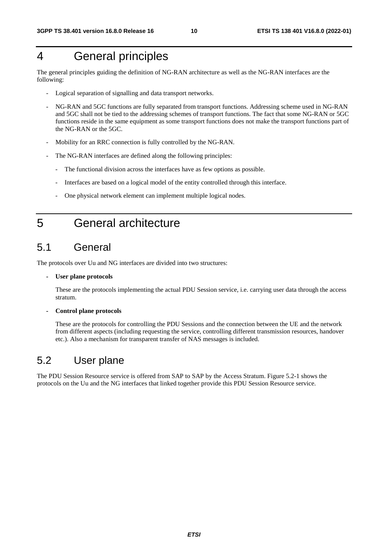# 4 General principles

The general principles guiding the definition of NG-RAN architecture as well as the NG-RAN interfaces are the following:

- Logical separation of signalling and data transport networks.
- NG-RAN and 5GC functions are fully separated from transport functions. Addressing scheme used in NG-RAN and 5GC shall not be tied to the addressing schemes of transport functions. The fact that some NG-RAN or 5GC functions reside in the same equipment as some transport functions does not make the transport functions part of the NG-RAN or the 5GC.
- Mobility for an RRC connection is fully controlled by the NG-RAN.
- The NG-RAN interfaces are defined along the following principles:
	- The functional division across the interfaces have as few options as possible.
	- Interfaces are based on a logical model of the entity controlled through this interface.
	- One physical network element can implement multiple logical nodes.
- 5 General architecture

### 5.1 General

The protocols over Uu and NG interfaces are divided into two structures:

#### **- User plane protocols**

These are the protocols implementing the actual PDU Session service, i.e. carrying user data through the access stratum.

#### **- Control plane protocols**

These are the protocols for controlling the PDU Sessions and the connection between the UE and the network from different aspects (including requesting the service, controlling different transmission resources, handover etc.). Also a mechanism for transparent transfer of NAS messages is included.

### 5.2 User plane

The PDU Session Resource service is offered from SAP to SAP by the Access Stratum. Figure 5.2-1 shows the protocols on the Uu and the NG interfaces that linked together provide this PDU Session Resource service.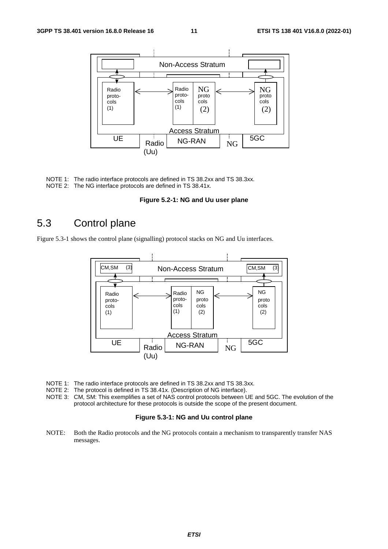

NOTE 1: The radio interface protocols are defined in TS 38.2xx and TS 38.3xx. NOTE 2: The NG interface protocols are defined in TS 38.41x.

**Figure 5.2-1: NG and Uu user plane** 

### 5.3 Control plane

Figure 5.3-1 shows the control plane (signalling) protocol stacks on NG and Uu interfaces.



- NOTE 1: The radio interface protocols are defined in TS 38.2xx and TS 38.3xx.
- NOTE 2: The protocol is defined in TS 38.41x. (Description of NG interface).
- NOTE 3: CM, SM: This exemplifies a set of NAS control protocols between UE and 5GC. The evolution of the protocol architecture for these protocols is outside the scope of the present document.

#### **Figure 5.3-1: NG and Uu control plane**

NOTE: Both the Radio protocols and the NG protocols contain a mechanism to transparently transfer NAS messages.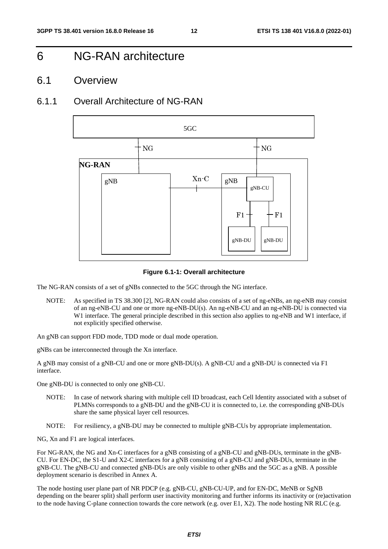# 6 NG-RAN architecture

### 6.1 Overview

### 6.1.1 Overall Architecture of NG-RAN



#### **Figure 6.1-1: Overall architecture**

The NG-RAN consists of a set of gNBs connected to the 5GC through the NG interface.

NOTE: As specified in TS 38.300 [2], NG-RAN could also consists of a set of ng-eNBs, an ng-eNB may consist of an ng-eNB-CU and one or more ng-eNB-DU(s). An ng-eNB-CU and an ng-eNB-DU is connected via W1 interface. The general principle described in this section also applies to ng-eNB and W1 interface, if not explicitly specified otherwise.

An gNB can support FDD mode, TDD mode or dual mode operation.

gNBs can be interconnected through the Xn interface.

A gNB may consist of a gNB-CU and one or more gNB-DU(s). A gNB-CU and a gNB-DU is connected via F1 interface.

One gNB-DU is connected to only one gNB-CU.

- NOTE: In case of network sharing with multiple cell ID broadcast, each Cell Identity associated with a subset of PLMNs corresponds to a gNB-DU and the gNB-CU it is connected to, i.e. the corresponding gNB-DUs share the same physical layer cell resources.
- NOTE: For resiliency, a gNB-DU may be connected to multiple gNB-CUs by appropriate implementation.

NG, Xn and F1 are logical interfaces.

For NG-RAN, the NG and Xn-C interfaces for a gNB consisting of a gNB-CU and gNB-DUs, terminate in the gNB-CU. For EN-DC, the S1-U and X2-C interfaces for a gNB consisting of a gNB-CU and gNB-DUs, terminate in the gNB-CU. The gNB-CU and connected gNB-DUs are only visible to other gNBs and the 5GC as a gNB. A possible deployment scenario is described in Annex A.

The node hosting user plane part of NR PDCP (e.g. gNB-CU, gNB-CU-UP, and for EN-DC, MeNB or SgNB depending on the bearer split) shall perform user inactivity monitoring and further informs its inactivity or (re)activation to the node having C-plane connection towards the core network (e.g. over E1, X2). The node hosting NR RLC (e.g.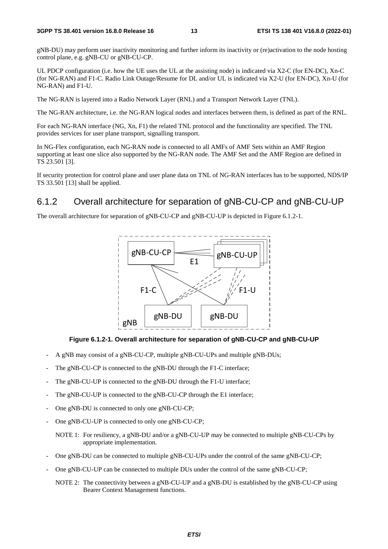gNB-DU) may perform user inactivity monitoring and further inform its inactivity or (re)activation to the node hosting control plane, e.g. gNB-CU or gNB-CU-CP.

UL PDCP configuration (i.e. how the UE uses the UL at the assisting node) is indicated via X2-C (for EN-DC), Xn-C (for NG-RAN) and F1-C. Radio Link Outage/Resume for DL and/or UL is indicated via X2-U (for EN-DC), Xn-U (for NG-RAN) and F1-U.

The NG-RAN is layered into a Radio Network Layer (RNL) and a Transport Network Layer (TNL).

The NG-RAN architecture, i.e. the NG-RAN logical nodes and interfaces between them, is defined as part of the RNL.

For each NG-RAN interface (NG, Xn, F1) the related TNL protocol and the functionality are specified. The TNL provides services for user plane transport, signalling transport.

In NG-Flex configuration, each NG-RAN node is connected to all AMFs of AMF Sets within an AMF Region supporting at least one slice also supported by the NG-RAN node. The AMF Set and the AMF Region are defined in TS 23.501 [3].

If security protection for control plane and user plane data on TNL of NG-RAN interfaces has to be supported, NDS/IP TS 33.501 [13] shall be applied.

### 6.1.2 Overall architecture for separation of gNB-CU-CP and gNB-CU-UP

The overall architecture for separation of gNB-CU-CP and gNB-CU-UP is depicted in Figure 6.1.2-1.



#### **Figure 6.1.2-1. Overall architecture for separation of gNB-CU-CP and gNB-CU-UP**

- A gNB may consist of a gNB-CU-CP, multiple gNB-CU-UPs and multiple gNB-DUs;
- The gNB-CU-CP is connected to the gNB-DU through the F1-C interface;
- The gNB-CU-UP is connected to the gNB-DU through the F1-U interface;
- The gNB-CU-UP is connected to the gNB-CU-CP through the E1 interface;
- One gNB-DU is connected to only one gNB-CU-CP;
- One gNB-CU-UP is connected to only one gNB-CU-CP;

NOTE 1: For resiliency, a gNB-DU and/or a gNB-CU-UP may be connected to multiple gNB-CU-CPs by appropriate implementation.

- One gNB-DU can be connected to multiple gNB-CU-UPs under the control of the same gNB-CU-CP;
- One gNB-CU-UP can be connected to multiple DUs under the control of the same gNB-CU-CP;
	- NOTE 2: The connectivity between a gNB-CU-UP and a gNB-DU is established by the gNB-CU-CP using Bearer Context Management functions.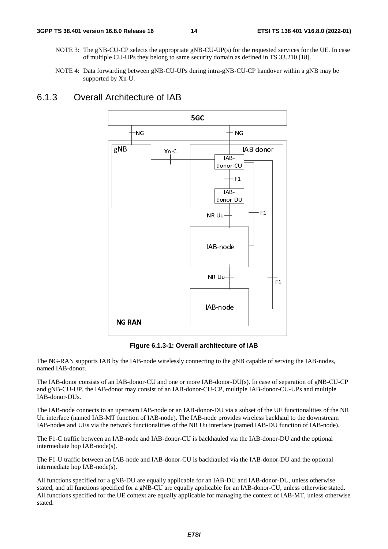- NOTE 3: The gNB-CU-CP selects the appropriate gNB-CU-UP(s) for the requested services for the UE. In case of multiple CU-UPs they belong to same security domain as defined in TS 33.210 [18].
- NOTE 4: Data forwarding between gNB-CU-UPs during intra-gNB-CU-CP handover within a gNB may be supported by Xn-U.

### 6.1.3 Overall Architecture of IAB



**Figure 6.1.3-1: Overall architecture of IAB** 

The NG-RAN supports IAB by the IAB-node wirelessly connecting to the gNB capable of serving the IAB-nodes, named IAB-donor.

The IAB-donor consists of an IAB-donor-CU and one or more IAB-donor-DU(s). In case of separation of gNB-CU-CP and gNB-CU-UP, the IAB-donor may consist of an IAB-donor-CU-CP, multiple IAB-donor-CU-UPs and multiple IAB-donor-DUs.

The IAB-node connects to an upstream IAB-node or an IAB-donor-DU via a subset of the UE functionalities of the NR Uu interface (named IAB-MT function of IAB-node). The IAB-node provides wireless backhaul to the downstream IAB-nodes and UEs via the network functionalities of the NR Uu interface (named IAB-DU function of IAB-node).

The F1-C traffic between an IAB-node and IAB-donor-CU is backhauled via the IAB-donor-DU and the optional intermediate hop IAB-node(s).

The F1-U traffic between an IAB-node and IAB-donor-CU is backhauled via the IAB-donor-DU and the optional intermediate hop IAB-node(s).

All functions specified for a gNB-DU are equally applicable for an IAB-DU and IAB-donor-DU, unless otherwise stated, and all functions specified for a gNB-CU are equally applicable for an IAB-donor-CU, unless otherwise stated. All functions specified for the UE context are equally applicable for managing the context of IAB-MT, unless otherwise stated.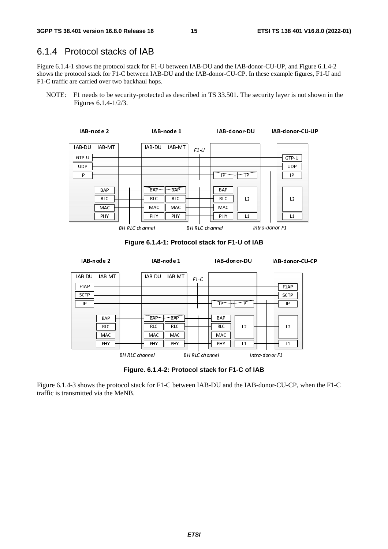### 6.1.4 Protocol stacks of IAB

Figure 6.1.4-1 shows the protocol stack for F1-U between IAB-DU and the IAB-donor-CU-UP, and Figure 6.1.4-2 shows the protocol stack for F1-C between IAB-DU and the IAB-donor-CU-CP. In these example figures, F1-U and F1-C traffic are carried over two backhaul hops.

NOTE: F1 needs to be security-protected as described in TS 33.501. The security layer is not shown in the Figures 6.1.4-1/2/3.



**Figure 6.1.4-1: Protocol stack for F1-U of IAB** 



**Figure. 6.1.4-2: Protocol stack for F1-C of IAB** 

Figure 6.1.4-3 shows the protocol stack for F1-C between IAB-DU and the IAB-donor-CU-CP, when the F1-C traffic is transmitted via the MeNB.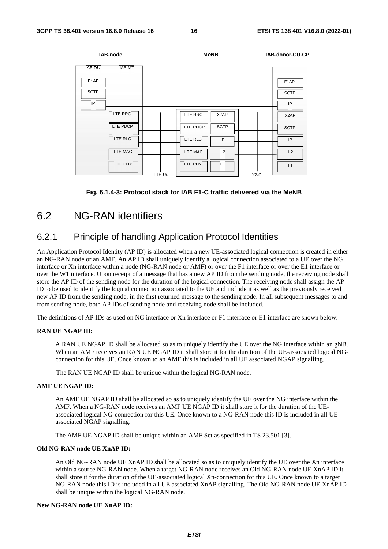| IAB-node          |          |        | MeNB                    |        | IAB-donor-CU-CP   |
|-------------------|----------|--------|-------------------------|--------|-------------------|
| <b>IAB-DU</b>     | IAB-MT   |        |                         |        |                   |
| F <sub>1</sub> AP |          |        |                         |        | F <sub>1</sub> AP |
| <b>SCTP</b>       |          |        |                         |        | <b>SCTP</b>       |
| IP                |          |        |                         |        | IP                |
|                   | LTE RRC  |        | LTE RRC<br>X2AP         |        | X2AP              |
|                   | LTE PDCP |        | <b>SCTP</b><br>LTE PDCP |        | <b>SCTP</b>       |
|                   | LTE RLC  |        | LTE RLC<br>IP           |        | IP                |
|                   | LTE MAC  |        | LTE MAC<br>L2           |        | L2                |
|                   | LTE PHY  |        | LTE PHY<br>L1           |        | L1                |
|                   |          | LTE-Uu |                         | $X2-C$ |                   |

#### **Fig. 6.1.4-3: Protocol stack for IAB F1-C traffic delivered via the MeNB**

### 6.2 NG-RAN identifiers

### 6.2.1 Principle of handling Application Protocol Identities

An Application Protocol Identity (AP ID) is allocated when a new UE-associated logical connection is created in either an NG-RAN node or an AMF. An AP ID shall uniquely identify a logical connection associated to a UE over the NG interface or Xn interface within a node (NG-RAN node or AMF) or over the F1 interface or over the E1 interface or over the W1 interface. Upon receipt of a message that has a new AP ID from the sending node, the receiving node shall store the AP ID of the sending node for the duration of the logical connection. The receiving node shall assign the AP ID to be used to identify the logical connection associated to the UE and include it as well as the previously received new AP ID from the sending node, in the first returned message to the sending node. In all subsequent messages to and from sending node, both AP IDs of sending node and receiving node shall be included.

The definitions of AP IDs as used on NG interface or Xn interface or F1 interface or E1 interface are shown below:

#### **RAN UE NGAP ID:**

 A RAN UE NGAP ID shall be allocated so as to uniquely identify the UE over the NG interface within an gNB. When an AMF receives an RAN UE NGAP ID it shall store it for the duration of the UE-associated logical NGconnection for this UE. Once known to an AMF this is included in all UE associated NGAP signalling.

The RAN UE NGAP ID shall be unique within the logical NG-RAN node.

#### **AMF UE NGAP ID:**

 An AMF UE NGAP ID shall be allocated so as to uniquely identify the UE over the NG interface within the AMF. When a NG-RAN node receives an AMF UE NGAP ID it shall store it for the duration of the UEassociated logical NG-connection for this UE. Once known to a NG-RAN node this ID is included in all UE associated NGAP signalling.

The AMF UE NGAP ID shall be unique within an AMF Set as specified in TS 23.501 [3].

#### **Old NG-RAN node UE XnAP ID:**

 An Old NG-RAN node UE XnAP ID shall be allocated so as to uniquely identify the UE over the Xn interface within a source NG-RAN node. When a target NG-RAN node receives an Old NG-RAN node UE XnAP ID it shall store it for the duration of the UE-associated logical Xn-connection for this UE. Once known to a target NG-RAN node this ID is included in all UE associated XnAP signalling. The Old NG-RAN node UE XnAP ID shall be unique within the logical NG-RAN node.

#### **New NG-RAN node UE XnAP ID:**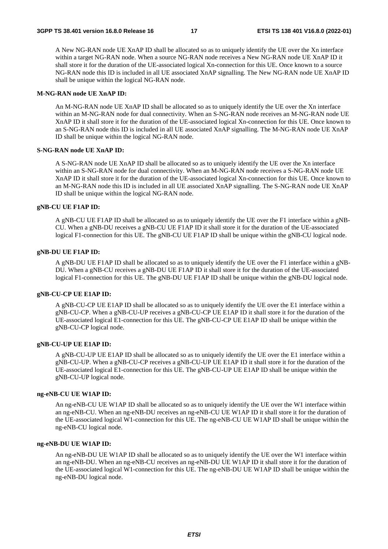A New NG-RAN node UE XnAP ID shall be allocated so as to uniquely identify the UE over the Xn interface within a target NG-RAN node. When a source NG-RAN node receives a New NG-RAN node UE XnAP ID it shall store it for the duration of the UE-associated logical Xn-connection for this UE. Once known to a source NG-RAN node this ID is included in all UE associated XnAP signalling. The New NG-RAN node UE XnAP ID shall be unique within the logical NG-RAN node.

#### **M-NG-RAN node UE XnAP ID:**

 An M-NG-RAN node UE XnAP ID shall be allocated so as to uniquely identify the UE over the Xn interface within an M-NG-RAN node for dual connectivity. When an S-NG-RAN node receives an M-NG-RAN node UE XnAP ID it shall store it for the duration of the UE-associated logical Xn-connection for this UE. Once known to an S-NG-RAN node this ID is included in all UE associated XnAP signalling. The M-NG-RAN node UE XnAP ID shall be unique within the logical NG-RAN node.

#### **S-NG-RAN node UE XnAP ID:**

 A S-NG-RAN node UE XnAP ID shall be allocated so as to uniquely identify the UE over the Xn interface within an S-NG-RAN node for dual connectivity. When an M-NG-RAN node receives a S-NG-RAN node UE XnAP ID it shall store it for the duration of the UE-associated logical Xn-connection for this UE. Once known to an M-NG-RAN node this ID is included in all UE associated XnAP signalling. The S-NG-RAN node UE XnAP ID shall be unique within the logical NG-RAN node.

#### **gNB-CU UE F1AP ID:**

A gNB-CU UE F1AP ID shall be allocated so as to uniquely identify the UE over the F1 interface within a gNB-CU. When a gNB-DU receives a gNB-CU UE F1AP ID it shall store it for the duration of the UE-associated logical F1-connection for this UE. The gNB-CU UE F1AP ID shall be unique within the gNB-CU logical node.

#### **gNB-DU UE F1AP ID:**

A gNB-DU UE F1AP ID shall be allocated so as to uniquely identify the UE over the F1 interface within a gNB-DU. When a gNB-CU receives a gNB-DU UE F1AP ID it shall store it for the duration of the UE-associated logical F1-connection for this UE. The gNB-DU UE F1AP ID shall be unique within the gNB-DU logical node.

#### **gNB-CU-CP UE E1AP ID:**

A gNB-CU-CP UE E1AP ID shall be allocated so as to uniquely identify the UE over the E1 interface within a gNB-CU-CP. When a gNB-CU-UP receives a gNB-CU-CP UE E1AP ID it shall store it for the duration of the UE-associated logical E1-connection for this UE. The gNB-CU-CP UE E1AP ID shall be unique within the gNB-CU-CP logical node.

#### **gNB-CU-UP UE E1AP ID:**

A gNB-CU-UP UE E1AP ID shall be allocated so as to uniquely identify the UE over the E1 interface within a gNB-CU-UP. When a gNB-CU-CP receives a gNB-CU-UP UE E1AP ID it shall store it for the duration of the UE-associated logical E1-connection for this UE. The gNB-CU-UP UE E1AP ID shall be unique within the gNB-CU-UP logical node.

#### **ng-eNB-CU UE W1AP ID:**

An ng-eNB-CU UE W1AP ID shall be allocated so as to uniquely identify the UE over the W1 interface within an ng-eNB-CU. When an ng-eNB-DU receives an ng-eNB-CU UE W1AP ID it shall store it for the duration of the UE-associated logical W1-connection for this UE. The ng-eNB-CU UE W1AP ID shall be unique within the ng-eNB-CU logical node.

#### **ng-eNB-DU UE W1AP ID:**

An ng-eNB-DU UE W1AP ID shall be allocated so as to uniquely identify the UE over the W1 interface within an ng-eNB-DU. When an ng-eNB-CU receives an ng-eNB-DU UE W1AP ID it shall store it for the duration of the UE-associated logical W1-connection for this UE. The ng-eNB-DU UE W1AP ID shall be unique within the ng-eNB-DU logical node.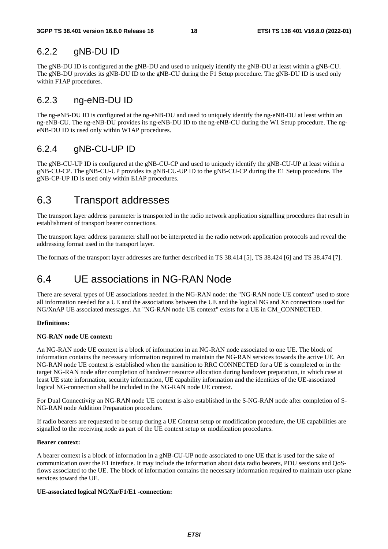### 6.2.2 gNB-DU ID

The gNB-DU ID is configured at the gNB-DU and used to uniquely identify the gNB-DU at least within a gNB-CU. The gNB-DU provides its gNB-DU ID to the gNB-CU during the F1 Setup procedure. The gNB-DU ID is used only within F1AP procedures.

### 6.2.3 ng-eNB-DU ID

The ng-eNB-DU ID is configured at the ng-eNB-DU and used to uniquely identify the ng-eNB-DU at least within an ng-eNB-CU. The ng-eNB-DU provides its ng-eNB-DU ID to the ng-eNB-CU during the W1 Setup procedure. The ngeNB-DU ID is used only within W1AP procedures.

### 6.2.4 gNB-CU-UP ID

The gNB-CU-UP ID is configured at the gNB-CU-CP and used to uniquely identify the gNB-CU-UP at least within a gNB-CU-CP. The gNB-CU-UP provides its gNB-CU-UP ID to the gNB-CU-CP during the E1 Setup procedure. The gNB-CP-UP ID is used only within E1AP procedures.

### 6.3 Transport addresses

The transport layer address parameter is transported in the radio network application signalling procedures that result in establishment of transport bearer connections.

The transport layer address parameter shall not be interpreted in the radio network application protocols and reveal the addressing format used in the transport layer.

The formats of the transport layer addresses are further described in TS 38.414 [5], TS 38.424 [6] and TS 38.474 [7].

# 6.4 UE associations in NG-RAN Node

There are several types of UE associations needed in the NG-RAN node: the "NG-RAN node UE context" used to store all information needed for a UE and the associations between the UE and the logical NG and Xn connections used for NG/XnAP UE associated messages. An "NG-RAN node UE context" exists for a UE in CM\_CONNECTED.

#### **Definitions:**

#### **NG-RAN node UE context:**

An NG-RAN node UE context is a block of information in an NG-RAN node associated to one UE. The block of information contains the necessary information required to maintain the NG-RAN services towards the active UE. An NG-RAN node UE context is established when the transition to RRC CONNECTED for a UE is completed or in the target NG-RAN node after completion of handover resource allocation during handover preparation, in which case at least UE state information, security information, UE capability information and the identities of the UE-associated logical NG-connection shall be included in the NG-RAN node UE context.

For Dual Connectivity an NG-RAN node UE context is also established in the S-NG-RAN node after completion of S-NG-RAN node Addition Preparation procedure.

If radio bearers are requested to be setup during a UE Context setup or modification procedure, the UE capabilities are signalled to the receiving node as part of the UE context setup or modification procedures.

#### **Bearer context:**

A bearer context is a block of information in a gNB-CU-UP node associated to one UE that is used for the sake of communication over the E1 interface. It may include the information about data radio bearers, PDU sessions and QoSflows associated to the UE. The block of information contains the necessary information required to maintain user-plane services toward the UE.

#### **UE-associated logical NG/Xn/F1/E1 -connection:**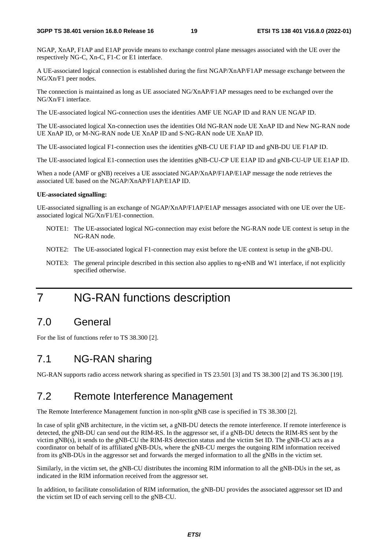NGAP, XnAP, F1AP and E1AP provide means to exchange control plane messages associated with the UE over the respectively NG-C, Xn-C, F1-C or E1 interface.

A UE-associated logical connection is established during the first NGAP/XnAP/F1AP message exchange between the NG/Xn/F1 peer nodes.

The connection is maintained as long as UE associated NG/XnAP/F1AP messages need to be exchanged over the NG/Xn/F1 interface.

The UE-associated logical NG-connection uses the identities AMF UE NGAP ID and RAN UE NGAP ID.

The UE-associated logical Xn-connection uses the identities Old NG-RAN node UE XnAP ID and New NG-RAN node UE XnAP ID, or M-NG-RAN node UE XnAP ID and S-NG-RAN node UE XnAP ID.

The UE-associated logical F1-connection uses the identities gNB-CU UE F1AP ID and gNB-DU UE F1AP ID.

The UE-associated logical E1-connection uses the identities gNB-CU-CP UE E1AP ID and gNB-CU-UP UE E1AP ID.

When a node (AMF or gNB) receives a UE associated NGAP/XnAP/F1AP/E1AP message the node retrieves the associated UE based on the NGAP/XnAP/F1AP/E1AP ID.

#### **UE-associated signalling:**

UE-associated signalling is an exchange of NGAP/XnAP/F1AP/E1AP messages associated with one UE over the UEassociated logical NG/Xn/F1/E1-connection.

- NOTE1: The UE-associated logical NG-connection may exist before the NG-RAN node UE context is setup in the NG-RAN node.
- NOTE2: The UE-associated logical F1-connection may exist before the UE context is setup in the gNB-DU.
- NOTE3: The general principle described in this section also applies to ng-eNB and W1 interface, if not explicitly specified otherwise.

# 7 NG-RAN functions description

# 7.0 General

For the list of functions refer to TS 38.300 [2].

# 7.1 NG-RAN sharing

NG-RAN supports radio access network sharing as specified in TS 23.501 [3] and TS 38.300 [2] and TS 36.300 [19].

# 7.2 Remote Interference Management

The Remote Interference Management function in non-split gNB case is specified in TS 38.300 [2].

In case of split gNB architecture, in the victim set, a gNB-DU detects the remote interference. If remote interference is detected, the gNB-DU can send out the RIM-RS. In the aggressor set, if a gNB-DU detects the RIM-RS sent by the victim gNB(s), it sends to the gNB-CU the RIM-RS detection status and the victim Set ID. The gNB-CU acts as a coordinator on behalf of its affiliated gNB-DUs, where the gNB-CU merges the outgoing RIM information received from its gNB-DUs in the aggressor set and forwards the merged information to all the gNBs in the victim set.

Similarly, in the victim set, the gNB-CU distributes the incoming RIM information to all the gNB-DUs in the set, as indicated in the RIM information received from the aggressor set.

In addition, to facilitate consolidation of RIM information, the gNB-DU provides the associated aggressor set ID and the victim set ID of each serving cell to the gNB-CU.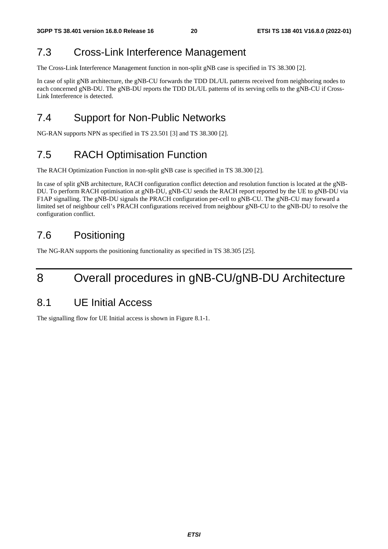### 7.3 Cross-Link Interference Management

The Cross-Link Interference Management function in non-split gNB case is specified in TS 38.300 [2].

In case of split gNB architecture, the gNB-CU forwards the TDD DL/UL patterns received from neighboring nodes to each concerned gNB-DU. The gNB-DU reports the TDD DL/UL patterns of its serving cells to the gNB-CU if Cross-Link Interference is detected.

# 7.4 Support for Non-Public Networks

NG-RAN supports NPN as specified in TS 23.501 [3] and TS 38.300 [2].

# 7.5 RACH Optimisation Function

The RACH Optimization Function in non-split gNB case is specified in TS 38.300 [2].

In case of split gNB architecture, RACH configuration conflict detection and resolution function is located at the gNB-DU. To perform RACH optimisation at gNB-DU, gNB-CU sends the RACH report reported by the UE to gNB-DU via F1AP signalling. The gNB-DU signals the PRACH configuration per-cell to gNB-CU. The gNB-CU may forward a limited set of neighbour cell's PRACH configurations received from neighbour gNB-CU to the gNB-DU to resolve the configuration conflict.

### 7.6 Positioning

The NG-RAN supports the positioning functionality as specified in TS 38.305 [25].

# 8 Overall procedures in gNB-CU/gNB-DU Architecture

### 8.1 UE Initial Access

The signalling flow for UE Initial access is shown in Figure 8.1-1.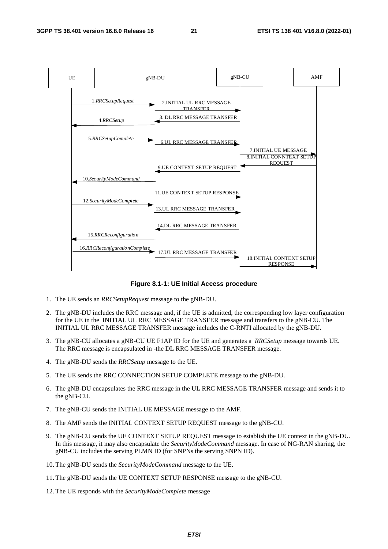

**Figure 8.1-1: UE Initial Access procedure** 

- 1. The UE sends an *RRCSetupRequest* message to the gNB-DU.
- 2. The gNB-DU includes the RRC message and, if the UE is admitted, the corresponding low layer configuration for the UE in the INITIAL UL RRC MESSAGE TRANSFER message and transfers to the gNB-CU. The INITIAL UL RRC MESSAGE TRANSFER message includes the C-RNTI allocated by the gNB-DU.
- 3. The gNB-CU allocates a gNB-CU UE F1AP ID for the UE and generates a *RRCSetup* message towards UE. The RRC message is encapsulated in -the DL RRC MESSAGE TRANSFER message.
- 4. The gNB-DU sends the *RRCSetup* message to the UE.
- 5. The UE sends the RRC CONNECTION SETUP COMPLETE message to the gNB-DU.
- 6. The gNB-DU encapsulates the RRC message in the UL RRC MESSAGE TRANSFER message and sends it to the gNB-CU.
- 7. The gNB-CU sends the INITIAL UE MESSAGE message to the AMF.
- 8. The AMF sends the INITIAL CONTEXT SETUP REQUEST message to the gNB-CU.
- 9. The gNB-CU sends the UE CONTEXT SETUP REQUEST message to establish the UE context in the gNB-DU. In this message, it may also encapsulate the *SecurityModeCommand* message. In case of NG-RAN sharing, the gNB-CU includes the serving PLMN ID (for SNPNs the serving SNPN ID).
- 10. The gNB-DU sends the *SecurityModeCommand* message to the UE.
- 11. The gNB-DU sends the UE CONTEXT SETUP RESPONSE message to the gNB-CU.
- 12. The UE responds with the *SecurityModeComplete* message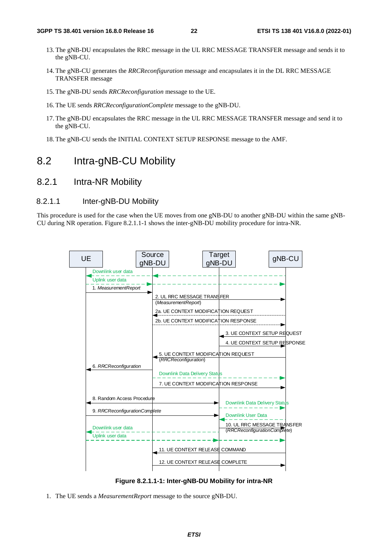- 13. The gNB-DU encapsulates the RRC message in the UL RRC MESSAGE TRANSFER message and sends it to the gNB-CU.
- 14. The gNB-CU generates the *RRCReconfiguration* message and encapsulates it in the DL RRC MESSAGE TRANSFER message
- 15. The gNB-DU sends *RRCReconfiguration* message to the UE.
- 16. The UE sends *RRCReconfigurationComplete* message to the gNB-DU.
- 17. The gNB-DU encapsulates the RRC message in the UL RRC MESSAGE TRANSFER message and send it to the gNB-CU.
- 18. The gNB-CU sends the INITIAL CONTEXT SETUP RESPONSE message to the AMF.

### 8.2 Intra-gNB-CU Mobility

### 8.2.1 Intra-NR Mobility

#### 8.2.1.1 Inter-gNB-DU Mobility

This procedure is used for the case when the UE moves from one gNB-DU to another gNB-DU within the same gNB-CU during NR operation. Figure 8.2.1.1-1 shows the inter-gNB-DU mobility procedure for intra-NR.



**Figure 8.2.1.1-1: Inter-gNB-DU Mobility for intra-NR** 

1. The UE sends a *MeasurementReport* message to the source gNB-DU.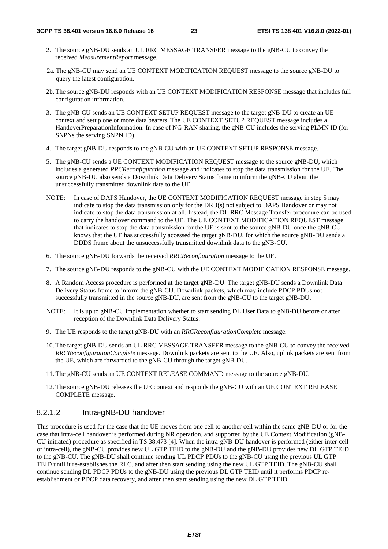- 2. The source gNB-DU sends an UL RRC MESSAGE TRANSFER message to the gNB-CU to convey the received *MeasurementReport* message.
- 2a. The gNB-CU may send an UE CONTEXT MODIFICATION REQUEST message to the source gNB-DU to query the latest configuration.
- 2b. The source gNB-DU responds with an UE CONTEXT MODIFICATION RESPONSE message that includes full configuration information.
- 3. The gNB-CU sends an UE CONTEXT SETUP REQUEST message to the target gNB-DU to create an UE context and setup one or more data bearers. The UE CONTEXT SETUP REQUEST message includes a HandoverPreparationInformation. In case of NG-RAN sharing, the gNB-CU includes the serving PLMN ID (for SNPNs the serving SNPN ID).
- 4. The target gNB-DU responds to the gNB-CU with an UE CONTEXT SETUP RESPONSE message.
- 5. The gNB-CU sends a UE CONTEXT MODIFICATION REQUEST message to the source gNB-DU, which includes a generated *RRCReconfiguration* message and indicates to stop the data transmission for the UE. The source gNB-DU also sends a Downlink Data Delivery Status frame to inform the gNB-CU about the unsuccessfully transmitted downlink data to the UE.
- NOTE: In case of DAPS Handover, the UE CONTEXT MODIFICATION REQUEST message in step 5 may indicate to stop the data transmission only for the DRB(s) not subject to DAPS Handover or may not indicate to stop the data transmission at all. Instead, the DL RRC Message Transfer procedure can be used to carry the handover command to the UE. The UE CONTEXT MODIFICATION REQUEST message that indicates to stop the data transmission for the UE is sent to the source gNB-DU once the gNB-CU knows that the UE has successfully accessed the target gNB-DU, for which the source gNB-DU sends a DDDS frame about the unsuccessfully transmitted downlink data to the gNB-CU.
- 6. The source gNB-DU forwards the received *RRCReconfiguration* message to the UE.
- 7. The source gNB-DU responds to the gNB-CU with the UE CONTEXT MODIFICATION RESPONSE message.
- 8. A Random Access procedure is performed at the target gNB-DU. The target gNB-DU sends a Downlink Data Delivery Status frame to inform the gNB-CU. Downlink packets, which may include PDCP PDUs not successfully transmitted in the source gNB-DU, are sent from the gNB-CU to the target gNB-DU.
- NOTE: It is up to gNB-CU implementation whether to start sending DL User Data to gNB-DU before or after reception of the Downlink Data Delivery Status.
- 9. The UE responds to the target gNB-DU with an *RRCReconfigurationComplete* message.
- 10. The target gNB-DU sends an UL RRC MESSAGE TRANSFER message to the gNB-CU to convey the received *RRCReconfigurationComplete* message. Downlink packets are sent to the UE. Also, uplink packets are sent from the UE, which are forwarded to the gNB-CU through the target gNB-DU.
- 11. The gNB-CU sends an UE CONTEXT RELEASE COMMAND message to the source gNB-DU.
- 12. The source gNB-DU releases the UE context and responds the gNB-CU with an UE CONTEXT RELEASE COMPLETE message.

### 8.2.1.2 Intra-gNB-DU handover

This procedure is used for the case that the UE moves from one cell to another cell within the same gNB-DU or for the case that intra-cell handover is performed during NR operation, and supported by the UE Context Modification (gNB-CU initiated) procedure as specified in TS 38.473 [4]. When the intra-gNB-DU handover is performed (either inter-cell or intra-cell), the gNB-CU provides new UL GTP TEID to the gNB-DU and the gNB-DU provides new DL GTP TEID to the gNB-CU. The gNB-DU shall continue sending UL PDCP PDUs to the gNB-CU using the previous UL GTP TEID until it re-establishes the RLC, and after then start sending using the new UL GTP TEID. The gNB-CU shall continue sending DL PDCP PDUs to the gNB-DU using the previous DL GTP TEID until it performs PDCP reestablishment or PDCP data recovery, and after then start sending using the new DL GTP TEID.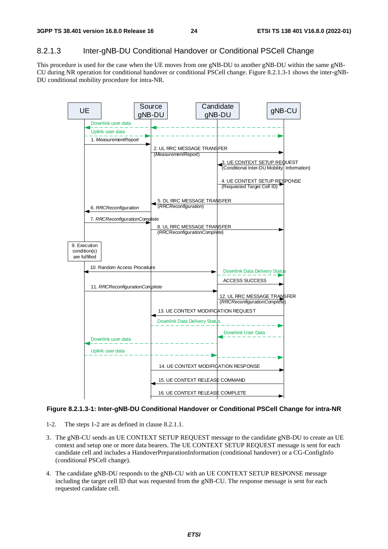#### 8.2.1.3 Inter-gNB-DU Conditional Handover or Conditional PSCell Change

This procedure is used for the case when the UE moves from one gNB-DU to another gNB-DU within the same gNB-CU during NR operation for conditional handover or conditional PSCell change. Figure 8.2.1.3-1 shows the inter-gNB-DU conditional mobility procedure for intra-NR.



#### **Figure 8.2.1.3-1: Inter-gNB-DU Conditional Handover or Conditional PSCell Change for intra-NR**

- 1-2. The steps 1-2 are as defined in clause 8.2.1.1.
- 3. The gNB-CU sends an UE CONTEXT SETUP REQUEST message to the candidate gNB-DU to create an UE context and setup one or more data bearers. The UE CONTEXT SETUP REQUEST message is sent for each candidate cell and includes a HandoverPreparationInformation (conditional handover) or a CG-ConfigInfo (conditional PSCell change).
- 4. The candidate gNB-DU responds to the gNB-CU with an UE CONTEXT SETUP RESPONSE message including the target cell ID that was requested from the gNB-CU. The response message is sent for each requested candidate cell.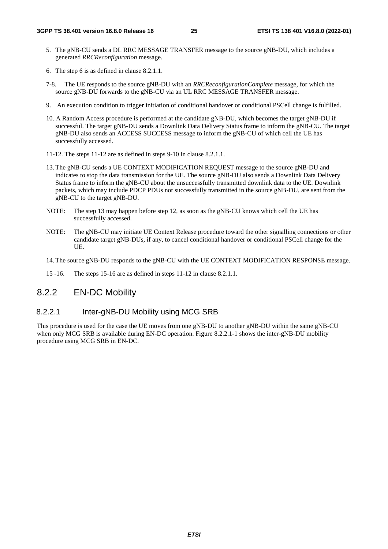- 5. The gNB-CU sends a DL RRC MESSAGE TRANSFER message to the source gNB-DU, which includes a generated *RRCReconfiguration* message.
- 6. The step 6 is as defined in clause 8.2.1.1.
- 7-8. The UE responds to the source gNB-DU with an *RRCReconfigurationComplete* message, for which the source gNB-DU forwards to the gNB-CU via an UL RRC MESSAGE TRANSFER message.
- 9. An execution condition to trigger initiation of conditional handover or conditional PSCell change is fulfilled.
- 10. A Random Access procedure is performed at the candidate gNB-DU, which becomes the target gNB-DU if successful. The target gNB-DU sends a Downlink Data Delivery Status frame to inform the gNB-CU. The target gNB-DU also sends an ACCESS SUCCESS message to inform the gNB-CU of which cell the UE has successfully accessed.
- 11-12. The steps 11-12 are as defined in steps 9-10 in clause 8.2.1.1.
- 13. The gNB-CU sends a UE CONTEXT MODIFICATION REQUEST message to the source gNB-DU and indicates to stop the data transmission for the UE. The source gNB-DU also sends a Downlink Data Delivery Status frame to inform the gNB-CU about the unsuccessfully transmitted downlink data to the UE. Downlink packets, which may include PDCP PDUs not successfully transmitted in the source gNB-DU, are sent from the gNB-CU to the target gNB-DU.
- NOTE: The step 13 may happen before step 12, as soon as the gNB-CU knows which cell the UE has successfully accessed.
- NOTE: The gNB-CU may initiate UE Context Release procedure toward the other signalling connections or other candidate target gNB-DUs, if any, to cancel conditional handover or conditional PSCell change for the UE.
- 14. The source gNB-DU responds to the gNB-CU with the UE CONTEXT MODIFICATION RESPONSE message.
- 15 -16. The steps 15-16 are as defined in steps 11-12 in clause 8.2.1.1.

### 8.2.2 EN-DC Mobility

#### 8.2.2.1 Inter-gNB-DU Mobility using MCG SRB

This procedure is used for the case the UE moves from one gNB-DU to another gNB-DU within the same gNB-CU when only MCG SRB is available during EN-DC operation. Figure 8.2.2.1-1 shows the inter-gNB-DU mobility procedure using MCG SRB in EN-DC.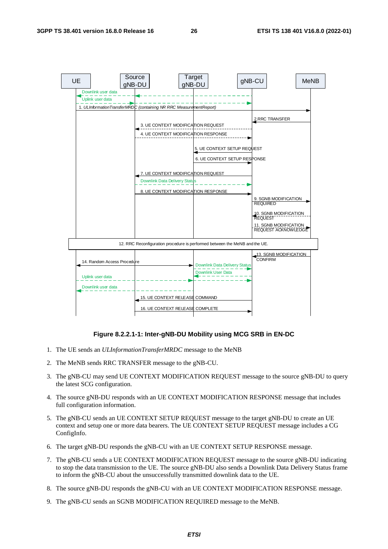

#### **Figure 8.2.2.1-1: Inter-gNB-DU Mobility using MCG SRB in EN-DC**

- 1. The UE sends an *ULInformationTransferMRDC* message to the MeNB
- 2. The MeNB sends RRC TRANSFER message to the gNB-CU.
- 3. The gNB-CU may send UE CONTEXT MODIFICATION REQUEST message to the source gNB-DU to query the latest SCG configuration.
- 4. The source gNB-DU responds with an UE CONTEXT MODIFICATION RESPONSE message that includes full configuration information.
- 5. The gNB-CU sends an UE CONTEXT SETUP REQUEST message to the target gNB-DU to create an UE context and setup one or more data bearers. The UE CONTEXT SETUP REQUEST message includes a CG ConfigInfo.
- 6. The target gNB-DU responds the gNB-CU with an UE CONTEXT SETUP RESPONSE message.
- 7. The gNB-CU sends a UE CONTEXT MODIFICATION REQUEST message to the source gNB-DU indicating to stop the data transmission to the UE. The source gNB-DU also sends a Downlink Data Delivery Status frame to inform the gNB-CU about the unsuccessfully transmitted downlink data to the UE.
- 8. The source gNB-DU responds the gNB-CU with an UE CONTEXT MODIFICATION RESPONSE message.
- 9. The gNB-CU sends an SGNB MODIFICATION REQUIRED message to the MeNB.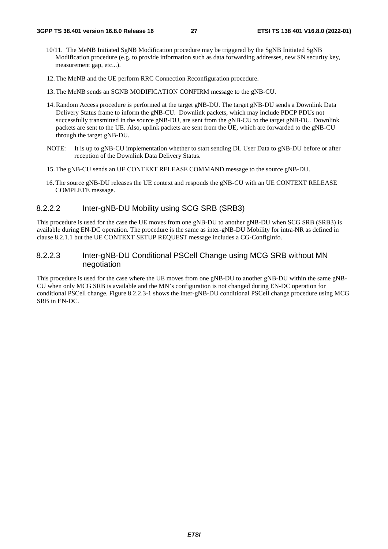- 10/11. The MeNB Initiated SgNB Modification procedure may be triggered by the SgNB Initiated SgNB Modification procedure (e.g. to provide information such as data forwarding addresses, new SN security key, measurement gap, etc...).
- 12. The MeNB and the UE perform RRC Connection Reconfiguration procedure.
- 13. The MeNB sends an SGNB MODIFICATION CONFIRM message to the gNB-CU.
- 14. Random Access procedure is performed at the target gNB-DU. The target gNB-DU sends a Downlink Data Delivery Status frame to inform the gNB-CU. Downlink packets, which may include PDCP PDUs not successfully transmitted in the source gNB-DU, are sent from the gNB-CU to the target gNB-DU. Downlink packets are sent to the UE. Also, uplink packets are sent from the UE, which are forwarded to the gNB-CU through the target gNB-DU.
- NOTE: It is up to gNB-CU implementation whether to start sending DL User Data to gNB-DU before or after reception of the Downlink Data Delivery Status.
- 15. The gNB-CU sends an UE CONTEXT RELEASE COMMAND message to the source gNB-DU.
- 16. The source gNB-DU releases the UE context and responds the gNB-CU with an UE CONTEXT RELEASE COMPLETE message.

#### 8.2.2.2 Inter-gNB-DU Mobility using SCG SRB (SRB3)

This procedure is used for the case the UE moves from one gNB-DU to another gNB-DU when SCG SRB (SRB3) is available during EN-DC operation. The procedure is the same as inter-gNB-DU Mobility for intra-NR as defined in clause 8.2.1.1 but the UE CONTEXT SETUP REQUEST message includes a CG-ConfigInfo.

#### 8.2.2.3 Inter-gNB-DU Conditional PSCell Change using MCG SRB without MN negotiation

This procedure is used for the case where the UE moves from one gNB-DU to another gNB-DU within the same gNB-CU when only MCG SRB is available and the MN's configuration is not changed during EN-DC operation for conditional PSCell change. Figure 8.2.2.3-1 shows the inter-gNB-DU conditional PSCell change procedure using MCG SRB in EN-DC.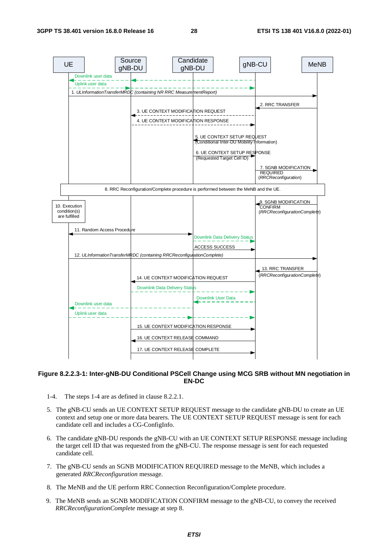

#### **Figure 8.2.2.3-1: Inter-gNB-DU Conditional PSCell Change using MCG SRB without MN negotiation in EN-DC**

- 1-4. The steps 1-4 are as defined in clause 8.2.2.1.
- 5. The gNB-CU sends an UE CONTEXT SETUP REQUEST message to the candidate gNB-DU to create an UE context and setup one or more data bearers. The UE CONTEXT SETUP REQUEST message is sent for each candidate cell and includes a CG-ConfigInfo.
- 6. The candidate gNB-DU responds the gNB-CU with an UE CONTEXT SETUP RESPONSE message including the target cell ID that was requested from the gNB-CU. The response message is sent for each requested candidate cell.
- 7. The gNB-CU sends an SGNB MODIFICATION REQUIRED message to the MeNB, which includes a generated *RRCReconfiguration* message.
- 8. The MeNB and the UE perform RRC Connection Reconfiguration/Complete procedure.
- 9. The MeNB sends an SGNB MODIFICATION CONFIRM message to the gNB-CU, to convey the received *RRCReconfigurationComplete* message at step 8.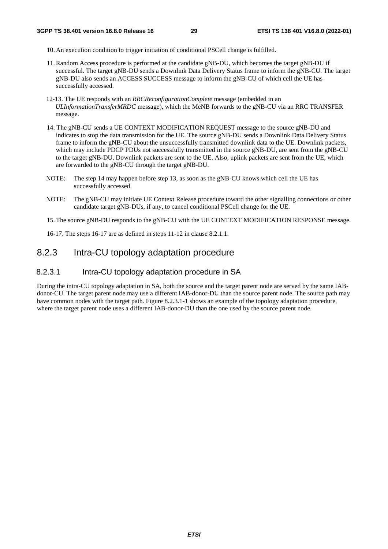- 10. An execution condition to trigger initiation of conditional PSCell change is fulfilled.
- 11. Random Access procedure is performed at the candidate gNB-DU, which becomes the target gNB-DU if successful. The target gNB-DU sends a Downlink Data Delivery Status frame to inform the gNB-CU. The target gNB-DU also sends an ACCESS SUCCESS message to inform the gNB-CU of which cell the UE has successfully accessed.
- 12-13. The UE responds with an *RRCReconfigurationComplete* message (embedded in an *ULInformationTransferMRDC* message), which the MeNB forwards to the gNB-CU via an RRC TRANSFER message.
- 14. The gNB-CU sends a UE CONTEXT MODIFICATION REQUEST message to the source gNB-DU and indicates to stop the data transmission for the UE. The source gNB-DU sends a Downlink Data Delivery Status frame to inform the gNB-CU about the unsuccessfully transmitted downlink data to the UE. Downlink packets, which may include PDCP PDUs not successfully transmitted in the source gNB-DU, are sent from the gNB-CU to the target gNB-DU. Downlink packets are sent to the UE. Also, uplink packets are sent from the UE, which are forwarded to the gNB-CU through the target gNB-DU.
- NOTE: The step 14 may happen before step 13, as soon as the gNB-CU knows which cell the UE has successfully accessed.
- NOTE: The gNB-CU may initiate UE Context Release procedure toward the other signalling connections or other candidate target gNB-DUs, if any, to cancel conditional PSCell change for the UE.
- 15. The source gNB-DU responds to the gNB-CU with the UE CONTEXT MODIFICATION RESPONSE message.
- 16-17. The steps 16-17 are as defined in steps 11-12 in clause 8.2.1.1.

### 8.2.3 Intra-CU topology adaptation procedure

#### 8.2.3.1 Intra-CU topology adaptation procedure in SA

During the intra-CU topology adaptation in SA, both the source and the target parent node are served by the same IABdonor-CU. The target parent node may use a different IAB-donor-DU than the source parent node. The source path may have common nodes with the target path. Figure 8.2.3.1-1 shows an example of the topology adaptation procedure, where the target parent node uses a different IAB-donor-DU than the one used by the source parent node.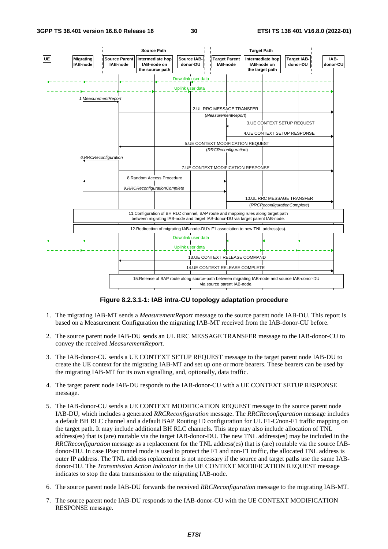

**Figure 8.2.3.1-1: IAB intra-CU topology adaptation procedure** 

- 1. The migrating IAB-MT sends a *MeasurementReport* message to the source parent node IAB-DU. This report is based on a Measurement Configuration the migrating IAB-MT received from the IAB-donor-CU before.
- 2. The source parent node IAB-DU sends an UL RRC MESSAGE TRANSFER message to the IAB-donor-CU to convey the received *MeasurementReport*.
- 3. The IAB-donor-CU sends a UE CONTEXT SETUP REQUEST message to the target parent node IAB-DU to create the UE context for the migrating IAB-MT and set up one or more bearers. These bearers can be used by the migrating IAB-MT for its own signalling, and, optionally, data traffic.
- 4. The target parent node IAB-DU responds to the IAB-donor-CU with a UE CONTEXT SETUP RESPONSE message.
- 5. The IAB-donor-CU sends a UE CONTEXT MODIFICATION REQUEST message to the source parent node IAB-DU, which includes a generated *RRCReconfiguration* message. The *RRCReconfiguration* message includes a default BH RLC channel and a default BAP Routing ID configuration for UL F1-C/non-F1 traffic mapping on the target path. It may include additional BH RLC channels. This step may also include allocation of TNL address(es) that is (are) routable via the target IAB-donor-DU. The new TNL address(es) may be included in the *RRCReconfiguration* message as a replacement for the TNL address(es) that is (are) routable via the source IABdonor-DU. In case IPsec tunnel mode is used to protect the F1 and non-F1 traffic, the allocated TNL address is outer IP address. The TNL address replacement is not necessary if the source and target paths use the same IABdonor-DU. The *Transmission Action Indicator* in the UE CONTEXT MODIFICATION REQUEST message indicates to stop the data transmission to the migrating IAB-node.
- 6. The source parent node IAB-DU forwards the received *RRCReconfiguration* message to the migrating IAB-MT.
- 7. The source parent node IAB-DU responds to the IAB-donor-CU with the UE CONTEXT MODIFICATION RESPONSE message.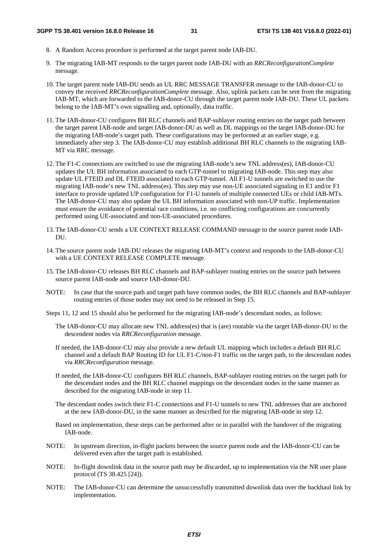- 8. A Random Access procedure is performed at the target parent node IAB-DU.
- 9. The migrating IAB-MT responds to the target parent node IAB-DU with an *RRCReconfigurationComplete* message.
- 10. The target parent node IAB-DU sends an UL RRC MESSAGE TRANSFER message to the IAB-donor-CU to convey the received *RRCReconfigurationComplete* message. Also, uplink packets can be sent from the migrating IAB-MT, which are forwarded to the IAB-donor-CU through the target parent node IAB-DU. These UL packets belong to the IAB-MT's own signalling and, optionally, data traffic.
- 11. The IAB-donor-CU configures BH RLC channels and BAP-sublayer routing entries on the target path between the target parent IAB-node and target IAB-donor-DU as well as DL mappings on the target IAB-donor-DU for the migrating IAB-node's target path. These configurations may be performed at an earlier stage, e.g. immediately after step 3. The IAB-donor-CU may establish additional BH RLC channels to the migrating IAB-MT via RRC message.
- 12. The F1-C connections are switched to use the migrating IAB-node's new TNL address(es), IAB-donor-CU updates the UL BH information associated to each GTP-tunnel to migrating IAB-node. This step may also update UL FTEID and DL FTEID associated to each GTP-tunnel. All F1-U tunnels are switched to use the migrating IAB-node's new TNL address(es). This step may use non-UE associated signaling in E1 and/or F1 interface to provide updated UP configuration for F1-U tunnels of multiple connected UEs or child IAB-MTs. The IAB-donor-CU may also update the UL BH information associated with non-UP traffic. Implementation must ensure the avoidance of potential race conditions, i.e. no conflicting configurations are concurrently performed using UE-associated and non-UE-associated procedures.
- 13. The IAB-donor-CU sends a UE CONTEXT RELEASE COMMAND message to the source parent node IAB-DU.
- 14. The source parent node IAB-DU releases the migrating IAB-MT's context and responds to the IAB-donor-CU with a UE CONTEXT RELEASE COMPLETE message.
- 15. The IAB-donor-CU releases BH RLC channels and BAP-sublayer routing entries on the source path between source parent IAB-node and source IAB-donor-DU.
- NOTE: In case that the source path and target path have common nodes, the BH RLC channels and BAP-sublayer routing entries of those nodes may not need to be released in Step 15.
- Steps 11, 12 and 15 should also be performed for the migrating IAB-node's descendant nodes, as follows:
	- The IAB-donor-CU may allocate new TNL address(es) that is (are) routable via the target IAB-donor-DU to the descendent nodes via *RRCReconfiguration* message.
	- If needed, the IAB-donor-CU may also provide a new default UL mapping which includes a default BH RLC channel and a default BAP Routing ID for UL F1-C/non-F1 traffic on the target path, to the descendant nodes via *RRCReconfiguration* message.
	- If needed, the IAB-donor-CU configures BH RLC channels, BAP-sublayer routing entries on the target path for the descendant nodes and the BH RLC channel mappings on the descendant nodes in the same manner as described for the migrating IAB-node in step 11.
	- The descendant nodes switch their F1-C connections and F1-U tunnels to new TNL addresses that are anchored at the new IAB-donor-DU, in the same manner as described for the migrating IAB-node in step 12.
	- Based on implementation, these steps can be performed after or in parallel with the handover of the migrating IAB-node.
- NOTE: In upstream direction, in-flight packets between the source parent node and the IAB-donor-CU can be delivered even after the target path is established.
- NOTE: In-flight downlink data in the source path may be discarded, up to implementation via the NR user plane protocol (TS 38.425 [24]).
- NOTE: The IAB-donor-CU can determine the unsuccessfully transmitted downlink data over the backhaul link by implementation.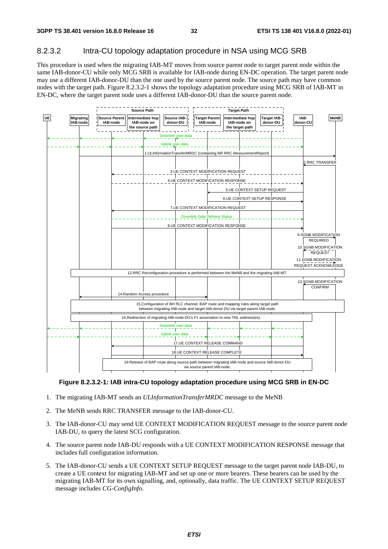#### 8.2.3.2 Intra-CU topology adaptation procedure in NSA using MCG SRB

This procedure is used when the migrating IAB-MT moves from source parent node to target parent node within the same IAB-donor-CU while only MCG SRB is available for IAB-node during EN-DC operation. The target parent node may use a different IAB-donor-DU than the one used by the source parent node. The source path may have common nodes with the target path. Figure 8.2.3.2-1 shows the topology adaptation procedure using MCG SRB of IAB-MT in EN-DC, where the target parent node uses a different IAB-donor-DU than the source parent node.



#### **Figure 8.2.3.2-1: IAB intra-CU topology adaptation procedure using MCG SRB in EN-DC**

- 1. The migrating IAB-MT sends an *ULInformationTransferMRDC* message to the MeNB
- 2. The MeNB sends RRC TRANSFER message to the IAB-donor-CU.
- 3. The IAB-donor-CU may send UE CONTEXT MODIFICATION REQUEST message to the source parent node IAB-DU, to query the latest SCG configuration.
- 4. The source parent node IAB-DU responds with a UE CONTEXT MODIFICATION RESPONSE message that includes full configuration information.
- 5. The IAB-donor-CU sends a UE CONTEXT SETUP REQUEST message to the target parent node IAB-DU, to create a UE context for migrating IAB-MT and set up one or more bearers. These bearers can be used by the migrating IAB-MT for its own signalling, and, optionally, data traffic. The UE CONTEXT SETUP REQUEST message includes *CG-ConfigInfo*.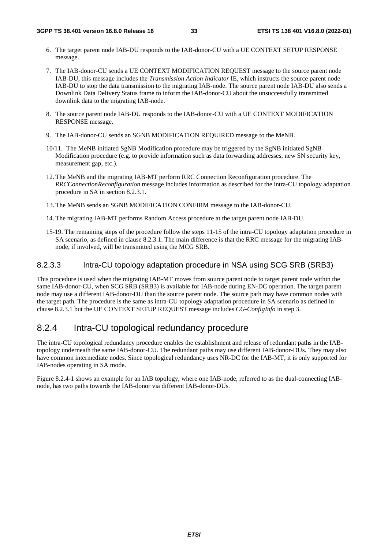- 6. The target parent node IAB-DU responds to the IAB-donor-CU with a UE CONTEXT SETUP RESPONSE message.
- 7. The IAB-donor-CU sends a UE CONTEXT MODIFICATION REQUEST message to the source parent node IAB-DU, this message includes the *Transmission Action Indicator* IE, which instructs the source parent node IAB-DU to stop the data transmission to the migrating IAB-node. The source parent node IAB-DU also sends a Downlink Data Delivery Status frame to inform the IAB-donor-CU about the unsuccessfully transmitted downlink data to the migrating IAB-node.
- 8. The source parent node IAB-DU responds to the IAB-donor-CU with a UE CONTEXT MODIFICATION RESPONSE message.
- 9. The IAB-donor-CU sends an SGNB MODIFICATION REQUIRED message to the MeNB.
- 10/11. The MeNB initiated SgNB Modification procedure may be triggered by the SgNB initiated SgNB Modification procedure (e.g. to provide information such as data forwarding addresses, new SN security key, measurement gap, etc.).
- 12. The MeNB and the migrating IAB-MT perform RRC Connection Reconfiguration procedure. The *RRCConnectionReconfiguration* message includes information as described for the intra-CU topology adaptation procedure in SA in section 8.2.3.1.
- 13. The MeNB sends an SGNB MODIFICATION CONFIRM message to the IAB-donor-CU.
- 14. The migrating IAB-MT performs Random Access procedure at the target parent node IAB-DU.
- 15-19. The remaining steps of the procedure follow the steps 11-15 of the intra-CU topology adaptation procedure in SA scenario, as defined in clause 8.2.3.1. The main difference is that the RRC message for the migrating IABnode, if involved, will be transmitted using the MCG SRB.

#### 8.2.3.3 Intra-CU topology adaptation procedure in NSA using SCG SRB (SRB3)

This procedure is used when the migrating IAB-MT moves from source parent node to target parent node within the same IAB-donor-CU, when SCG SRB (SRB3) is available for IAB-node during EN-DC operation. The target parent node may use a different IAB-donor-DU than the source parent node. The source path may have common nodes with the target path. The procedure is the same as intra-CU topology adaptation procedure in SA scenario as defined in clause 8.2.3.1 but the UE CONTEXT SETUP REQUEST message includes *CG-ConfigInfo* in step 3.

### 8.2.4 Intra-CU topological redundancy procedure

The intra-CU topological redundancy procedure enables the establishment and release of redundant paths in the IABtopology underneath the same IAB-donor-CU. The redundant paths may use different IAB-donor-DUs. They may also have common intermediate nodes. Since topological redundancy uses NR-DC for the IAB-MT, it is only supported for IAB-nodes operating in SA mode.

Figure 8.2.4-1 shows an example for an IAB topology, where one IAB-node, referred to as the dual-connecting IABnode, has two paths towards the IAB-donor via different IAB-donor-DUs.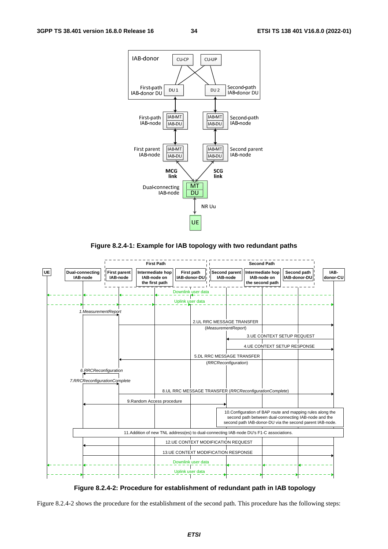

**Figure 8.2.4-1: Example for IAB topology with two redundant paths** 



 **Figure 8.2.4-2: Procedure for establishment of redundant path in IAB topology** 

Figure 8.2.4-2 shows the procedure for the establishment of the second path. This procedure has the following steps: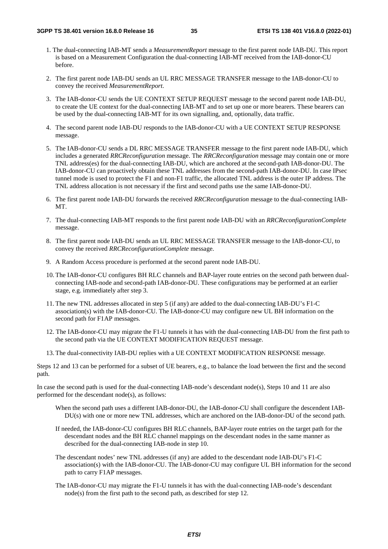- 1. The dual-connecting IAB-MT sends a *MeasurementReport* message to the first parent node IAB-DU. This report is based on a Measurement Configuration the dual-connecting IAB-MT received from the IAB-donor-CU before.
- 2. The first parent node IAB-DU sends an UL RRC MESSAGE TRANSFER message to the IAB-donor-CU to convey the received *MeasurementReport*.
- 3. The IAB-donor-CU sends the UE CONTEXT SETUP REQUEST message to the second parent node IAB-DU, to create the UE context for the dual-connecting IAB-MT and to set up one or more bearers. These bearers can be used by the dual-connecting IAB-MT for its own signalling, and, optionally, data traffic.
- 4. The second parent node IAB-DU responds to the IAB-donor-CU with a UE CONTEXT SETUP RESPONSE message.
- 5. The IAB-donor-CU sends a DL RRC MESSAGE TRANSFER message to the first parent node IAB-DU, which includes a generated *RRCReconfiguration* message. The *RRCReconfiguration* message may contain one or more TNL address(es) for the dual-connecting IAB-DU, which are anchored at the second-path IAB-donor-DU. The IAB-donor-CU can proactively obtain these TNL addresses from the second-path IAB-donor-DU. In case IPsec tunnel mode is used to protect the F1 and non-F1 traffic, the allocated TNL address is the outer IP address. The TNL address allocation is not necessary if the first and second paths use the same IAB-donor-DU.
- 6. The first parent node IAB-DU forwards the received *RRCReconfiguration* message to the dual-connecting IAB-MT.
- 7. The dual-connecting IAB-MT responds to the first parent node IAB-DU with an *RRCReconfigurationComplete* message.
- 8. The first parent node IAB-DU sends an UL RRC MESSAGE TRANSFER message to the IAB-donor-CU, to convey the received *RRCReconfigurationComplete* message.
- 9. A Random Access procedure is performed at the second parent node IAB-DU.
- 10. The IAB-donor-CU configures BH RLC channels and BAP-layer route entries on the second path between dualconnecting IAB-node and second-path IAB-donor-DU. These configurations may be performed at an earlier stage, e.g. immediately after step 3.
- 11. The new TNL addresses allocated in step 5 (if any) are added to the dual-connecting IAB-DU's F1-C association(s) with the IAB-donor-CU. The IAB-donor-CU may configure new UL BH information on the second path for F1AP messages.
- 12. The IAB-donor-CU may migrate the F1-U tunnels it has with the dual-connecting IAB-DU from the first path to the second path via the UE CONTEXT MODIFICATION REQUEST message.
- 13. The dual-connectivity IAB-DU replies with a UE CONTEXT MODIFICATION RESPONSE message.

Steps 12 and 13 can be performed for a subset of UE bearers, e.g., to balance the load between the first and the second path.

In case the second path is used for the dual-connecting IAB-node's descendant node(s), Steps 10 and 11 are also performed for the descendant node(s), as follows:

- When the second path uses a different IAB-donor-DU, the IAB-donor-CU shall configure the descendent IAB-DU(s) with one or more new TNL addresses, which are anchored on the IAB-donor-DU of the second path.
- If needed, the IAB-donor-CU configures BH RLC channels, BAP-layer route entries on the target path for the descendant nodes and the BH RLC channel mappings on the descendant nodes in the same manner as described for the dual-connecting IAB-node in step 10.
- The descendant nodes' new TNL addresses (if any) are added to the descendant node IAB-DU's F1-C association(s) with the IAB-donor-CU. The IAB-donor-CU may configure UL BH information for the second path to carry F1AP messages.
- The IAB-donor-CU may migrate the F1-U tunnels it has with the dual-connecting IAB-node's descendant node(s) from the first path to the second path, as described for step 12.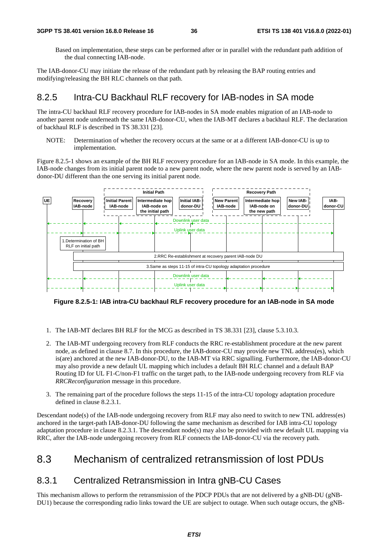Based on implementation, these steps can be performed after or in parallel with the redundant path addition of the dual connecting IAB-node.

The IAB-donor-CU may initiate the release of the redundant path by releasing the BAP routing entries and modifying/releasing the BH RLC channels on that path.

### 8.2.5 Intra-CU Backhaul RLF recovery for IAB-nodes in SA mode

The intra-CU backhaul RLF recovery procedure for IAB-nodes in SA mode enables migration of an IAB-node to another parent node underneath the same IAB-donor-CU, when the IAB-MT declares a backhaul RLF. The declaration of backhaul RLF is described in TS 38.331 [23].

NOTE: Determination of whether the recovery occurs at the same or at a different IAB-donor-CU is up to implementation.

Figure 8.2.5-1 shows an example of the BH RLF recovery procedure for an IAB-node in SA mode. In this example, the IAB-node changes from its initial parent node to a new parent node, where the new parent node is served by an IABdonor-DU different than the one serving its initial parent node.



**Figure 8.2.5-1: IAB intra-CU backhaul RLF recovery procedure for an IAB-node in SA mode** 

- 1. The IAB-MT declares BH RLF for the MCG as described in TS 38.331 [23], clause 5.3.10.3.
- 2. The IAB-MT undergoing recovery from RLF conducts the RRC re-establishment procedure at the new parent node, as defined in clause 8.7. In this procedure, the IAB-donor-CU may provide new TNL address(es), which is(are) anchored at the new IAB-donor-DU, to the IAB-MT via RRC signalling. Furthermore, the IAB-donor-CU may also provide a new default UL mapping which includes a default BH RLC channel and a default BAP Routing ID for UL F1-C/non-F1 traffic on the target path, to the IAB-node undergoing recovery from RLF via *RRCReconfiguration* message in this procedure.
- 3. The remaining part of the procedure follows the steps 11-15 of the intra-CU topology adaptation procedure defined in clause 8.2.3.1.

Descendant node(s) of the IAB-node undergoing recovery from RLF may also need to switch to new TNL address(es) anchored in the target-path IAB-donor-DU following the same mechanism as described for IAB intra-CU topology adaptation procedure in clause 8.2.3.1. The descendant node(s) may also be provided with new default UL mapping via RRC, after the IAB-node undergoing recovery from RLF connects the IAB-donor-CU via the recovery path.

# 8.3 Mechanism of centralized retransmission of lost PDUs

#### 8.3.1 Centralized Retransmission in Intra gNB-CU Cases

This mechanism allows to perform the retransmission of the PDCP PDUs that are not delivered by a gNB-DU (gNB-DU1) because the corresponding radio links toward the UE are subject to outage. When such outage occurs, the gNB-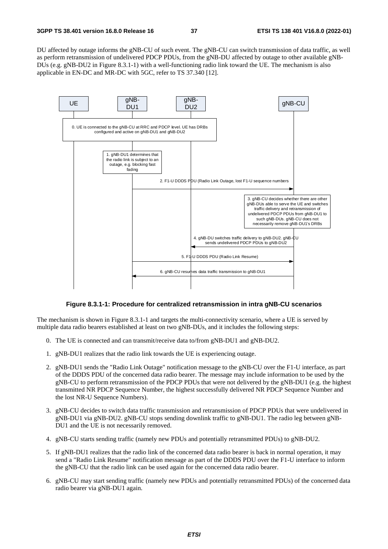DU affected by outage informs the gNB-CU of such event. The gNB-CU can switch transmission of data traffic, as well as perform retransmission of undelivered PDCP PDUs, from the gNB-DU affected by outage to other available gNB-DUs (e.g. gNB-DU2 in Figure 8.3.1-1) with a well-functioning radio link toward the UE. The mechanism is also applicable in EN-DC and MR-DC with 5GC, refer to TS 37.340 [12].



#### **Figure 8.3.1-1: Procedure for centralized retransmission in intra gNB-CU scenarios**

The mechanism is shown in Figure 8.3.1-1 and targets the multi-connectivity scenario, where a UE is served by multiple data radio bearers established at least on two gNB-DUs, and it includes the following steps:

- 0. The UE is connected and can transmit/receive data to/from gNB-DU1 and gNB-DU2.
- 1. gNB-DU1 realizes that the radio link towards the UE is experiencing outage.
- 2. gNB-DU1 sends the "Radio Link Outage" notification message to the gNB-CU over the F1-U interface, as part of the DDDS PDU of the concerned data radio bearer. The message may include information to be used by the gNB-CU to perform retransmission of the PDCP PDUs that were not delivered by the gNB-DU1 (e.g. the highest transmitted NR PDCP Sequence Number, the highest successfully delivered NR PDCP Sequence Number and the lost NR-U Sequence Numbers).
- 3. gNB-CU decides to switch data traffic transmission and retransmission of PDCP PDUs that were undelivered in gNB-DU1 via gNB-DU2. gNB-CU stops sending downlink traffic to gNB-DU1. The radio leg between gNB-DU1 and the UE is not necessarily removed.
- 4. gNB-CU starts sending traffic (namely new PDUs and potentially retransmitted PDUs) to gNB-DU2.
- 5. If gNB-DU1 realizes that the radio link of the concerned data radio bearer is back in normal operation, it may send a "Radio Link Resume" notification message as part of the DDDS PDU over the F1-U interface to inform the gNB-CU that the radio link can be used again for the concerned data radio bearer.
- 6. gNB-CU may start sending traffic (namely new PDUs and potentially retransmitted PDUs) of the concerned data radio bearer via gNB-DU1 again.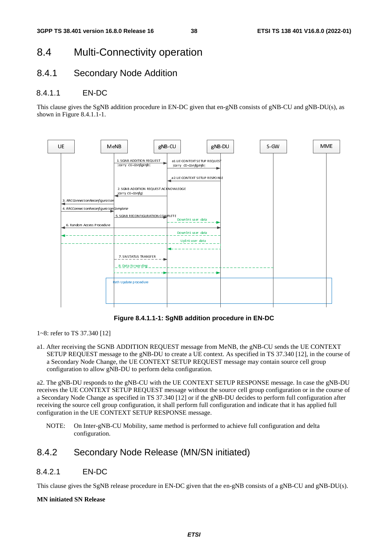# 8.4 Multi-Connectivity operation

## 8.4.1 Secondary Node Addition

#### 8.4.1.1 EN-DC

This clause gives the SgNB addition procedure in EN-DC given that en-gNB consists of gNB-CU and gNB-DU(s), as shown in Figure 8.4.1.1-1.



**Figure 8.4.1.1-1: SgNB addition procedure in EN-DC** 

1~8: refer to TS 37.340 [12]

a1. After receiving the SGNB ADDITION REQUEST message from MeNB, the gNB-CU sends the UE CONTEXT SETUP REQUEST message to the gNB-DU to create a UE context. As specified in TS 37.340 [12], in the course of a Secondary Node Change, the UE CONTEXT SETUP REQUEST message may contain source cell group configuration to allow gNB-DU to perform delta configuration.

a2. The gNB-DU responds to the gNB-CU with the UE CONTEXT SETUP RESPONSE message. In case the gNB-DU receives the UE CONTEXT SETUP REQUEST message without the source cell group configuration or in the course of a Secondary Node Change as specified in TS 37.340 [12] or if the gNB-DU decides to perform full configuration after receiving the source cell group configuration, it shall perform full configuration and indicate that it has applied full configuration in the UE CONTEXT SETUP RESPONSE message.

NOTE: On Inter-gNB-CU Mobility, same method is performed to achieve full configuration and delta configuration.

### 8.4.2 Secondary Node Release (MN/SN initiated)

#### 8.4.2.1 EN-DC

This clause gives the SgNB release procedure in EN-DC given that the en-gNB consists of a gNB-CU and gNB-DU(s).

#### **MN initiated SN Release**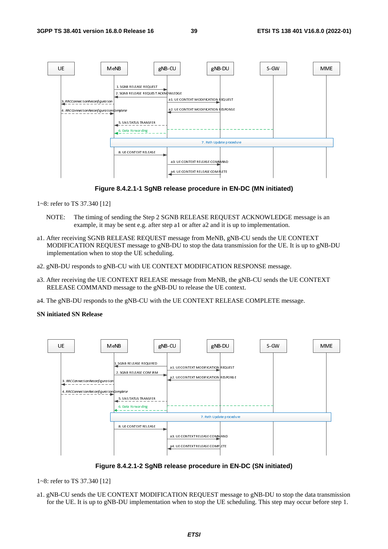

**Figure 8.4.2.1-1 SgNB release procedure in EN-DC (MN initiated)** 

- 1~8: refer to TS 37.340 [12]
	- NOTE: The timing of sending the Step 2 SGNB RELEASE REQUEST ACKNOWLEDGE message is an example, it may be sent e.g. after step a1 or after a2 and it is up to implementation.
- a1. After receiving SGNB RELEASE REQUEST message from MeNB, gNB-CU sends the UE CONTEXT MODIFICATION REQUEST message to gNB-DU to stop the data transmission for the UE. It is up to gNB-DU implementation when to stop the UE scheduling.
- a2. gNB-DU responds to gNB-CU with UE CONTEXT MODIFICATION RESPONSE message.
- a3. After receiving the UE CONTEXT RELEASE message from MeNB, the gNB-CU sends the UE CONTEXT RELEASE COMMAND message to the gNB-DU to release the UE context.
- a4. The gNB-DU responds to the gNB-CU with the UE CONTEXT RELEASE COMPLETE message.

#### **SN initiated SN Release**



**Figure 8.4.2.1-2 SgNB release procedure in EN-DC (SN initiated)** 

1~8: refer to TS 37.340 [12]

a1. gNB-CU sends the UE CONTEXT MODIFICATION REQUEST message to gNB-DU to stop the data transmission for the UE. It is up to gNB-DU implementation when to stop the UE scheduling. This step may occur before step 1.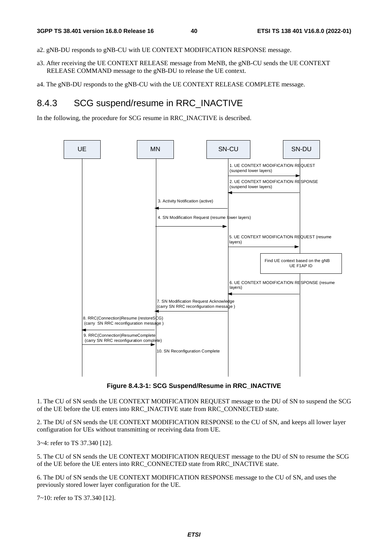- a2. gNB-DU responds to gNB-CU with UE CONTEXT MODIFICATION RESPONSE message.
- a3. After receiving the UE CONTEXT RELEASE message from MeNB, the gNB-CU sends the UE CONTEXT RELEASE COMMAND message to the gNB-DU to release the UE context.
- a4. The gNB-DU responds to the gNB-CU with the UE CONTEXT RELEASE COMPLETE message.

### 8.4.3 SCG suspend/resume in RRC\_INACTIVE

In the following, the procedure for SCG resume in RRC\_INACTIVE is described.



**Figure 8.4.3-1: SCG Suspend/Resume in RRC\_INACTIVE** 

1. The CU of SN sends the UE CONTEXT MODIFICATION REQUEST message to the DU of SN to suspend the SCG of the UE before the UE enters into RRC\_INACTIVE state from RRC\_CONNECTED state.

2. The DU of SN sends the UE CONTEXT MODIFICATION RESPONSE to the CU of SN, and keeps all lower layer configuration for UEs without transmitting or receiving data from UE.

3~4: refer to TS 37.340 [12].

5. The CU of SN sends the UE CONTEXT MODIFICATION REQUEST message to the DU of SN to resume the SCG of the UE before the UE enters into RRC\_CONNECTED state from RRC\_INACTIVE state.

6. The DU of SN sends the UE CONTEXT MODIFICATION RESPONSE message to the CU of SN, and uses the previously stored lower layer configuration for the UE.

7~10: refer to TS 37.340 [12].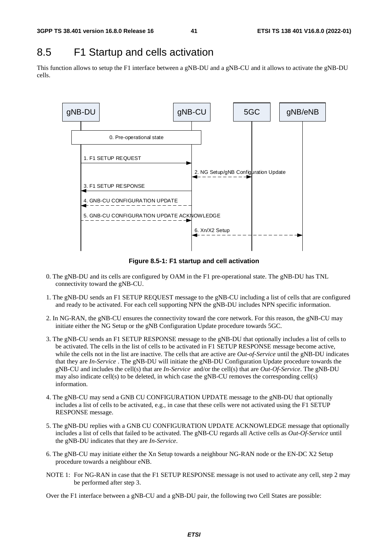# 8.5 F1 Startup and cells activation

This function allows to setup the F1 interface between a gNB-DU and a gNB-CU and it allows to activate the gNB-DU cells.



**Figure 8.5-1: F1 startup and cell activation** 

- 0. The gNB-DU and its cells are configured by OAM in the F1 pre-operational state. The gNB-DU has TNL connectivity toward the gNB-CU.
- 1. The gNB-DU sends an F1 SETUP REQUEST message to the gNB-CU including a list of cells that are configured and ready to be activated. For each cell supporting NPN the gNB-DU includes NPN specific information.
- 2. In NG-RAN, the gNB-CU ensures the connectivity toward the core network. For this reason, the gNB-CU may initiate either the NG Setup or the gNB Configuration Update procedure towards 5GC.
- 3. The gNB-CU sends an F1 SETUP RESPONSE message to the gNB-DU that optionally includes a list of cells to be activated. The cells in the list of cells to be activated in F1 SETUP RESPONSE message become active, while the cells not in the list are inactive. The cells that are active are *Out-of-Service* until the gNB-DU indicates that they are *In-Service* . The gNB-DU will initiate the gNB-DU Configuration Update procedure towards the gNB-CU and includes the cell(s) that are *In-Service* and/or the cell(s) that are *Out-Of-Service*. The gNB-DU may also indicate cell(s) to be deleted, in which case the gNB-CU removes the corresponding cell(s) information.
- 4. The gNB-CU may send a GNB CU CONFIGURATION UPDATE message to the gNB-DU that optionally includes a list of cells to be activated, e.g., in case that these cells were not activated using the F1 SETUP RESPONSE message.
- 5. The gNB-DU replies with a GNB CU CONFIGURATION UPDATE ACKNOWLEDGE message that optionally includes a list of cells that failed to be activated. The gNB-CU regards all Active cells as *Out-Of-Service* until the gNB-DU indicates that they are *In-Service*.
- 6. The gNB-CU may initiate either the Xn Setup towards a neighbour NG-RAN node or the EN-DC X2 Setup procedure towards a neighbour eNB.
- NOTE 1: For NG-RAN in case that the F1 SETUP RESPONSE message is not used to activate any cell, step 2 may be performed after step 3.

Over the F1 interface between a gNB-CU and a gNB-DU pair, the following two Cell States are possible: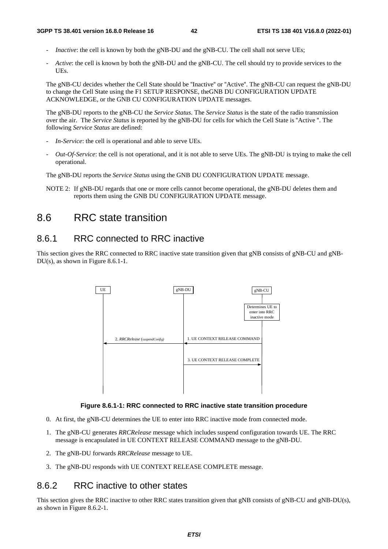- *Inactive*: the cell is known by both the gNB-DU and the gNB-CU. The cell shall not serve UEs;
- *Active*: the cell is known by both the gNB-DU and the gNB-CU. The cell should try to provide services to the UEs.

The gNB-CU decides whether the Cell State should be "Inactive" or "Active". The gNB-CU can request the gNB-DU to change the Cell State using the F1 SETUP RESPONSE, theGNB DU CONFIGURATION UPDATE ACKNOWLEDGE, or the GNB CU CONFIGURATION UPDATE messages.

The gNB-DU reports to the gNB-CU the *Service Status*. The *Service Status* is the state of the radio transmission over the air. The *Service Status* is reported by the gNB-DU for cells for which the Cell State is "Active ". The following *Service Status* are defined:

- *In-Service*: the cell is operational and able to serve UEs.
- *Out-Of-Service*: the cell is not operational, and it is not able to serve UEs. The gNB-DU is trying to make the cell operational.

The gNB-DU reports the *Service Status* using the GNB DU CONFIGURATION UPDATE message.

NOTE 2: If gNB-DU regards that one or more cells cannot become operational, the gNB-DU deletes them and reports them using the GNB DU CONFIGURATION UPDATE message.

# 8.6 RRC state transition

### 8.6.1 RRC connected to RRC inactive

This section gives the RRC connected to RRC inactive state transition given that gNB consists of gNB-CU and gNB-DU(s), as shown in Figure 8.6.1-1.



#### **Figure 8.6.1-1: RRC connected to RRC inactive state transition procedure**

- 0. At first, the gNB-CU determines the UE to enter into RRC inactive mode from connected mode.
- 1. The gNB-CU generates *RRCRelease* message which includes suspend configuration towards UE. The RRC message is encapsulated in UE CONTEXT RELEASE COMMAND message to the gNB-DU.
- 2. The gNB-DU forwards *RRCRelease* message to UE.
- 3. The gNB-DU responds with UE CONTEXT RELEASE COMPLETE message.

### 8.6.2 RRC inactive to other states

This section gives the RRC inactive to other RRC states transition given that gNB consists of gNB-CU and gNB-DU(s), as shown in Figure 8.6.2-1.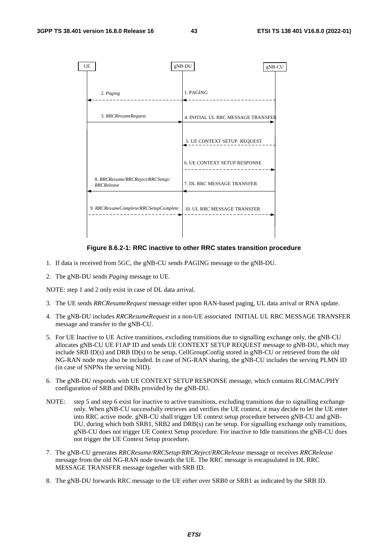| UE                                                    | gNB-DU<br>gNB-CU                    |
|-------------------------------------------------------|-------------------------------------|
| 2. Paging                                             | 1. PAGING                           |
| 3. RRCResumeRequest                                   | 4. INITIAL UL RRC MESSAGE TRANSFER  |
|                                                       | 5. UE CONTEXT SETUP REQUEST         |
|                                                       | <b>6. UE CONTEXT SETUP RESPONSE</b> |
| 8. RRCResume/RRCReject/RRCSetup/<br><b>RRCRelease</b> | 7. DL RRC MESSAGE TRANSFER          |
| 9. RRCResumeComplete/RRCSetupComplete                 | 10. UL RRC MESSAGE TRANSFER         |
|                                                       |                                     |

#### **Figure 8.6.2-1: RRC inactive to other RRC states transition procedure**

- 1. If data is received from 5GC, the gNB-CU sends PAGING message to the gNB-DU.
- 2. The gNB-DU sends *Paging* message to UE.

NOTE: step 1 and 2 only exist in case of DL data arrival.

- 3. The UE sends *RRCResumeRequest* message either upon RAN-based paging, UL data arrival or RNA update.
- 4. The gNB-DU includes *RRCResumeRequest* in a non-UE associated INITIAL UL RRC MESSAGE TRANSFER message and transfer to the gNB-CU.
- 5. For UE Inactive to UE Active transitions, excluding transitions due to signalling exchange only, the gNB-CU allocates gNB-CU UE F1AP ID and sends UE CONTEXT SETUP REQUEST message to gNB-DU, which may include SRB ID(s) and DRB ID(s) to be setup, CellGroupConfig stored in gNB-CU or retrieved from the old NG-RAN node may also be included. In case of NG-RAN sharing, the gNB-CU includes the serving PLMN ID (in case of SNPNs the serving NID).
- 6. The gNB-DU responds with UE CONTEXT SETUP RESPONSE message, which contains RLC/MAC/PHY configuration of SRB and DRBs provided by the gNB-DU.
- NOTE: step 5 and step 6 exist for inactive to active transitions, excluding transitions due to signalling exchange only. When gNB-CU successfully retrieves and verifies the UE context, it may decide to let the UE enter into RRC active mode. gNB-CU shall trigger UE context setup procedure between gNB-CU and gNB-DU, during which both SRB1, SRB2 and DRB(s) can be setup. For signalling exchange only transitions, gNB-CU does not trigger UE Context Setup procedure. For inactive to Idle transitions the gNB-CU does not trigger the UE Context Setup procedure.
- 7. The gNB-CU generates *RRCResume/RRCSetup*/*RRCReject*/*RRCRelease* message or receives *RRCRelease* message from the old NG-RAN node towards the UE. The RRC message is encapsulated in DL RRC MESSAGE TRANSFER message together with SRB ID.
- 8. The gNB-DU forwards RRC message to the UE either over SRB0 or SRB1 as indicated by the SRB ID.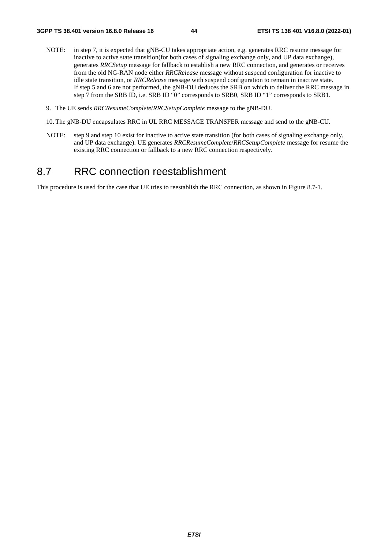- NOTE: in step 7, it is expected that gNB-CU takes appropriate action, e.g. generates RRC resume message for inactive to active state transition(for both cases of signaling exchange only, and UP data exchange), generates *RRCSetup* message for fallback to establish a new RRC connection, and generates or receives from the old NG-RAN node either *RRCRelease* message without suspend configuration for inactive to idle state transition, or *RRCRelease* message with suspend configuration to remain in inactive state. If step 5 and 6 are not performed, the gNB-DU deduces the SRB on which to deliver the RRC message in step 7 from the SRB ID, i.e. SRB ID "0" corresponds to SRB0, SRB ID "1" corresponds to SRB1.
- 9. The UE sends *RRCResumeComplete*/*RRCSetupComplete* message to the gNB-DU.
- 10. The gNB-DU encapsulates RRC in UL RRC MESSAGE TRANSFER message and send to the gNB-CU.
- NOTE: step 9 and step 10 exist for inactive to active state transition (for both cases of signaling exchange only, and UP data exchange). UE generates *RRCResumeComplete*/*RRCSetupComplete* message for resume the existing RRC connection or fallback to a new RRC connection respectively.

# 8.7 RRC connection reestablishment

This procedure is used for the case that UE tries to reestablish the RRC connection, as shown in Figure 8.7-1.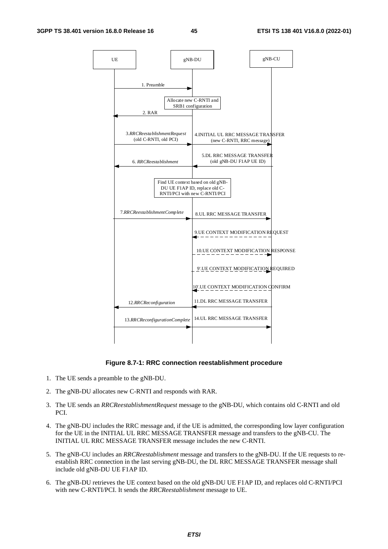

#### **Figure 8.7-1: RRC connection reestablishment procedure**

- 1. The UE sends a preamble to the gNB-DU.
- 2. The gNB-DU allocates new C-RNTI and responds with RAR.
- 3. The UE sends an *RRCReestablishmentRequest* message to the gNB-DU, which contains old C-RNTI and old PCI.
- 4. The gNB-DU includes the RRC message and, if the UE is admitted, the corresponding low layer configuration for the UE in the INITIAL UL RRC MESSAGE TRANSFER message and transfers to the gNB-CU. The INITIAL UL RRC MESSAGE TRANSFER message includes the new C-RNTI.
- 5. The gNB-CU includes an *RRCReestablishment* message and transfers to the gNB-DU. If the UE requests to reestablish RRC connection in the last serving gNB-DU, the DL RRC MESSAGE TRANSFER message shall include old gNB-DU UE F1AP ID.
- 6. The gNB-DU retrieves the UE context based on the old gNB-DU UE F1AP ID, and replaces old C-RNTI/PCI with new C-RNTI/PCI. It sends the *RRCReestablishment* message to UE.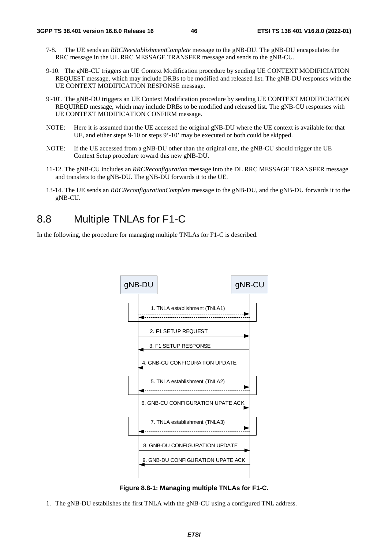- 7-8. The UE sends an *RRCReestablishmentComplete* message to the gNB-DU. The gNB-DU encapsulates the RRC message in the UL RRC MESSAGE TRANSFER message and sends to the gNB-CU.
- 9-10. The gNB-CU triggers an UE Context Modification procedure by sending UE CONTEXT MODIFICIATION REQUEST message, which may include DRBs to be modified and released list. The gNB-DU responses with the UE CONTEXT MODIFICATION RESPONSE message.
- 9'-10'. The gNB-DU triggers an UE Context Modification procedure by sending UE CONTEXT MODIFICIATION REQUIRED message, which may include DRBs to be modified and released list. The gNB-CU responses with UE CONTEXT MODIFICATION CONFIRM message.
- NOTE: Here it is assumed that the UE accessed the original gNB-DU where the UE context is available for that UE, and either steps 9-10 or steps 9'-10' may be executed or both could be skipped.
- NOTE: If the UE accessed from a gNB-DU other than the original one, the gNB-CU should trigger the UE Context Setup procedure toward this new gNB-DU.
- 11-12. The gNB-CU includes an *RRCReconfiguration* message into the DL RRC MESSAGE TRANSFER message and transfers to the gNB-DU. The gNB-DU forwards it to the UE.
- 13-14. The UE sends an *RRCReconfigurationComplete* message to the gNB-DU, and the gNB-DU forwards it to the gNB-CU.

# 8.8 Multiple TNLAs for F1-C

In the following, the procedure for managing multiple TNLAs for F1-C is described.



**Figure 8.8-1: Managing multiple TNLAs for F1-C.** 

1. The gNB-DU establishes the first TNLA with the gNB-CU using a configured TNL address.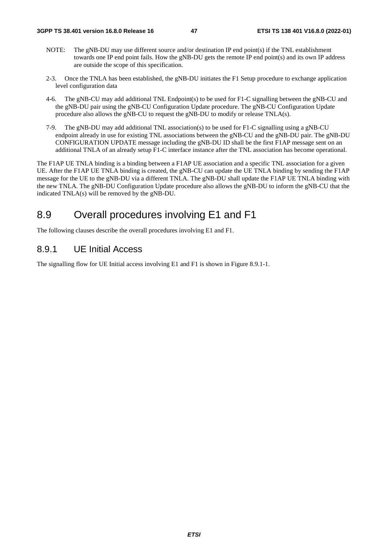- NOTE: The gNB-DU may use different source and/or destination IP end point(s) if the TNL establishment towards one IP end point fails. How the gNB-DU gets the remote IP end point(s) and its own IP address are outside the scope of this specification.
- 2-3. Once the TNLA has been established, the gNB-DU initiates the F1 Setup procedure to exchange application level configuration data
- 4-6. The gNB-CU may add additional TNL Endpoint(s) to be used for F1-C signalling between the gNB-CU and the gNB-DU pair using the gNB-CU Configuration Update procedure. The gNB-CU Configuration Update procedure also allows the gNB-CU to request the gNB-DU to modify or release TNLA(s).
- 7-9. The gNB-DU may add additional TNL association(s) to be used for F1-C signalling using a gNB-CU endpoint already in use for existing TNL associations between the gNB-CU and the gNB-DU pair. The gNB-DU CONFIGURATION UPDATE message including the gNB-DU ID shall be the first F1AP message sent on an additional TNLA of an already setup F1-C interface instance after the TNL association has become operational.

The F1AP UE TNLA binding is a binding between a F1AP UE association and a specific TNL association for a given UE. After the F1AP UE TNLA binding is created, the gNB-CU can update the UE TNLA binding by sending the F1AP message for the UE to the gNB-DU via a different TNLA. The gNB-DU shall update the F1AP UE TNLA binding with the new TNLA. The gNB-DU Configuration Update procedure also allows the gNB-DU to inform the gNB-CU that the indicated TNLA(s) will be removed by the gNB-DU.

# 8.9 Overall procedures involving E1 and F1

The following clauses describe the overall procedures involving E1 and F1.

### 8.9.1 UE Initial Access

The signalling flow for UE Initial access involving E1 and F1 is shown in Figure 8.9.1-1.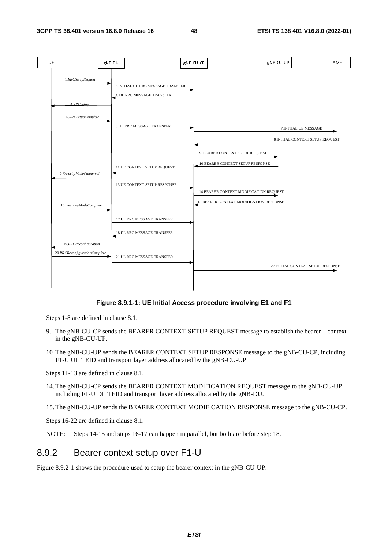

**Figure 8.9.1-1: UE Initial Access procedure involving E1 and F1** 

Steps 1-8 are defined in clause 8.1.

- 9. The gNB-CU-CP sends the BEARER CONTEXT SETUP REQUEST message to establish the bearer context in the gNB-CU-UP.
- 10 The gNB-CU-UP sends the BEARER CONTEXT SETUP RESPONSE message to the gNB-CU-CP, including F1-U UL TEID and transport layer address allocated by the gNB-CU-UP.

Steps 11-13 are defined in clause 8.1.

- 14. The gNB-CU-CP sends the BEARER CONTEXT MODIFICATION REQUEST message to the gNB-CU-UP, including F1-U DL TEID and transport layer address allocated by the gNB-DU.
- 15. The gNB-CU-UP sends the BEARER CONTEXT MODIFICATION RESPONSE message to the gNB-CU-CP.

Steps 16-22 are defined in clause 8.1.

NOTE: Steps 14-15 and steps 16-17 can happen in parallel, but both are before step 18.

### 8.9.2 Bearer context setup over F1-U

Figure 8.9.2-1 shows the procedure used to setup the bearer context in the gNB-CU-UP.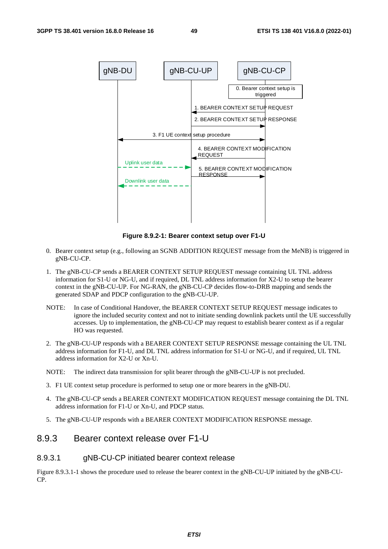

**Figure 8.9.2-1: Bearer context setup over F1-U** 

- 0. Bearer context setup (e.g., following an SGNB ADDITION REQUEST message from the MeNB) is triggered in gNB-CU-CP.
- 1. The gNB-CU-CP sends a BEARER CONTEXT SETUP REQUEST message containing UL TNL address information for S1-U or NG-U, and if required, DL TNL address information for X2-U to setup the bearer context in the gNB-CU-UP. For NG-RAN, the gNB-CU-CP decides flow-to-DRB mapping and sends the generated SDAP and PDCP configuration to the gNB-CU-UP.
- NOTE: In case of Conditional Handover, the BEARER CONTEXT SETUP REQUEST message indicates to ignore the included security context and not to initiate sending downlink packets until the UE successfully accesses. Up to implementation, the gNB-CU-CP may request to establish bearer context as if a regular HO was requested.
- 2. The gNB-CU-UP responds with a BEARER CONTEXT SETUP RESPONSE message containing the UL TNL address information for F1-U, and DL TNL address information for S1-U or NG-U, and if required, UL TNL address information for X2-U or Xn-U.

NOTE: The indirect data transmission for split bearer through the gNB-CU-UP is not precluded.

- 3. F1 UE context setup procedure is performed to setup one or more bearers in the gNB-DU.
- 4. The gNB-CU-CP sends a BEARER CONTEXT MODIFICATION REQUEST message containing the DL TNL address information for F1-U or Xn-U, and PDCP status.
- 5. The gNB-CU-UP responds with a BEARER CONTEXT MODIFICATION RESPONSE message.

# 8.9.3 Bearer context release over F1-U

#### 8.9.3.1 gNB-CU-CP initiated bearer context release

Figure 8.9.3.1-1 shows the procedure used to release the bearer context in the gNB-CU-UP initiated by the gNB-CU-CP.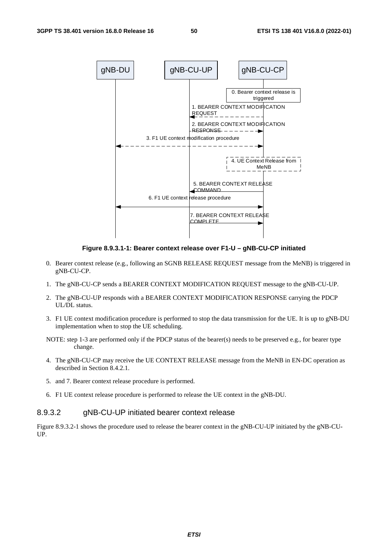

**Figure 8.9.3.1-1: Bearer context release over F1-U – gNB-CU-CP initiated** 

- 0. Bearer context release (e.g., following an SGNB RELEASE REQUEST message from the MeNB) is triggered in gNB-CU-CP.
- 1. The gNB-CU-CP sends a BEARER CONTEXT MODIFICATION REQUEST message to the gNB-CU-UP.
- 2. The gNB-CU-UP responds with a BEARER CONTEXT MODIFICATION RESPONSE carrying the PDCP UL/DL status.
- 3. F1 UE context modification procedure is performed to stop the data transmission for the UE. It is up to gNB-DU implementation when to stop the UE scheduling.
- NOTE: step 1-3 are performed only if the PDCP status of the bearer(s) needs to be preserved e.g., for bearer type change.
- 4. The gNB-CU-CP may receive the UE CONTEXT RELEASE message from the MeNB in EN-DC operation as described in Section 8.4.2.1.
- 5. and 7. Bearer context release procedure is performed.
- 6. F1 UE context release procedure is performed to release the UE context in the gNB-DU.

#### 8.9.3.2 gNB-CU-UP initiated bearer context release

Figure 8.9.3.2-1 shows the procedure used to release the bearer context in the gNB-CU-UP initiated by the gNB-CU-UP.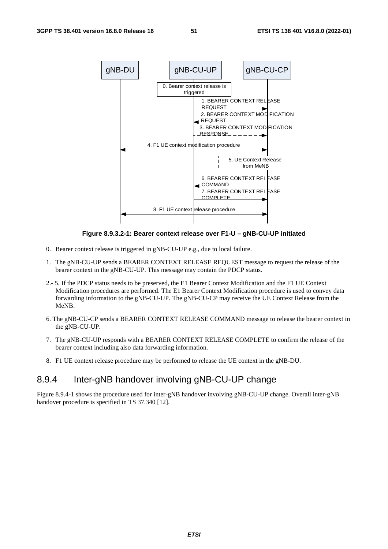

**Figure 8.9.3.2-1: Bearer context release over F1-U – gNB-CU-UP initiated** 

- 0. Bearer context release is triggered in gNB-CU-UP e.g., due to local failure.
- 1. The gNB-CU-UP sends a BEARER CONTEXT RELEASE REQUEST message to request the release of the bearer context in the gNB-CU-UP. This message may contain the PDCP status.
- 2.- 5. If the PDCP status needs to be preserved, the E1 Bearer Context Modification and the F1 UE Context Modification procedures are performed. The E1 Bearer Context Modification procedure is used to convey data forwarding information to the gNB-CU-UP. The gNB-CU-CP may receive the UE Context Release from the MeNB.
- 6. The gNB-CU-CP sends a BEARER CONTEXT RELEASE COMMAND message to release the bearer context in the gNB-CU-UP.
- 7. The gNB-CU-UP responds with a BEARER CONTEXT RELEASE COMPLETE to confirm the release of the bearer context including also data forwarding information.
- 8. F1 UE context release procedure may be performed to release the UE context in the gNB-DU.

## 8.9.4 Inter-gNB handover involving gNB-CU-UP change

Figure 8.9.4-1 shows the procedure used for inter-gNB handover involving gNB-CU-UP change. Overall inter-gNB handover procedure is specified in TS 37.340 [12].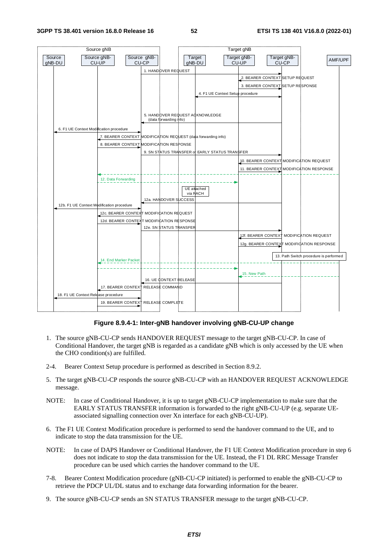

#### **Figure 8.9.4-1: Inter-gNB handover involving gNB-CU-UP change**

- 1. The source gNB-CU-CP sends HANDOVER REQUEST message to the target gNB-CU-CP. In case of Conditional Handover, the target gNB is regarded as a candidate gNB which is only accessed by the UE when the CHO condition(s) are fulfilled.
- 2-4. Bearer Context Setup procedure is performed as described in Section 8.9.2.
- 5. The target gNB-CU-CP responds the source gNB-CU-CP with an HANDOVER REQUEST ACKNOWLEDGE message.
- NOTE: In case of Conditional Handover, it is up to target gNB-CU-CP implementation to make sure that the EARLY STATUS TRANSFER information is forwarded to the right gNB-CU-UP (e.g. separate UEassociated signalling connection over Xn interface for each gNB-CU-UP).
- 6. The F1 UE Context Modification procedure is performed to send the handover command to the UE, and to indicate to stop the data transmission for the UE.
- NOTE: In case of DAPS Handover or Conditional Handover, the F1 UE Context Modification procedure in step 6 does not indicate to stop the data transmission for the UE. Instead, the F1 DL RRC Message Transfer procedure can be used which carries the handover command to the UE.
- 7-8. Bearer Context Modification procedure (gNB-CU-CP initiated) is performed to enable the gNB-CU-CP to retrieve the PDCP UL/DL status and to exchange data forwarding information for the bearer.
- 9. The source gNB-CU-CP sends an SN STATUS TRANSFER message to the target gNB-CU-CP.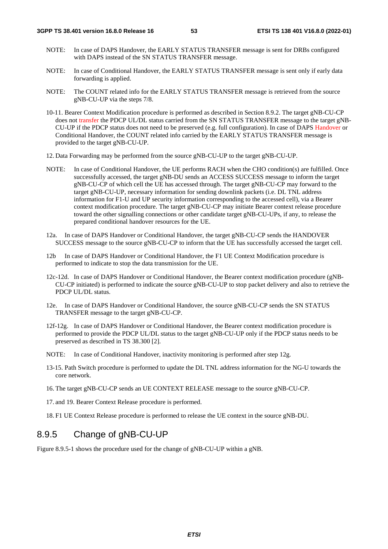- NOTE: In case of DAPS Handover, the EARLY STATUS TRANSFER message is sent for DRBs configured with DAPS instead of the SN STATUS TRANSFER message.
- NOTE: In case of Conditional Handover, the EARLY STATUS TRANSFER message is sent only if early data forwarding is applied.
- NOTE: The COUNT related info for the EARLY STATUS TRANSFER message is retrieved from the source gNB-CU-UP via the steps 7/8.
- 10-11. Bearer Context Modification procedure is performed as described in Section 8.9.2. The target gNB-CU-CP does not transfer the PDCP UL/DL status carried from the SN STATUS TRANSFER message to the target gNB-CU-UP if the PDCP status does not need to be preserved (e.g. full configuration). In case of DAPS Handover or Conditional Handover, the COUNT related info carried by the EARLY STATUS TRANSFER message is provided to the target gNB-CU-UP.
- 12. Data Forwarding may be performed from the source gNB-CU-UP to the target gNB-CU-UP.
- NOTE: In case of Conditional Handover, the UE performs RACH when the CHO condition(s) are fulfilled. Once successfully accessed, the target gNB-DU sends an ACCESS SUCCESS message to inform the target gNB-CU-CP of which cell the UE has accessed through. The target gNB-CU-CP may forward to the target gNB-CU-UP, necessary information for sending downlink packets (i.e. DL TNL address information for F1-U and UP security information corresponding to the accessed cell), via a Bearer context modification procedure. The target gNB-CU-CP may initiate Bearer context release procedure toward the other signalling connections or other candidate target gNB-CU-UPs, if any, to release the prepared conditional handover resources for the UE.
- 12a. In case of DAPS Handover or Conditional Handover, the target gNB-CU-CP sends the HANDOVER SUCCESS message to the source gNB-CU-CP to inform that the UE has successfully accessed the target cell.
- 12b In case of DAPS Handover or Conditional Handover, the F1 UE Context Modification procedure is performed to indicate to stop the data transmission for the UE.
- 12c-12d. In case of DAPS Handover or Conditional Handover, the Bearer context modification procedure (gNB-CU-CP initiated) is performed to indicate the source gNB-CU-UP to stop packet delivery and also to retrieve the PDCP UL/DL status.
- 12e. In case of DAPS Handover or Conditional Handover, the source gNB-CU-CP sends the SN STATUS TRANSFER message to the target gNB-CU-CP.
- 12f-12g. In case of DAPS Handover or Conditional Handover, the Bearer context modification procedure is performed to provide the PDCP UL/DL status to the target gNB-CU-UP only if the PDCP status needs to be preserved as described in TS 38.300 [2].
- NOTE: In case of Conditional Handover, inactivity monitoring is performed after step 12g.
- 13-15. Path Switch procedure is performed to update the DL TNL address information for the NG-U towards the core network.
- 16. The target gNB-CU-CP sends an UE CONTEXT RELEASE message to the source gNB-CU-CP.
- 17. and 19. Bearer Context Release procedure is performed.
- 18. F1 UE Context Release procedure is performed to release the UE context in the source gNB-DU.

# 8.9.5 Change of gNB-CU-UP

Figure 8.9.5-1 shows the procedure used for the change of gNB-CU-UP within a gNB.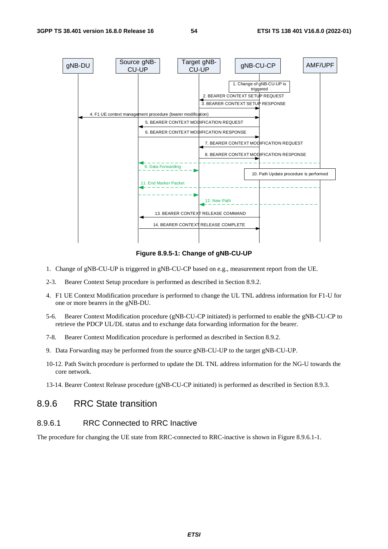

**Figure 8.9.5-1: Change of gNB-CU-UP** 

- 1. Change of gNB-CU-UP is triggered in gNB-CU-CP based on e.g., measurement report from the UE.
- 2-3. Bearer Context Setup procedure is performed as described in Section 8.9.2.
- 4. F1 UE Context Modification procedure is performed to change the UL TNL address information for F1-U for one or more bearers in the gNB-DU.
- 5-6. Bearer Context Modification procedure (gNB-CU-CP initiated) is performed to enable the gNB-CU-CP to retrieve the PDCP UL/DL status and to exchange data forwarding information for the bearer.
- 7-8. Bearer Context Modification procedure is performed as described in Section 8.9.2.
- 9. Data Forwarding may be performed from the source gNB-CU-UP to the target gNB-CU-UP.
- 10-12. Path Switch procedure is performed to update the DL TNL address information for the NG-U towards the core network.
- 13-14. Bearer Context Release procedure (gNB-CU-CP initiated) is performed as described in Section 8.9.3.

### 8.9.6 RRC State transition

#### 8.9.6.1 RRC Connected to RRC Inactive

The procedure for changing the UE state from RRC-connected to RRC-inactive is shown in Figure 8.9.6.1-1.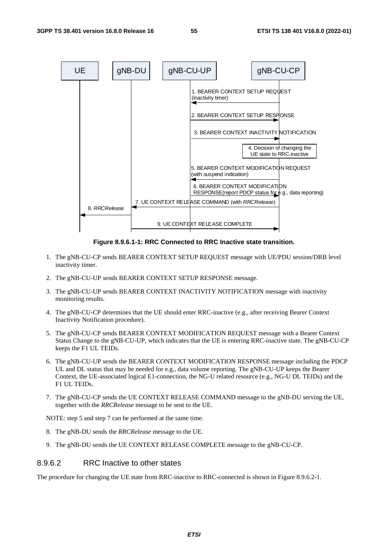

**Figure 8.9.6.1-1: RRC Connected to RRC Inactive state transition.** 

- 1. The gNB-CU-CP sends BEARER CONTEXT SETUP REQUEST message with UE/PDU session/DRB level inactivity timer.
- 2. The gNB-CU-UP sends BEARER CONTEXT SETUP RESPONSE message.
- 3. The gNB-CU-UP sends BEARER CONTEXT INACTIVITY NOTIFICATION message with inactivity monitoring results.
- 4. The gNB-CU-CP determines that the UE should enter RRC-inactive (e.g., after receiving Bearer Context Inactivity Notification procedure).
- 5. The gNB-CU-CP sends BEARER CONTEXT MODIFICATION REQUEST message with a Bearer Context Status Change to the gNB-CU-UP, which indicates that the UE is entering RRC-inactive state. The gNB-CU-CP keeps the F1 UL TEIDs.
- 6. The gNB-CU-UP sends the BEARER CONTEXT MODIFICATION RESPONSE message including the PDCP UL and DL status that may be needed for e.g., data volume reporting. The gNB-CU-UP keeps the Bearer Context, the UE-associated logical E1-connection, the NG-U related resource (e.g., NG-U DL TEIDs) and the F1 UL TEIDs.
- 7. The gNB-CU-CP sends the UE CONTEXT RELEASE COMMAND message to the gNB-DU serving the UE, together with the *RRCRelease* message to be sent to the UE.

NOTE: step 5 and step 7 can be performed at the same time.

- 8. The gNB-DU sends the *RRCRelease* message to the UE.
- 9. The gNB-DU sends the UE CONTEXT RELEASE COMPLETE message to the gNB-CU-CP.

#### 8.9.6.2 RRC Inactive to other states

The procedure for changing the UE state from RRC-inactive to RRC-connected is shown in Figure 8.9.6.2-1.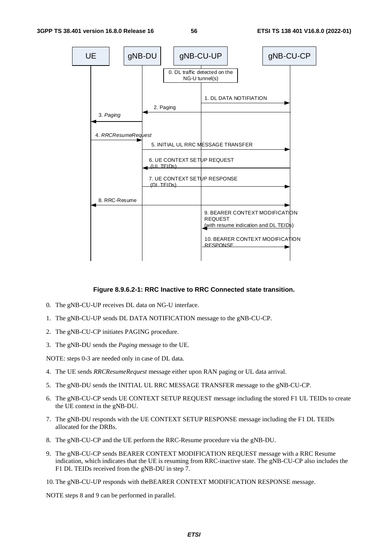

#### **Figure 8.9.6.2-1: RRC Inactive to RRC Connected state transition.**

- 0. The gNB-CU-UP receives DL data on NG-U interface.
- 1. The gNB-CU-UP sends DL DATA NOTIFICATION message to the gNB-CU-CP.
- 2. The gNB-CU-CP initiates PAGING procedure.
- 3. The gNB-DU sends the *Paging* message to the UE.

NOTE: steps 0-3 are needed only in case of DL data.

- 4. The UE sends *RRCResumeRequest* message either upon RAN paging or UL data arrival.
- 5. The gNB-DU sends the INITIAL UL RRC MESSAGE TRANSFER message to the gNB-CU-CP.
- 6. The gNB-CU-CP sends UE CONTEXT SETUP REQUEST message including the stored F1 UL TEIDs to create the UE context in the gNB-DU.
- 7. The gNB-DU responds with the UE CONTEXT SETUP RESPONSE message including the F1 DL TEIDs allocated for the DRBs.
- 8. The gNB-CU-CP and the UE perform the RRC-Resume procedure via the gNB-DU.
- 9. The gNB-CU-CP sends BEARER CONTEXT MODIFICATION REQUEST message with a RRC Resume indication, which indicates that the UE is resuming from RRC-inactive state. The gNB-CU-CP also includes the F1 DL TEIDs received from the gNB-DU in step 7.

10. The gNB-CU-UP responds with theBEARER CONTEXT MODIFICATION RESPONSE message.

NOTE steps 8 and 9 can be performed in parallel.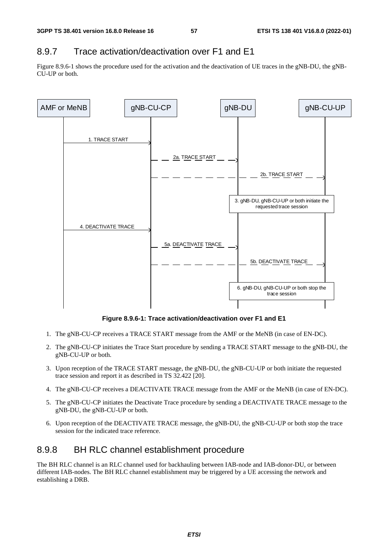## 8.9.7 Trace activation/deactivation over F1 and E1

Figure 8.9.6-1 shows the procedure used for the activation and the deactivation of UE traces in the gNB-DU, the gNB-CU-UP or both.



**Figure 8.9.6-1: Trace activation/deactivation over F1 and E1** 

- 1. The gNB-CU-CP receives a TRACE START message from the AMF or the MeNB (in case of EN-DC).
- 2. The gNB-CU-CP initiates the Trace Start procedure by sending a TRACE START message to the gNB-DU, the gNB-CU-UP or both.
- 3. Upon reception of the TRACE START message, the gNB-DU, the gNB-CU-UP or both initiate the requested trace session and report it as described in TS 32.422 [20].
- 4. The gNB-CU-CP receives a DEACTIVATE TRACE message from the AMF or the MeNB (in case of EN-DC).
- 5. The gNB-CU-CP initiates the Deactivate Trace procedure by sending a DEACTIVATE TRACE message to the gNB-DU, the gNB-CU-UP or both.
- 6. Upon reception of the DEACTIVATE TRACE message, the gNB-DU, the gNB-CU-UP or both stop the trace session for the indicated trace reference.

### 8.9.8 BH RLC channel establishment procedure

The BH RLC channel is an RLC channel used for backhauling between IAB-node and IAB-donor-DU, or between different IAB-nodes. The BH RLC channel establishment may be triggered by a UE accessing the network and establishing a DRB.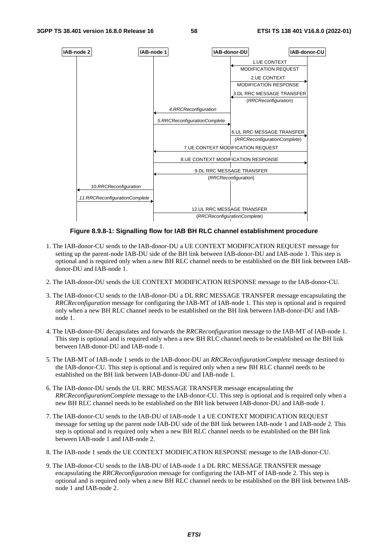

**Figure 8.9.8-1: Signalling flow for IAB BH RLC channel establishment procedure** 

- 1. The IAB-donor-CU sends to the IAB-donor-DU a UE CONTEXT MODIFICATION REQUEST message for setting up the parent-node IAB-DU side of the BH link between IAB-donor-DU and IAB-node 1. This step is optional and is required only when a new BH RLC channel needs to be established on the BH link between IABdonor-DU and IAB-node 1.
- 2. The IAB-donor-DU sends the UE CONTEXT MODIFICATION RESPONSE message to the IAB-donor-CU.
- 3. The IAB-donor-CU sends to the IAB-donor-DU a DL RRC MESSAGE TRANSFER message encapsulating the *RRCReconfiguration* message for configuring the IAB-MT of IAB-node 1. This step is optional and is required only when a new BH RLC channel needs to be established on the BH link between IAB-donor-DU and IABnode 1.
- 4. The IAB-donor-DU decapsulates and forwards the *RRCReconfiguration* message to the IAB-MT of IAB-node 1. This step is optional and is required only when a new BH RLC channel needs to be established on the BH link between IAB-donor-DU and IAB-node 1.
- 5. The IAB-MT of IAB-node 1 sends to the IAB-donor-DU an *RRCReconfigurationComplete* message destined to the IAB-donor-CU. This step is optional and is required only when a new BH RLC channel needs to be established on the BH link between IAB-donor-DU and IAB-node 1.
- 6. The IAB-donor-DU sends the UL RRC MESSAGE TRANSFER message encapsulating the *RRCReconfigurationComplete* message to the IAB-donor-CU. This step is optional and is required only when a new BH RLC channel needs to be established on the BH link between IAB-donor-DU and IAB-node 1.
- 7. The IAB-donor-CU sends to the IAB-DU of IAB-node 1 a UE CONTEXT MODIFICATION REQUEST message for setting up the parent node IAB-DU side of the BH link between IAB-node 1 and IAB-node 2. This step is optional and is required only when a new BH RLC channel needs to be established on the BH link between IAB-node 1 and IAB-node 2.
- 8. The IAB-node 1 sends the UE CONTEXT MODIFICATION RESPONSE message to the IAB-donor-CU.
- 9. The IAB-donor-CU sends to the IAB-DU of IAB-node 1 a DL RRC MESSAGE TRANSFER message encapsulating the *RRCReconfiguration* message for configuring the IAB-MT of IAB-node 2. This step is optional and is required only when a new BH RLC channel needs to be established on the BH link between IABnode 1 and IAB-node 2.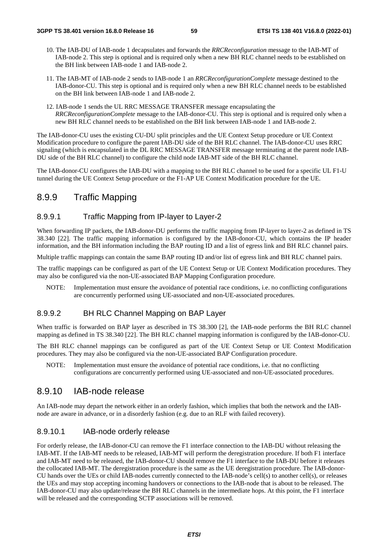- 10. The IAB-DU of IAB-node 1 decapsulates and forwards the *RRCReconfiguration* message to the IAB-MT of IAB-node 2. This step is optional and is required only when a new BH RLC channel needs to be established on the BH link between IAB-node 1 and IAB-node 2.
- 11. The IAB-MT of IAB-node 2 sends to IAB-node 1 an *RRCReconfigurationComplete* message destined to the IAB-donor-CU. This step is optional and is required only when a new BH RLC channel needs to be established on the BH link between IAB-node 1 and IAB-node 2.
- 12. IAB-node 1 sends the UL RRC MESSAGE TRANSFER message encapsulating the *RRCReconfigurationComplete* message to the IAB-donor-CU. This step is optional and is required only when a new BH RLC channel needs to be established on the BH link between IAB-node 1 and IAB-node 2.

The IAB-donor-CU uses the existing CU-DU split principles and the UE Context Setup procedure or UE Context Modification procedure to configure the parent IAB-DU side of the BH RLC channel. The IAB-donor-CU uses RRC signaling (which is encapsulated in the DL RRC MESSAGE TRANSFER message terminating at the parent node IAB-DU side of the BH RLC channel) to configure the child node IAB-MT side of the BH RLC channel.

The IAB-donor-CU configures the IAB-DU with a mapping to the BH RLC channel to be used for a specific UL F1-U tunnel during the UE Context Setup procedure or the F1-AP UE Context Modification procedure for the UE.

### 8.9.9 Traffic Mapping

#### 8.9.9.1 Traffic Mapping from IP-layer to Layer-2

When forwarding IP packets, the IAB-donor-DU performs the traffic mapping from IP-layer to layer-2 as defined in TS 38.340 [22]. The traffic mapping information is configured by the IAB-donor-CU, which contains the IP header information, and the BH information including the BAP routing ID and a list of egress link and BH RLC channel pairs.

Multiple traffic mappings can contain the same BAP routing ID and/or list of egress link and BH RLC channel pairs.

The traffic mappings can be configured as part of the UE Context Setup or UE Context Modification procedures. They may also be configured via the non-UE-associated BAP Mapping Configuration procedure.

NOTE: Implementation must ensure the avoidance of potential race conditions, i.e. no conflicting configurations are concurrently performed using UE-associated and non-UE-associated procedures.

#### 8.9.9.2 BH RLC Channel Mapping on BAP Layer

When traffic is forwarded on BAP layer as described in TS 38.300 [2], the IAB-node performs the BH RLC channel mapping as defined in TS 38.340 [22]. The BH RLC channel mapping information is configured by the IAB-donor-CU.

The BH RLC channel mappings can be configured as part of the UE Context Setup or UE Context Modification procedures. They may also be configured via the non-UE-associated BAP Configuration procedure.

NOTE: Implementation must ensure the avoidance of potential race conditions, i.e. that no conflicting configurations are concurrently performed using UE-associated and non-UE-associated procedures.

### 8.9.10 IAB-node release

An IAB-node may depart the network either in an orderly fashion, which implies that both the network and the IABnode are aware in advance, or in a disorderly fashion (e.g. due to an RLF with failed recovery).

#### 8.9.10.1 IAB-node orderly release

For orderly release, the IAB-donor-CU can remove the F1 interface connection to the IAB-DU without releasing the IAB-MT. If the IAB-MT needs to be released, IAB-MT will perform the deregistration procedure. If both F1 interface and IAB-MT need to be released, the IAB-donor-CU should remove the F1 interface to the IAB-DU before it releases the collocated IAB-MT. The deregistration procedure is the same as the UE deregistration procedure. The IAB-donor-CU hands over the UEs or child IAB-nodes currently connected to the IAB-node's cell(s) to another cell(s), or releases the UEs and may stop accepting incoming handovers or connections to the IAB-node that is about to be released. The IAB-donor-CU may also update/release the BH RLC channels in the intermediate hops. At this point, the F1 interface will be released and the corresponding SCTP associations will be removed.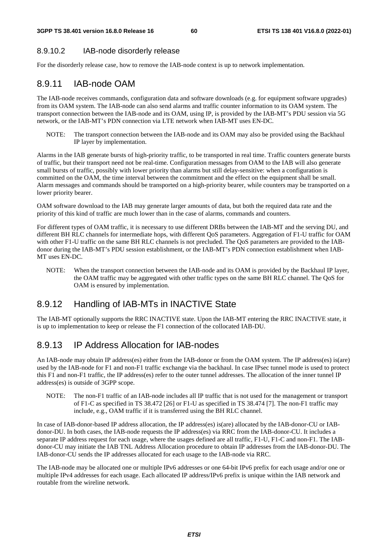### 8.9.10.2 IAB-node disorderly release

For the disorderly release case, how to remove the IAB-node context is up to network implementation.

# 8.9.11 IAB-node OAM

The IAB-node receives commands, configuration data and software downloads (e.g. for equipment software upgrades) from its OAM system. The IAB-node can also send alarms and traffic counter information to its OAM system. The transport connection between the IAB-node and its OAM, using IP, is provided by the IAB-MT's PDU session via 5G network, or the IAB-MT's PDN connection via LTE network when IAB-MT uses EN-DC.

NOTE: The transport connection between the IAB-node and its OAM may also be provided using the Backhaul IP layer by implementation.

Alarms in the IAB generate bursts of high-priority traffic, to be transported in real time. Traffic counters generate bursts of traffic, but their transport need not be real-time. Configuration messages from OAM to the IAB will also generate small bursts of traffic, possibly with lower priority than alarms but still delay-sensitive: when a configuration is committed on the OAM, the time interval between the commitment and the effect on the equipment shall be small. Alarm messages and commands should be transported on a high-priority bearer, while counters may be transported on a lower priority bearer.

OAM software download to the IAB may generate larger amounts of data, but both the required data rate and the priority of this kind of traffic are much lower than in the case of alarms, commands and counters.

For different types of OAM traffic, it is necessary to use different DRBs between the IAB-MT and the serving DU, and different BH RLC channels for intermediate hops, with different QoS parameters. Aggregation of F1-U traffic for OAM with other F1-U traffic on the same BH RLC channels is not precluded. The QoS parameters are provided to the IABdonor during the IAB-MT's PDU session establishment, or the IAB-MT's PDN connection establishment when IAB-MT uses EN-DC.

NOTE: When the transport connection between the IAB-node and its OAM is provided by the Backhaul IP layer, the OAM traffic may be aggregated with other traffic types on the same BH RLC channel. The QoS for OAM is ensured by implementation.

## 8.9.12 Handling of IAB-MTs in INACTIVE State

The IAB-MT optionally supports the RRC INACTIVE state. Upon the IAB-MT entering the RRC INACTIVE state, it is up to implementation to keep or release the F1 connection of the collocated IAB-DU.

## 8.9.13 IP Address Allocation for IAB-nodes

An IAB-node may obtain IP address(es) either from the IAB-donor or from the OAM system. The IP address(es) is(are) used by the IAB-node for F1 and non-F1 traffic exchange via the backhaul. In case IPsec tunnel mode is used to protect this F1 and non-F1 traffic, the IP address(es) refer to the outer tunnel addresses. The allocation of the inner tunnel IP address(es) is outside of 3GPP scope.

NOTE: The non-F1 traffic of an IAB-node includes all IP traffic that is not used for the management or transport of F1-C as specified in TS 38.472 [26] or F1-U as specified in TS 38.474 [7]. The non-F1 traffic may include, e.g., OAM traffic if it is transferred using the BH RLC channel.

In case of IAB-donor-based IP address allocation, the IP address(es) is(are) allocated by the IAB-donor-CU or IABdonor-DU. In both cases, the IAB-node requests the IP address(es) via RRC from the IAB-donor-CU. It includes a separate IP address request for each usage, where the usages defined are all traffic, F1-U, F1-C and non-F1. The IABdonor-CU may initiate the IAB TNL Address Allocation procedure to obtain IP addresses from the IAB-donor-DU. The IAB-donor-CU sends the IP addresses allocated for each usage to the IAB-node via RRC.

The IAB-node may be allocated one or multiple IPv6 addresses or one 64-bit IPv6 prefix for each usage and/or one or multiple IPv4 addresses for each usage. Each allocated IP address/IPv6 prefix is unique within the IAB network and routable from the wireline network.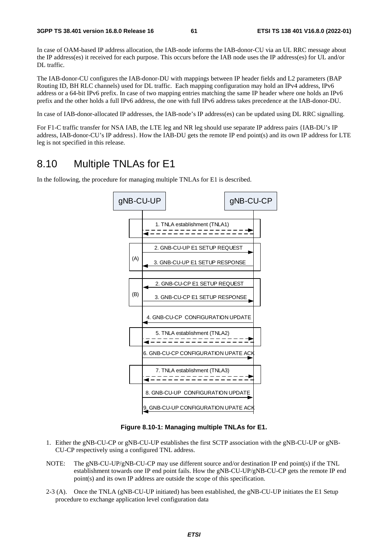In case of OAM-based IP address allocation, the IAB-node informs the IAB-donor-CU via an UL RRC message about the IP address(es) it received for each purpose. This occurs before the IAB node uses the IP address(es) for UL and/or DL traffic.

The IAB-donor-CU configures the IAB-donor-DU with mappings between IP header fields and L2 parameters (BAP Routing ID, BH RLC channels) used for DL traffic. Each mapping configuration may hold an IPv4 address, IPv6 address or a 64-bit IPv6 prefix. In case of two mapping entries matching the same IP header where one holds an IPv6 prefix and the other holds a full IPv6 address, the one with full IPv6 address takes precedence at the IAB-donor-DU.

In case of IAB-donor-allocated IP addresses, the IAB-node's IP address(es) can be updated using DL RRC signalling.

For F1-C traffic transfer for NSA IAB, the LTE leg and NR leg should use separate IP address pairs {IAB-DU's IP address, IAB-donor-CU's IP address}. How the IAB-DU gets the remote IP end point(s) and its own IP address for LTE leg is not specified in this release.

# 8.10 Multiple TNLAs for E1

In the following, the procedure for managing multiple TNLAs for E1 is described.



**Figure 8.10-1: Managing multiple TNLAs for E1.** 

- 1. Either the gNB-CU-CP or gNB-CU-UP establishes the first SCTP association with the gNB-CU-UP or gNB-CU-CP respectively using a configured TNL address.
- NOTE: The gNB-CU-UP/gNB-CU-CP may use different source and/or destination IP end point(s) if the TNL establishment towards one IP end point fails. How the gNB-CU-UP/gNB-CU-CP gets the remote IP end point(s) and its own IP address are outside the scope of this specification.
- 2-3 (A). Once the TNLA (gNB-CU-UP initiated) has been established, the gNB-CU-UP initiates the E1 Setup procedure to exchange application level configuration data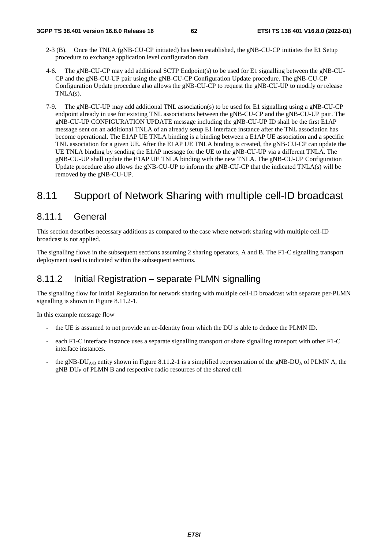- 2-3 (B). Once the TNLA (gNB-CU-CP initiated) has been established, the gNB-CU-CP initiates the E1 Setup procedure to exchange application level configuration data
- 4-6. The gNB-CU-CP may add additional SCTP Endpoint(s) to be used for E1 signalling between the gNB-CU-CP and the gNB-CU-UP pair using the gNB-CU-CP Configuration Update procedure. The gNB-CU-CP Configuration Update procedure also allows the gNB-CU-CP to request the gNB-CU-UP to modify or release TNLA(s).
- 7-9. The gNB-CU-UP may add additional TNL association(s) to be used for E1 signalling using a gNB-CU-CP endpoint already in use for existing TNL associations between the gNB-CU-CP and the gNB-CU-UP pair. The gNB-CU-UP CONFIGURATION UPDATE message including the gNB-CU-UP ID shall be the first E1AP message sent on an additional TNLA of an already setup E1 interface instance after the TNL association has become operational. The E1AP UE TNLA binding is a binding between a E1AP UE association and a specific TNL association for a given UE. After the E1AP UE TNLA binding is created, the gNB-CU-CP can update the UE TNLA binding by sending the E1AP message for the UE to the gNB-CU-UP via a different TNLA. The gNB-CU-UP shall update the E1AP UE TNLA binding with the new TNLA. The gNB-CU-UP Configuration Update procedure also allows the gNB-CU-UP to inform the gNB-CU-CP that the indicated TNLA(s) will be removed by the gNB-CU-UP.

# 8.11 Support of Network Sharing with multiple cell-ID broadcast

### 8.11.1 General

This section describes necessary additions as compared to the case where network sharing with multiple cell-ID broadcast is not applied.

The signalling flows in the subsequent sections assuming 2 sharing operators, A and B. The F1-C signalling transport deployment used is indicated within the subsequent sections.

### 8.11.2 Initial Registration – separate PLMN signalling

The signalling flow for Initial Registration for network sharing with multiple cell-ID broadcast with separate per-PLMN signalling is shown in Figure 8.11.2-1.

In this example message flow

- the UE is assumed to not provide an ue-Identity from which the DU is able to deduce the PLMN ID.
- each F1-C interface instance uses a separate signalling transport or share signalling transport with other F1-C interface instances.
- the gNB-DU<sub>A/B</sub> entity shown in Figure 8.11.2-1 is a simplified representation of the gNB-DU<sub>A</sub> of PLMN A, the gNB DU<sub>B</sub> of PLMN B and respective radio resources of the shared cell.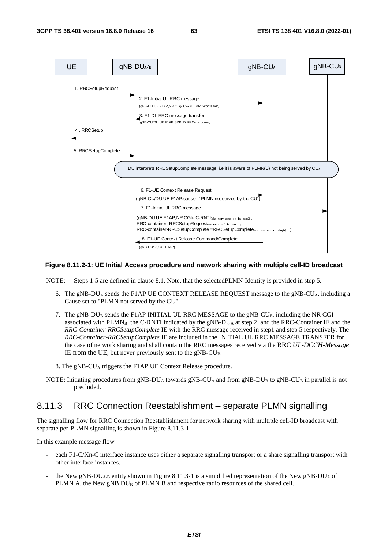

#### **Figure 8.11.2-1: UE Initial Access procedure and network sharing with multiple cell-ID broadcast**

NOTE: Steps 1-5 are defined in clause 8.1. Note, that the selectedPLMN-Identity is provided in step 5.

- 6. The gNB-DU<sub>A</sub> sends the F1AP UE CONTEXT RELEASE REQUEST message to the gNB-CU<sub>A</sub>. including a Cause set to "PLMN not served by the CU".
- 7. The gNB-DU<sub>B</sub> sends the F1AP INITIAL UL RRC MESSAGE to the gNB-CU<sub>B</sub>. including the NR CGI associated with PLMN<sub>B</sub>, the C-RNTI indicated by the gNB-DU<sub>A</sub> at step 2, and the RRC-Container IE and the *RRC-Container-RRCSetupComplete* IE with the RRC message received in step1 and step 5 respectively. The *RRC-Container-RRCSetupComplete* IE are included in the INITIAL UL RRC MESSAGE TRANSFER for the case of network sharing and shall contain the RRC messages received via the RRC *UL-DCCH-Message* IE from the UE, but never previously sent to the gNB- $CU_B$ .
- 8. The gNB-CUA triggers the F1AP UE Context Release procedure.
- NOTE: Initiating procedures from gNB-DU<sub>A</sub> towards gNB-CU<sub>A</sub> and from gNB-DU<sub>B</sub> to gNB-CU<sub>B</sub> in parallel is not precluded.

### 8.11.3 RRC Connection Reestablishment – separate PLMN signalling

The signalling flow for RRC Connection Reestablishment for network sharing with multiple cell-ID broadcast with separate per-PLMN signalling is shown in Figure 8.11.3-1.

In this example message flow

- each F1-C/Xn-C interface instance uses either a separate signalling transport or a share signalling transport with other interface instances.
- the New gNB-DU<sub>A/B</sub> entity shown in Figure 8.11.3-1 is a simplified representation of the New gNB-DU<sub>A</sub> of PLMN  $\overline{A}$ , the New gNB  $\overline{D}U_B$  of PLMN  $\overline{B}$  and respective radio resources of the shared cell.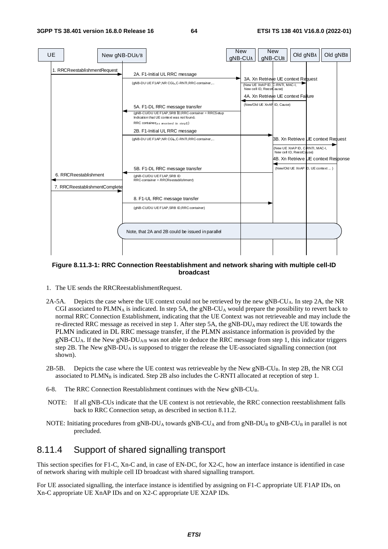

#### **Figure 8.11.3-1: RRC Connection Reestablishment and network sharing with multiple cell-ID broadcast**

- 1. The UE sends the RRCReestablishmentRequest.
- 2A-5A. Depicts the case where the UE context could not be retrieved by the new gNB-CUA. In step 2A, the NR CGI associated to PLMN<sub>A</sub> is indicated. In step 5A, the gNB-CU<sub>A</sub> would prepare the possibility to revert back to normal RRC Connection Establishment, indicating that the UE Context was not retrieveable and may include the re-directed RRC message as received in step 1. After step 5A, the gNB-DU<sub>A</sub> may redirect the UE towards the PLMN indicated in DL RRC message transfer, if the PLMN assistance information is provided by the gNB-CU<sub>A</sub>. If the New gNB-DU<sub>A/B</sub> was not able to deduce the RRC message from step 1, this indicator triggers step 2B. The New gNB-DU<sub>A</sub> is supposed to trigger the release the UE-associated signalling connection (not shown).
- 2B-5B. Depicts the case where the UE context was retrieveable by the New gNB-CU<sub>B</sub>. In step 2B, the NR CGI associated to PLMN<sub>B</sub> is indicated. Step 2B also includes the C-RNTI allocated at reception of step 1.
- 6-8. The RRC Connection Reestablishment continues with the New gNB-CUB.
- NOTE: If all gNB-CUs indicate that the UE context is not retrievable, the RRC connection reestablishment falls back to RRC Connection setup, as described in section 8.11.2.
- NOTE: Initiating procedures from gNB-DU<sub>A</sub> towards gNB-CU<sub>A</sub> and from gNB-DU<sub>B</sub> to gNB-CU<sub>B</sub> in parallel is not precluded.

### 8.11.4 Support of shared signalling transport

This section specifies for F1-C, Xn-C and, in case of EN-DC, for X2-C, how an interface instance is identified in case of network sharing with multiple cell ID broadcast with shared signalling transport.

For UE associated signalling, the interface instance is identified by assigning on F1-C appropriate UE F1AP IDs, on Xn-C appropriate UE XnAP IDs and on X2-C appropriate UE X2AP IDs.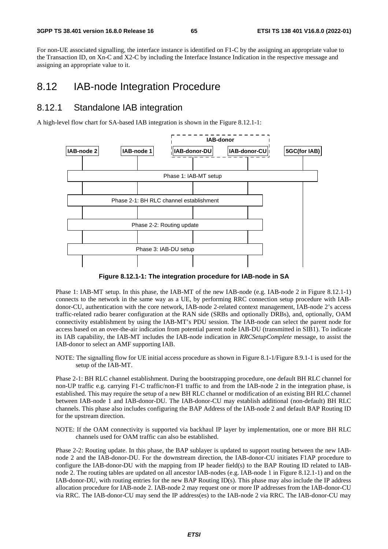For non-UE associated signalling, the interface instance is identified on F1-C by the assigning an appropriate value to the Transaction ID, on Xn-C and X2-C by including the Interface Instance Indication in the respective message and assigning an appropriate value to it.

# 8.12 IAB-node Integration Procedure

### 8.12.1 Standalone IAB integration

A high-level flow chart for SA-based IAB integration is shown in the Figure 8.12.1-1:



**Figure 8.12.1-1: The integration procedure for IAB-node in SA** 

Phase 1: IAB-MT setup. In this phase, the IAB-MT of the new IAB-node (e.g. IAB-node 2 in Figure 8.12.1-1) connects to the network in the same way as a UE, by performing RRC connection setup procedure with IABdonor-CU, authentication with the core network, IAB-node 2-related context management, IAB-node 2's access traffic-related radio bearer configuration at the RAN side (SRBs and optionally DRBs), and, optionally, OAM connectivity establishment by using the IAB-MT's PDU session. The IAB-node can select the parent node for access based on an over-the-air indication from potential parent node IAB-DU (transmitted in SIB1). To indicate its IAB capability, the IAB-MT includes the IAB-node indication in *RRCSetupComplete* message, to assist the IAB-donor to select an AMF supporting IAB.

NOTE: The signalling flow for UE initial access procedure as shown in Figure 8.1-1/Figure 8.9.1-1 is used for the setup of the IAB-MT.

Phase 2-1: BH RLC channel establishment. During the bootstrapping procedure, one default BH RLC channel for non-UP traffic e.g. carrying F1-C traffic/non-F1 traffic to and from the IAB-node 2 in the integration phase, is established. This may require the setup of a new BH RLC channel or modification of an existing BH RLC channel between IAB-node 1 and IAB-donor-DU. The IAB-donor-CU may establish additional (non-default) BH RLC channels. This phase also includes configuring the BAP Address of the IAB-node 2 and default BAP Routing ID for the upstream direction.

NOTE: If the OAM connectivity is supported via backhaul IP layer by implementation, one or more BH RLC channels used for OAM traffic can also be established.

Phase 2-2: Routing update. In this phase, the BAP sublayer is updated to support routing between the new IABnode 2 and the IAB-donor-DU. For the downstream direction, the IAB-donor-CU initiates F1AP procedure to configure the IAB-donor-DU with the mapping from IP header field(s) to the BAP Routing ID related to IABnode 2. The routing tables are updated on all ancestor IAB-nodes (e.g. IAB-node 1 in Figure 8.12.1-1) and on the IAB-donor-DU, with routing entries for the new BAP Routing ID(s). This phase may also include the IP address allocation procedure for IAB-node 2. IAB-node 2 may request one or more IP addresses from the IAB-donor-CU via RRC. The IAB-donor-CU may send the IP address(es) to the IAB-node 2 via RRC. The IAB-donor-CU may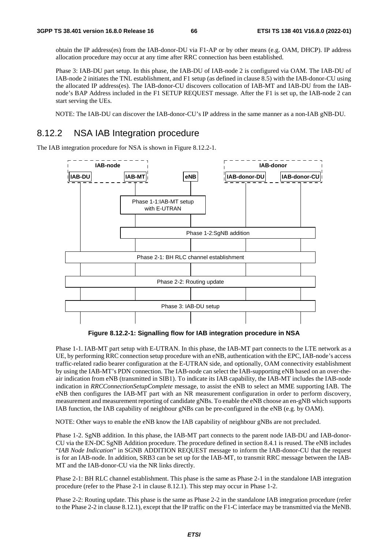obtain the IP address(es) from the IAB-donor-DU via F1-AP or by other means (e.g. OAM, DHCP). IP address allocation procedure may occur at any time after RRC connection has been established.

Phase 3: IAB-DU part setup. In this phase, the IAB-DU of IAB-node 2 is configured via OAM. The IAB-DU of IAB-node 2 initiates the TNL establishment, and F1 setup (as defined in clause 8.5) with the IAB-donor-CU using the allocated IP address(es). The IAB-donor-CU discovers collocation of IAB-MT and IAB-DU from the IABnode's BAP Address included in the F1 SETUP REQUEST message. After the F1 is set up, the IAB-node 2 can start serving the UEs.

NOTE: The IAB-DU can discover the IAB-donor-CU's IP address in the same manner as a non-IAB gNB-DU.

### 8.12.2 NSA IAB Integration procedure

The IAB integration procedure for NSA is shown in Figure 8.12.2-1.



**Figure 8.12.2-1: Signalling flow for IAB integration procedure in NSA** 

Phase 1-1. IAB-MT part setup with E-UTRAN. In this phase, the IAB-MT part connects to the LTE network as a UE, by performing RRC connection setup procedure with an eNB, authentication with the EPC, IAB-node's access traffic-related radio bearer configuration at the E-UTRAN side, and optionally, OAM connectivity establishment by using the IAB-MT's PDN connection. The IAB-node can select the IAB-supporting eNB based on an over-theair indication from eNB (transmitted in SIB1). To indicate its IAB capability, the IAB-MT includes the IAB-node indication in *RRCConnectionSetupComplete* message, to assist the eNB to select an MME supporting IAB. The eNB then configures the IAB-MT part with an NR measurement configuration in order to perform discovery, measurement and measurement reporting of candidate gNBs. To enable the eNB choose an en-gNB which supports IAB function, the IAB capability of neighbour gNBs can be pre-configured in the eNB (e.g. by OAM).

NOTE: Other ways to enable the eNB know the IAB capability of neighbour gNBs are not precluded.

Phase 1-2. SgNB addition. In this phase, the IAB-MT part connects to the parent node IAB-DU and IAB-donor-CU via the EN-DC SgNB Addition procedure. The procedure defined in section 8.4.1 is reused. The eNB includes "*IAB Node Indication*" in SGNB ADDITION REQUEST message to inform the IAB-donor-CU that the request is for an IAB-node. In addition, SRB3 can be set up for the IAB-MT, to transmit RRC message between the IAB-MT and the IAB-donor-CU via the NR links directly.

Phase 2-1: BH RLC channel establishment. This phase is the same as Phase 2-1 in the standalone IAB integration procedure (refer to the Phase 2-1 in clause 8.12.1). This step may occur in Phase 1-2.

Phase 2-2: Routing update. This phase is the same as Phase 2-2 in the standalone IAB integration procedure (refer to the Phase 2-2 in clause 8.12.1), except that the IP traffic on the F1-C interface may be transmitted via the MeNB.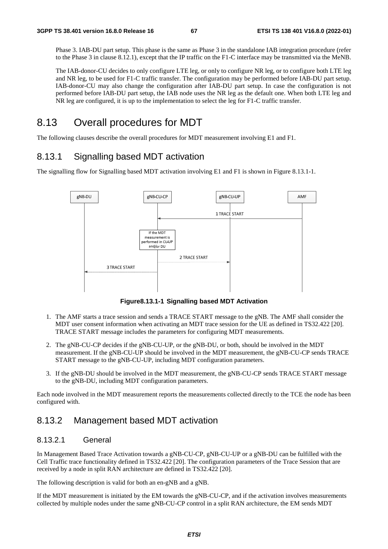Phase 3. IAB-DU part setup. This phase is the same as Phase 3 in the standalone IAB integration procedure (refer to the Phase 3 in clause 8.12.1), except that the IP traffic on the F1-C interface may be transmitted via the MeNB.

The IAB-donor-CU decides to only configure LTE leg, or only to configure NR leg, or to configure both LTE leg and NR leg, to be used for F1-C traffic transfer. The configuration may be performed before IAB-DU part setup. IAB-donor-CU may also change the configuration after IAB-DU part setup. In case the configuration is not performed before IAB-DU part setup, the IAB node uses the NR leg as the default one. When both LTE leg and NR leg are configured, it is up to the implementation to select the leg for F1-C traffic transfer.

# 8.13 Overall procedures for MDT

The following clauses describe the overall procedures for MDT measurement involving E1 and F1.

### 8.13.1 Signalling based MDT activation

The signalling flow for Signalling based MDT activation involving E1 and F1 is shown in Figure 8.13.1-1.



**Figure8.13.1-1 Signalling based MDT Activation** 

- 1. The AMF starts a trace session and sends a TRACE START message to the gNB. The AMF shall consider the MDT user consent information when activating an MDT trace session for the UE as defined in TS32.422 [20]. TRACE START message includes the parameters for configuring MDT measurements.
- 2. The gNB-CU-CP decides if the gNB-CU-UP, or the gNB-DU, or both, should be involved in the MDT measurement. If the gNB-CU-UP should be involved in the MDT measurement, the gNB-CU-CP sends TRACE START message to the gNB-CU-UP, including MDT configuration parameters.
- 3. If the gNB-DU should be involved in the MDT measurement, the gNB-CU-CP sends TRACE START message to the gNB-DU, including MDT configuration parameters.

Each node involved in the MDT measurement reports the measurements collected directly to the TCE the node has been configured with.

### 8.13.2 Management based MDT activation

#### 8.13.2.1 General

In Management Based Trace Activation towards a gNB-CU-CP, gNB-CU-UP or a gNB-DU can be fulfilled with the Cell Traffic trace functionality defined in TS32.422 [20]. The configuration parameters of the Trace Session that are received by a node in split RAN architecture are defined in TS32.422 [20].

The following description is valid for both an en-gNB and a gNB.

If the MDT measurement is initiated by the EM towards the gNB-CU-CP, and if the activation involves measurements collected by multiple nodes under the same gNB-CU-CP control in a split RAN architecture, the EM sends MDT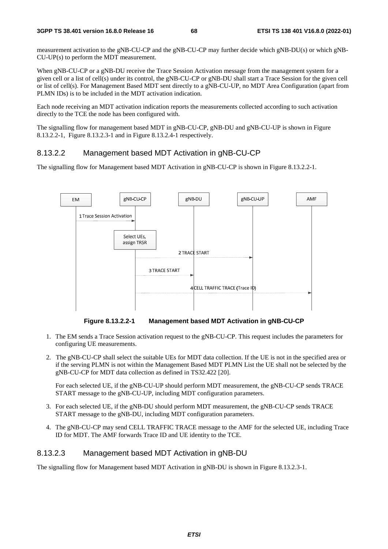measurement activation to the gNB-CU-CP and the gNB-CU-CP may further decide which gNB-DU(s) or which gNB-CU-UP(s) to perform the MDT measurement.

When gNB-CU-CP or a gNB-DU receive the Trace Session Activation message from the management system for a given cell or a list of cell(s) under its control, the gNB-CU-CP or gNB-DU shall start a Trace Session for the given cell or list of cell(s). For Management Based MDT sent directly to a gNB-CU-UP, no MDT Area Configuration (apart from PLMN IDs) is to be included in the MDT activation indication.

Each node receiving an MDT activation indication reports the measurements collected according to such activation directly to the TCE the node has been configured with.

The signalling flow for management based MDT in gNB-CU-CP, gNB-DU and gNB-CU-UP is shown in Figure 8.13.2.2-1, Figure 8.13.2.3-1 and in Figure 8.13.2.4-1 respectively.

#### 8.13.2.2 Management based MDT Activation in gNB-CU-CP

The signalling flow for Management based MDT Activation in gNB-CU-CP is shown in Figure 8.13.2.2-1.



**Figure 8.13.2.2-1 Management based MDT Activation in gNB-CU-CP** 

- 1. The EM sends a Trace Session activation request to the gNB-CU-CP. This request includes the parameters for configuring UE measurements.
- 2. The gNB-CU-CP shall select the suitable UEs for MDT data collection. If the UE is not in the specified area or if the serving PLMN is not within the Management Based MDT PLMN List the UE shall not be selected by the gNB-CU-CP for MDT data collection as defined in TS32.422 [20].

For each selected UE, if the gNB-CU-UP should perform MDT measurement, the gNB-CU-CP sends TRACE START message to the gNB-CU-UP, including MDT configuration parameters.

- 3. For each selected UE, if the gNB-DU should perform MDT measurement, the gNB-CU-CP sends TRACE START message to the gNB-DU, including MDT configuration parameters.
- 4. The gNB-CU-CP may send CELL TRAFFIC TRACE message to the AMF for the selected UE, including Trace ID for MDT. The AMF forwards Trace ID and UE identity to the TCE.

#### 8.13.2.3 Management based MDT Activation in gNB-DU

The signalling flow for Management based MDT Activation in gNB-DU is shown in Figure 8.13.2.3-1.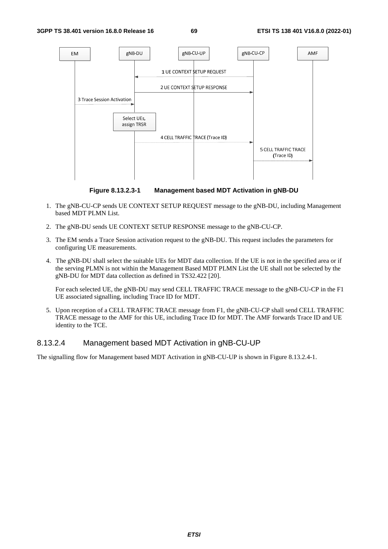

**Figure 8.13.2.3-1 Management based MDT Activation in gNB-DU** 

- 1. The gNB-CU-CP sends UE CONTEXT SETUP REQUEST message to the gNB-DU, including Management based MDT PLMN List.
- 2. The gNB-DU sends UE CONTEXT SETUP RESPONSE message to the gNB-CU-CP.
- 3. The EM sends a Trace Session activation request to the gNB-DU. This request includes the parameters for configuring UE measurements.
- 4. The gNB-DU shall select the suitable UEs for MDT data collection. If the UE is not in the specified area or if the serving PLMN is not within the Management Based MDT PLMN List the UE shall not be selected by the gNB-DU for MDT data collection as defined in TS32.422 [20].

For each selected UE, the gNB-DU may send CELL TRAFFIC TRACE message to the gNB-CU-CP in the F1 UE associated signalling, including Trace ID for MDT.

5. Upon reception of a CELL TRAFFIC TRACE message from F1, the gNB-CU-CP shall send CELL TRAFFIC TRACE message to the AMF for this UE, including Trace ID for MDT. The AMF forwards Trace ID and UE identity to the TCE.

#### 8.13.2.4 Management based MDT Activation in gNB-CU-UP

The signalling flow for Management based MDT Activation in gNB-CU-UP is shown in Figure 8.13.2.4-1.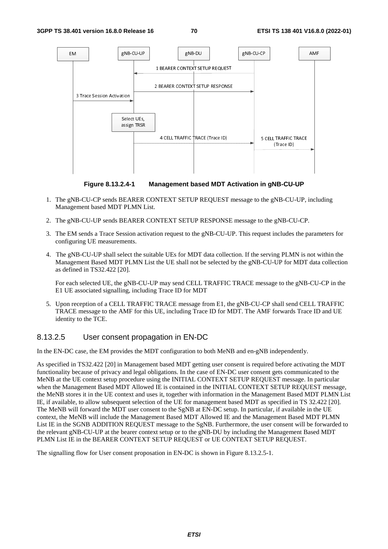

**Figure 8.13.2.4-1 Management based MDT Activation in gNB-CU-UP** 

- 1. The gNB-CU-CP sends BEARER CONTEXT SETUP REQUEST message to the gNB-CU-UP, including Management based MDT PLMN List.
- 2. The gNB-CU-UP sends BEARER CONTEXT SETUP RESPONSE message to the gNB-CU-CP.
- 3. The EM sends a Trace Session activation request to the gNB-CU-UP. This request includes the parameters for configuring UE measurements.
- 4. The gNB-CU-UP shall select the suitable UEs for MDT data collection. If the serving PLMN is not within the Management Based MDT PLMN List the UE shall not be selected by the gNB-CU-UP for MDT data collection as defined in TS32.422 [20].

For each selected UE, the gNB-CU-UP may send CELL TRAFFIC TRACE message to the gNB-CU-CP in the E1 UE associated signalling, including Trace ID for MDT

5. Upon reception of a CELL TRAFFIC TRACE message from E1, the gNB-CU-CP shall send CELL TRAFFIC TRACE message to the AMF for this UE, including Trace ID for MDT. The AMF forwards Trace ID and UE identity to the TCE.

#### 8.13.2.5 User consent propagation in EN-DC

In the EN-DC case, the EM provides the MDT configuration to both MeNB and en-gNB independently.

As specified in TS32.422 [20] in Management based MDT getting user consent is required before activating the MDT functionality because of privacy and legal obligations. In the case of EN-DC user consent gets communicated to the MeNB at the UE context setup procedure using the INITIAL CONTEXT SETUP REQUEST message. In particular when the Management Based MDT Allowed IE is contained in the INITIAL CONTEXT SETUP REQUEST message, the MeNB stores it in the UE context and uses it, together with information in the Management Based MDT PLMN List IE, if available, to allow subsequent selection of the UE for management based MDT as specified in TS 32.422 [20]. The MeNB will forward the MDT user consent to the SgNB at EN-DC setup. In particular, if available in the UE context, the MeNB will include the Management Based MDT Allowed IE and the Management Based MDT PLMN List IE in the SGNB ADDITION REQUEST message to the SgNB. Furthermore, the user consent will be forwarded to the relevant gNB-CU-UP at the bearer context setup or to the gNB-DU by including the Management Based MDT PLMN List IE in the BEARER CONTEXT SETUP REQUEST or UE CONTEXT SETUP REQUEST.

The signalling flow for User consent proposation in EN-DC is shown in Figure 8.13.2.5-1.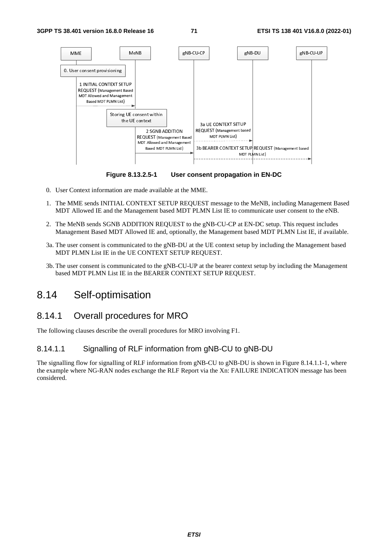

**Figure 8.13.2.5-1 User consent propagation in EN-DC** 

- 0. User Context information are made available at the MME.
- 1. The MME sends INITIAL CONTEXT SETUP REQUEST message to the MeNB, including Management Based MDT Allowed IE and the Management based MDT PLMN List IE to communicate user consent to the eNB.
- 2. The MeNB sends SGNB ADDITION REQUEST to the gNB-CU-CP at EN-DC setup. This request includes Management Based MDT Allowed IE and, optionally, the Management based MDT PLMN List IE, if available.
- 3a. The user consent is communicated to the gNB-DU at the UE context setup by including the Management based MDT PLMN List IE in the UE CONTEXT SETUP REQUEST.
- 3b. The user consent is communicated to the gNB-CU-UP at the bearer context setup by including the Management based MDT PLMN List IE in the BEARER CONTEXT SETUP REQUEST.

# 8.14 Self-optimisation

### 8.14.1 Overall procedures for MRO

The following clauses describe the overall procedures for MRO involving F1.

### 8.14.1.1 Signalling of RLF information from gNB-CU to gNB-DU

The signalling flow for signalling of RLF information from gNB-CU to gNB-DU is shown in Figure 8.14.1.1-1, where the example where NG-RAN nodes exchange the RLF Report via the Xn: FAILURE INDICATION message has been considered.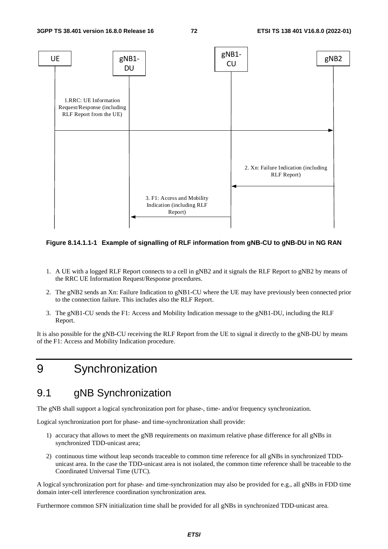

**Figure 8.14.1.1-1 Example of signalling of RLF information from gNB-CU to gNB-DU in NG RAN** 

- 1. A UE with a logged RLF Report connects to a cell in gNB2 and it signals the RLF Report to gNB2 by means of the RRC UE Information Request/Response procedures.
- 2. The gNB2 sends an Xn: Failure Indication to gNB1-CU where the UE may have previously been connected prior to the connection failure. This includes also the RLF Report.
- 3. The gNB1-CU sends the F1: Access and Mobility Indication message to the gNB1-DU, including the RLF Report.

It is also possible for the gNB-CU receiving the RLF Report from the UE to signal it directly to the gNB-DU by means of the F1: Access and Mobility Indication procedure.

## 9 Synchronization

### 9.1 gNB Synchronization

The gNB shall support a logical synchronization port for phase-, time- and/or frequency synchronization.

Logical synchronization port for phase- and time-synchronization shall provide:

- 1) accuracy that allows to meet the gNB requirements on maximum relative phase difference for all gNBs in synchronized TDD-unicast area;
- 2) continuous time without leap seconds traceable to common time reference for all gNBs in synchronized TDDunicast area. In the case the TDD-unicast area is not isolated, the common time reference shall be traceable to the Coordinated Universal Time (UTC)*.*

A logical synchronization port for phase- and time-synchronization may also be provided for e.g., all gNBs in FDD time domain inter-cell interference coordination synchronization area.

Furthermore common SFN initialization time shall be provided for all gNBs in synchronized TDD-unicast area.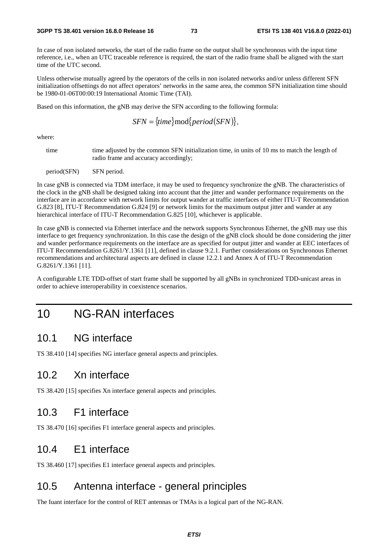In case of non isolated networks, the start of the radio frame on the output shall be synchronous with the input time reference, i.e., when an UTC traceable reference is required, the start of the radio frame shall be aligned with the start time of the UTC second.

Unless otherwise mutually agreed by the operators of the cells in non isolated networks and/or unless different SFN initialization offsettings do not affect operators' networks in the same area, the common SFN initialization time should be 1980-01-06T00:00:19 International Atomic Time (TAI).

Based on this information, the gNB may derive the SFN according to the following formula:

$$
SFN = \{time\} \mod \{period(SFN)\},
$$

where:

time time adjusted by the common SFN initialization time, in units of 10 ms to match the length of radio frame and accuracy accordingly;

period(SFN) SFN period.

In case gNB is connected via TDM interface, it may be used to frequency synchronize the gNB. The characteristics of the clock in the gNB shall be designed taking into account that the jitter and wander performance requirements on the interface are in accordance with network limits for output wander at traffic interfaces of either ITU-T Recommendation G.823 [8], ITU-T Recommendation G.824 [9] or network limits for the maximum output jitter and wander at any hierarchical interface of ITU-T Recommendation G.825 [10], whichever is applicable.

In case gNB is connected via Ethernet interface and the network supports Synchronous Ethernet, the gNB may use this interface to get frequency synchronization. In this case the design of the gNB clock should be done considering the jitter and wander performance requirements on the interface are as specified for output jitter and wander at EEC interfaces of ITU-T Recommendation G.8261/Y.1361 [11], defined in clause 9.2.1. Further considerations on Synchronous Ethernet recommendations and architectural aspects are defined in clause 12.2.1 and Annex A of ITU-T Recommendation G.8261/Y.1361 [11].

A configurable LTE TDD-offset of start frame shall be supported by all gNBs in synchronized TDD-unicast areas in order to achieve interoperability in coexistence scenarios.

## 10 NG-RAN interfaces

#### 10.1 NG interface

TS 38.410 [14] specifies NG interface general aspects and principles.

#### 10.2 Xn interface

TS 38.420 [15] specifies Xn interface general aspects and principles.

#### 10.3 F1 interface

TS 38.470 [16] specifies F1 interface general aspects and principles.

#### 10.4 E1 interface

TS 38.460 [17] specifies E1 interface general aspects and principles.

#### 10.5 Antenna interface - general principles

The Iuant interface for the control of RET antennas or TMAs is a logical part of the NG-RAN.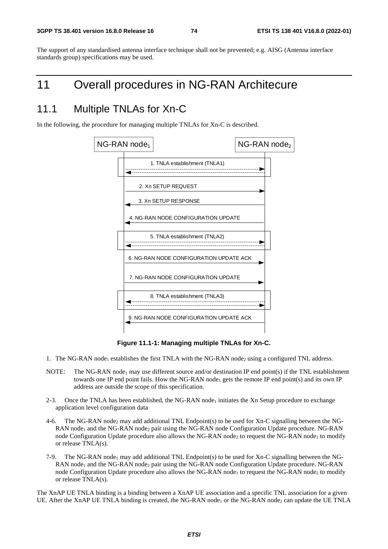The support of any standardised antenna interface technique shall not be prevented; e.g. AISG (Antenna interface standards group) specifications may be used.

## 11 Overall procedures in NG-RAN Architecure

#### 11.1 Multiple TNLAs for Xn-C

In the following, the procedure for managing multiple TNLAs for Xn-C is described.



**Figure 11.1-1: Managing multiple TNLAs for Xn-C.** 

- 1. The NG-RAN node<sub>1</sub> establishes the first TNLA with the NG-RAN node<sub>2</sub> using a configured TNL address.
- NOTE: The NG-RAN node<sub>1</sub> may use different source and/or destination IP end point(s) if the TNL establishment towards one IP end point fails. How the NG-RAN node<sub>1</sub> gets the remote IP end point(s) and its own IP address are outside the scope of this specification.
- 2-3. Once the TNLA has been established, the NG-RAN node<sub>1</sub> initiates the Xn Setup procedure to exchange application level configuration data
- 4-6. The NG-RAN node<sub>2</sub> may add additional TNL Endpoint(s) to be used for Xn-C signalling between the NG-RAN node<sub>1</sub> and the NG-RAN node<sub>2</sub> pair using the NG-RAN node Configuration Update procedure. NG-RAN node Configuration Update procedure also allows the NG-RAN node<sub>2</sub> to request the NG-RAN node<sub>1</sub> to modify or release TNLA(s).
- 7-9. The NG-RAN node<sub>1</sub> may add additional TNL Endpoint(s) to be used for Xn-C signalling between the NG-RAN node<sub>1</sub> and the NG-RAN node<sub>2</sub> pair using the NG-RAN node Configuration Update procedure. NG-RAN node Configuration Update procedure also allows the NG-RAN node<sub>1</sub> to request the NG-RAN node<sub>2</sub> to modify or release TNLA(s).

The XnAP UE TNLA binding is a binding between a XnAP UE association and a specific TNL association for a given UE. After the XnAP UE TNLA binding is created, the NG-RAN node<sub>1</sub> or the NG-RAN node<sub>2</sub> can update the UE TNLA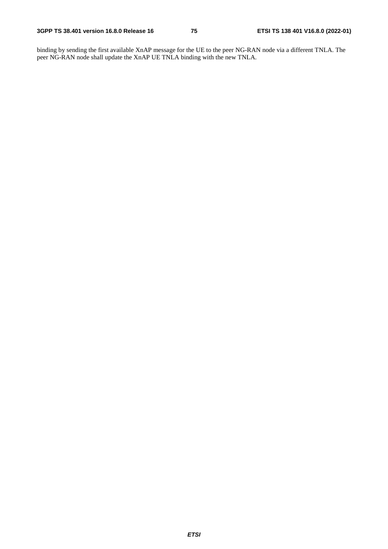binding by sending the first available XnAP message for the UE to the peer NG-RAN node via a different TNLA. The peer NG-RAN node shall update the XnAP UE TNLA binding with the new TNLA.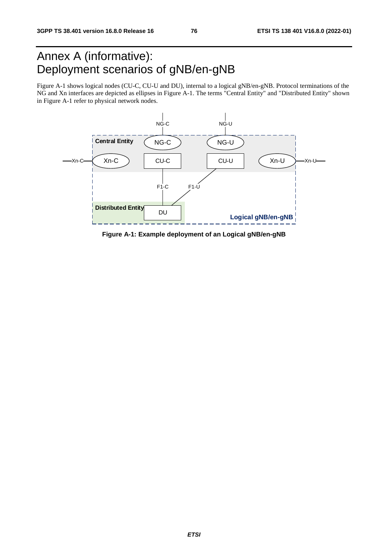## Annex A (informative): Deployment scenarios of gNB/en-gNB

Figure A-1 shows logical nodes (CU-C, CU-U and DU), internal to a logical gNB/en-gNB. Protocol terminations of the NG and Xn interfaces are depicted as ellipses in Figure A-1. The terms "Central Entity" and "Distributed Entity" shown in Figure A-1 refer to physical network nodes.



**Figure A-1: Example deployment of an Logical gNB/en-gNB**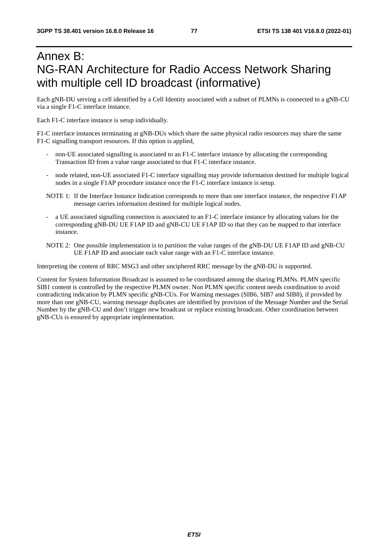## Annex B: NG-RAN Architecture for Radio Access Network Sharing with multiple cell ID broadcast (informative)

Each gNB-DU serving a cell identified by a Cell Identity associated with a subset of PLMNs is connected to a gNB-CU via a single F1-C interface instance.

Each F1-C interface instance is setup individually.

F1-C interface instances terminating at gNB-DUs which share the same physical radio resources may share the same F1-C signalling transport resources. If this option is applied,

- non-UE associated signalling is associated to an F1-C interface instance by allocating the corresponding Transaction ID from a value range associated to that F1-C interface instance.
- node related, non-UE associated F1-C interface signalling may provide information destined for multiple logical nodes in a single F1AP procedure instance once the F1-C interface instance is setup.
- NOTE 1: If the Interface Instance Indication corresponds to more than one interface instance, the respective F1AP message carries information destined for multiple logical nodes.
- a UE associated signalling connection is associated to an F1-C interface instance by allocating values for the corresponding gNB-DU UE F1AP ID and gNB-CU UE F1AP ID so that they can be mapped to that interface instance.
- NOTE 2: One possible implementation is to partition the value ranges of the gNB-DU UE F1AP ID and gNB-CU UE F1AP ID and associate each value range with an F1-C interface instance.

Interpreting the content of RRC MSG3 and other unciphered RRC message by the gNB-DU is supported.

Content for System Information Broadcast is assumed to be coordinated among the sharing PLMNs. PLMN specific SIB1 content is controlled by the respective PLMN owner. Non PLMN specific content needs coordination to avoid contradicting indication by PLMN specific gNB-CUs. For Warning messages (SIB6, SIB7 and SIB8), if provided by more than one gNB-CU, warning message duplicates are identified by provision of the Message Number and the Serial Number by the gNB-CU and don't trigger new broadcast or replace existing broadcast. Other coordination between gNB-CUs is ensured by appropriate implementation.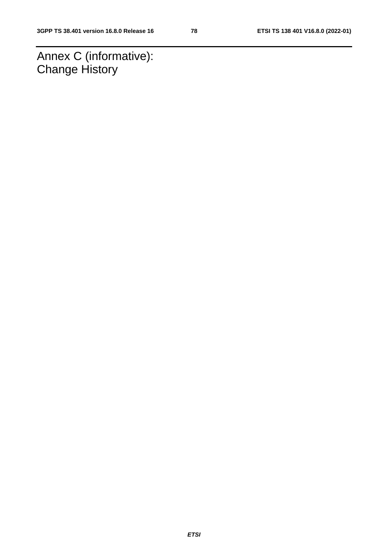Annex C (informative): Change History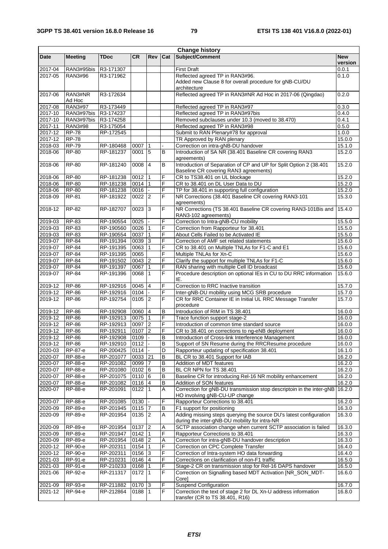| <b>Change history</b> |                |           |                   |                      |     |                                                                                                                     |            |  |
|-----------------------|----------------|-----------|-------------------|----------------------|-----|---------------------------------------------------------------------------------------------------------------------|------------|--|
| <b>Date</b>           | <b>Meeting</b> | TDoc      | <b>CR</b>         | Rev                  | Cat | <b>Subject/Comment</b>                                                                                              | <b>New</b> |  |
|                       |                |           |                   |                      |     |                                                                                                                     | version    |  |
| 2017-04               | RAN3#95bis     | R3-171307 |                   |                      |     | <b>First Draft</b>                                                                                                  | 0.0.1      |  |
| 2017-05               | RAN3#96        | R3-171962 |                   |                      |     | Reflected agreed TP in RAN3#96.                                                                                     | 0.1.0      |  |
|                       |                |           |                   |                      |     | Added new Clause 8 for overall procedure for gNB-CU/DU                                                              |            |  |
|                       |                |           |                   |                      |     | architecture                                                                                                        |            |  |
| 2017-06               | RAN3#NR        | R3-172634 |                   |                      |     | Reflected agreed TP in RAN3#NR Ad Hoc in 2017-06 (Qingdao)                                                          | 0.2.0      |  |
|                       | Ad Hoc         |           |                   |                      |     |                                                                                                                     |            |  |
| 2017-08               | RAN3#97        | R3-173449 |                   |                      |     | Reflected agreed TP in RAN3#97                                                                                      | 0.3.0      |  |
| 2017-10               | RAN3#97bis     | R3-174237 |                   |                      |     | Reflected agreed TP in RAN3#97bis                                                                                   | 0.4.0      |  |
| 2017-10               | RAN3#97bis     | R3-174258 |                   |                      |     | Removed subclauses under 10.3 (moved to 38.470)                                                                     | 0.4.1      |  |
| 2017-11               | RAN3#98        | R3-175054 |                   |                      |     | Reflected agreed TP in RAN3#98                                                                                      | 0.5.0      |  |
| 2017-12               | <b>RP-78</b>   | RP-172545 |                   |                      |     | Submit to RAN Plenary#78 for approval                                                                               | 1.0.0      |  |
| 2017-12               | <b>RP-78</b>   |           |                   |                      |     | TR Approved by RAN plenary                                                                                          | 15.0.0     |  |
| 2018-03               | <b>RP-79</b>   | RP-180468 | 0007              | $\overline{11}$      |     | Correction on intra-gNB-DU handover                                                                                 | 15.1.0     |  |
| 2018-06               | <b>RP-80</b>   | RP-181237 | 0001              | $\overline{5}$       | B   | Introduction of SA NR (38.401 Baseline CR covering RAN3<br>agreements)                                              | 15.2.0     |  |
| 2018-06               | <b>RP-80</b>   | RP-181240 | 0008 4            |                      | B   | Introduction of Separation of CP and UP for Split Option 2 (38.401<br>Baseline CR covering RAN3 agreements)         | 15.2.0     |  |
| 2018-06               | <b>RP-80</b>   | RP-181238 | 0012              | $\vert$ 1            | F   | CR to TS38.401 on UL blockage                                                                                       | 15.2.0     |  |
| 2018-06               | <b>RP-80</b>   | RP-181238 | 0014              | $\mathbf{1}$         | F   | CR to 38.401 on DL User Data to DU                                                                                  | 15.2.0     |  |
| 2018-06               | <b>RP-80</b>   | RP-181238 | 0016              |                      | F   | TP for 38.401 in supporting full configuration                                                                      | 15.2.0     |  |
| 2018-09               | RP-81          | RP-181922 | 0022              | $\overline{2}$       | F   | NR Corrections (38.401 Baseline CR covering RAN3-101                                                                | 15.3.0     |  |
|                       |                |           |                   |                      |     | agreements)                                                                                                         |            |  |
| 2018-12               | RP-82          | RP-182707 | 0023              | 3                    | F   | NR Corrections (TS 38.401 Baseline CR covering RAN3-101Bis and                                                      | 15.4.0     |  |
|                       |                |           |                   |                      |     | RAN3-102 agreements)                                                                                                |            |  |
| 2019-03               | RP-83          | RP-190554 | 0025              |                      | F   | Correction to Intra-gNB-CU mobility                                                                                 | 15.5.0     |  |
| 2019-03               | RP-83          | RP-190560 | 0026              | 1                    | F   | Correction from Rapporteur for 38.401                                                                               | 15.5.0     |  |
| 2019-03               | RP-83          | RP-190554 | 0037              | $\mathbf 1$          | F   | About Cells Failed to be Activated IE                                                                               | 15.5.0     |  |
| 2019-07               | <b>RP-84</b>   | RP-191394 | 0039              | $\overline{3}$       | F   | Correction of AMF set related statements                                                                            | 15.6.0     |  |
| $2019 - 07$           | <b>RP-84</b>   | RP-191395 | 0063              | $\mathbf{1}$         | F   | CR to 38.401 on Multiple TNLAs for F1-C and E1                                                                      | 15.6.0     |  |
| 2019-07               | <b>RP-84</b>   | RP-191395 | 0065              |                      | F   | Multiple TNLAs for Xn-C                                                                                             | 15.6.0     |  |
| 2019-07               | <b>RP-84</b>   | RP-191502 | 0043 2            |                      | F   | Clarify the support for multiple TNLAs for F1-C                                                                     | 15.6.0     |  |
| 2019-07               | RP-84          | RP-191397 | 0067              | $\mathbf{1}$         | F   | RAN sharing with multiple Cell ID broadcast                                                                         | 15.6.0     |  |
| 2019-07               | <b>RP-84</b>   | RP-191396 | 0068              | $\mathbf{1}$         | F   | Procedure description on optional IEs in CU to DU RRC information                                                   | 15.6.0     |  |
|                       |                |           |                   |                      |     | IE.                                                                                                                 |            |  |
| 2019-12               | <b>RP-86</b>   | RP-192916 | 0045              | 4                    | F   | Correction to RRC Inactive transition                                                                               | 15.7.0     |  |
| 2019-12               | <b>RP-86</b>   | RP-192916 | 0104              |                      | F   | Inter-gNB-DU mobility using MCG SRB procedure                                                                       | 15.7.0     |  |
| 2019-12               | <b>RP-86</b>   | RP-192754 | 0105              | $\vert$ <sub>2</sub> | F   | CR for RRC Container IE in Initial UL RRC Message Transfer                                                          | 15.7.0     |  |
|                       |                |           |                   |                      |     | procedure                                                                                                           |            |  |
| 2019-12               | <b>RP-86</b>   | RP-192908 | 0060              | $\overline{4}$       | B   | Introduction of RIM in TS 38.401                                                                                    | 16.0.0     |  |
| 2019-12               | <b>RP-86</b>   | RP-192913 | 0075              | $\mathbf{1}$         | F   | Trace function support stage-2                                                                                      | 16.0.0     |  |
| 2019-12               | <b>RP-86</b>   | RP-192913 | 0097              | $\overline{2}$       | F   | Introduction of common time standard source                                                                         | 16.0.0     |  |
| 2019-12               | <b>RP-86</b>   | RP-192911 | 0107              | $\overline{2}$       | F   | CR to 38.401 on corrections to ng-eNB deployment                                                                    | 16.0.0     |  |
| 2019-12               | <b>RP-86</b>   | RP-192908 | 0109              | $\mathbf{I}$         | B   | Introduction of Cross-link Interference Management                                                                  | 16.0.0     |  |
| 2019-12               | <b>RP-86</b>   | RP-192910 | 0112              |                      | B   | Support of SN Resume during the RRCResume procedure                                                                 | 16.0.0     |  |
| 2020-03               | RP-87-e        | RP-200425 | 0114              | L.                   | D   | Rapporteur updating of specification 38.401                                                                         | 16.1.0     |  |
| 2020-07               | RP-88-e        | RP-201077 | 0033 21           |                      | B   | BL CR to 38.401 Support for IAB                                                                                     | 16.2.0     |  |
| 2020-07               | RP-88-e        | RP-201082 | 0099              | 7                    | B   | Addition of MDT features                                                                                            | 16.2.0     |  |
| 2020-07               | RP-88-e        | RP-201080 | 0102 6            |                      | B   | BL CR NPN for TS 38.401                                                                                             | 16.2.0     |  |
| 2020-07               | RP-88-e        | RP-201075 | 0110              | 6                    | в   | Baseline CR for introducing Rel-16 NR mobility enhancement                                                          | 16.2.0     |  |
| 2020-07               | RP-88-e        | RP-201082 | 0116 4            |                      | B   | Addition of SON features                                                                                            | 16.2.0     |  |
| 2020-07               | RP-88-e        | RP-201091 | 0122              | $\mathbf{1}$         | Α   | Correction for gNB-DU transmission stop descriptoin in the inter-gNB                                                | 16.2.0     |  |
| 2020-07               | RP-88-e        | RP-201085 | 0130              |                      | F   | HO involving gNB-CU-UP change<br>Rapporteur Corrections to 38.401                                                   | 16.2.0     |  |
|                       |                |           |                   |                      | B   |                                                                                                                     |            |  |
| 2020-09               | RP-89-e        | RP-201945 | 0115<br>$0135$  2 | $\overline{7}$       |     | F1 support for positioning                                                                                          | 16.3.0     |  |
| 2020-09               | RP-89-e        | RP-201954 |                   |                      | A   | Adding missing steps querying the source DU's latest configuration<br>during the inter-gNB-DU mobility for intra-NR | 16.3.0     |  |
| 2020-09               | RP-89-e        | RP-201954 | 0137              | 2                    | Α   | SCTP association change when current SCTP association is failed                                                     | 16.3.0     |  |
| 2020-09               | RP-89-e        | RP-201947 | 0142              | $\mathbf{1}$         | F   | Rapporteur Corrections to 38.401                                                                                    | 16.3.0     |  |
| 2020-09               | RP-89-e        | RP-201954 | $0148$ 2          |                      | Α   | Correction for intra-gNB-DU handover description                                                                    | 16.3.0     |  |
| 2020-12               | RP-90-e        | RP-202311 | $0154$   1        |                      | F   | Correction on CPC Complete Transfer                                                                                 | 16.4.0     |  |
| 2020-12               | RP-90-e        | RP-202311 | 0156              | $\overline{3}$       | F   | Correction of Intra-system HO data forwarding                                                                       | 16.4.0     |  |
| 2021-03               | RP-91-e        | RP-210231 | 0146              | $\overline{4}$       | F   | Corrections on clarification of non-F1 traffic                                                                      | 16.5.0     |  |
| 2021-03               | RP-91-e        | RP-210233 | 0168              | $\vert$ 1            | F   | Stage-2 CR on transmission stop for Rel-16 DAPS handover                                                            | 16.5.0     |  |
| 2021-06               | RP-92-e        | RP-211317 | $0172$   1        |                      | F   | Correction on Signalling based MDT Activation [NR_SON_MDT-<br>Core]                                                 | 16.6.0     |  |
| 2021-09               | RP-93-e        | RP-211882 | 0170 3            |                      | F   | <b>Suspend Configuration</b>                                                                                        | 16.7.0     |  |
| 2021-12               | RP-94-e        | RP-212864 | 0188              | $\vert$ 1            | F   | Correction the text of stage 2 for DL Xn-U address information                                                      | 16.8.0     |  |
|                       |                |           |                   |                      |     | transfer (CR to TS 38.401, R16)                                                                                     |            |  |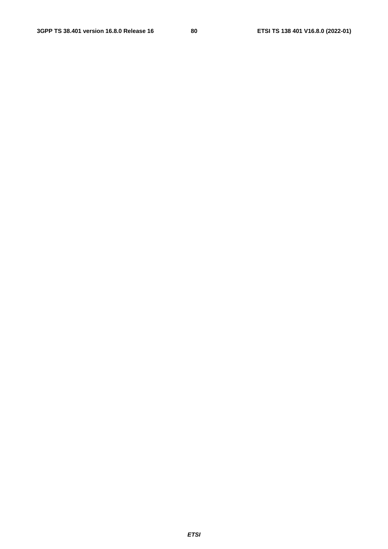*ETSI*